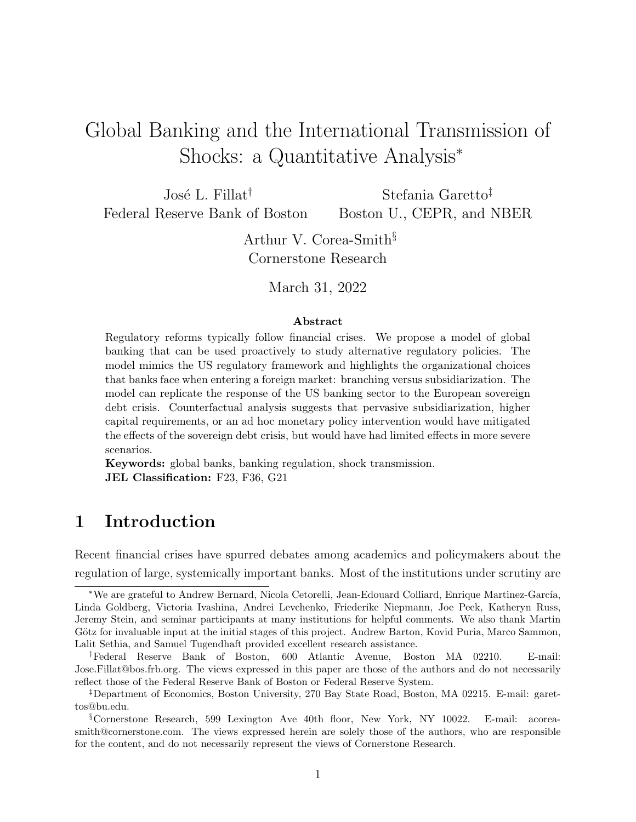# Global Banking and the International Transmission of Shocks: a Quantitative Analysis<sup>∗</sup>

José L. Fillat<sup>†</sup> Federal Reserve Bank of Boston Stefania Garetto‡ Boston U., CEPR, and NBER

> Arthur V. Corea-Smith§ Cornerstone Research

> > March 31, 2022

#### Abstract

Regulatory reforms typically follow financial crises. We propose a model of global banking that can be used proactively to study alternative regulatory policies. The model mimics the US regulatory framework and highlights the organizational choices that banks face when entering a foreign market: branching versus subsidiarization. The model can replicate the response of the US banking sector to the European sovereign debt crisis. Counterfactual analysis suggests that pervasive subsidiarization, higher capital requirements, or an ad hoc monetary policy intervention would have mitigated the effects of the sovereign debt crisis, but would have had limited effects in more severe scenarios.

Keywords: global banks, banking regulation, shock transmission. JEL Classification: F23, F36, G21

# 1 Introduction

Recent financial crises have spurred debates among academics and policymakers about the regulation of large, systemically important banks. Most of the institutions under scrutiny are

†Federal Reserve Bank of Boston, 600 Atlantic Avenue, Boston MA 02210. E-mail: Jose.Fillat@bos.frb.org. The views expressed in this paper are those of the authors and do not necessarily reflect those of the Federal Reserve Bank of Boston or Federal Reserve System.

‡Department of Economics, Boston University, 270 Bay State Road, Boston, MA 02215. E-mail: garettos@bu.edu.

§Cornerstone Research, 599 Lexington Ave 40th floor, New York, NY 10022. E-mail: acoreasmith@cornerstone.com. The views expressed herein are solely those of the authors, who are responsible for the content, and do not necessarily represent the views of Cornerstone Research.

<sup>∗</sup>We are grateful to Andrew Bernard, Nicola Cetorelli, Jean-Edouard Colliard, Enrique Martinez-Garc´ıa, Linda Goldberg, Victoria Ivashina, Andrei Levchenko, Friederike Niepmann, Joe Peek, Katheryn Russ, Jeremy Stein, and seminar participants at many institutions for helpful comments. We also thank Martin Götz for invaluable input at the initial stages of this project. Andrew Barton, Kovid Puria, Marco Sammon, Lalit Sethia, and Samuel Tugendhaft provided excellent research assistance.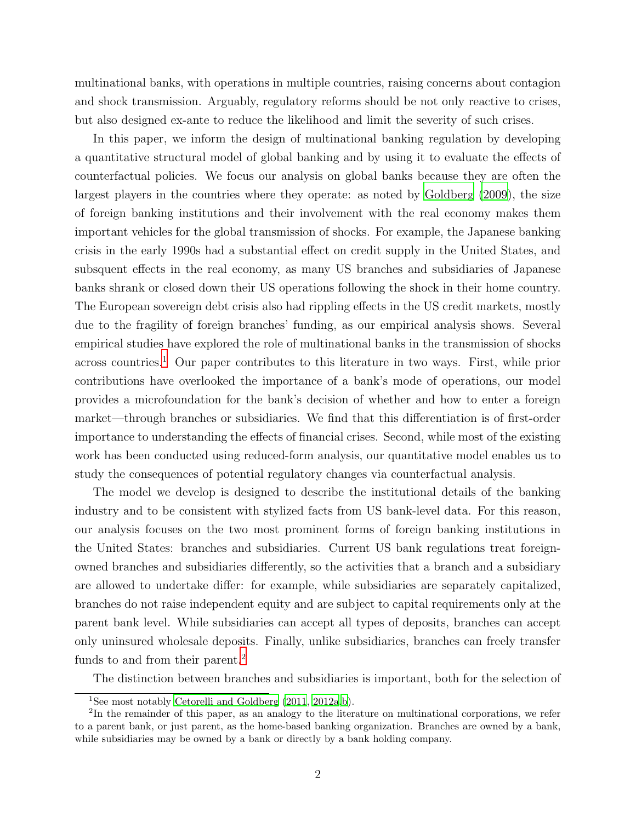multinational banks, with operations in multiple countries, raising concerns about contagion and shock transmission. Arguably, regulatory reforms should be not only reactive to crises, but also designed ex-ante to reduce the likelihood and limit the severity of such crises.

In this paper, we inform the design of multinational banking regulation by developing a quantitative structural model of global banking and by using it to evaluate the effects of counterfactual policies. We focus our analysis on global banks because they are often the largest players in the countries where they operate: as noted by [Goldberg \(2009\)](#page-37-0), the size of foreign banking institutions and their involvement with the real economy makes them important vehicles for the global transmission of shocks. For example, the Japanese banking crisis in the early 1990s had a substantial effect on credit supply in the United States, and subsquent effects in the real economy, as many US branches and subsidiaries of Japanese banks shrank or closed down their US operations following the shock in their home country. The European sovereign debt crisis also had rippling effects in the US credit markets, mostly due to the fragility of foreign branches' funding, as our empirical analysis shows. Several empirical studies have explored the role of multinational banks in the transmission of shocks across countries.<sup>[1](#page-1-0)</sup> Our paper contributes to this literature in two ways. First, while prior contributions have overlooked the importance of a bank's mode of operations, our model provides a microfoundation for the bank's decision of whether and how to enter a foreign market—through branches or subsidiaries. We find that this differentiation is of first-order importance to understanding the effects of financial crises. Second, while most of the existing work has been conducted using reduced-form analysis, our quantitative model enables us to study the consequences of potential regulatory changes via counterfactual analysis.

The model we develop is designed to describe the institutional details of the banking industry and to be consistent with stylized facts from US bank-level data. For this reason, our analysis focuses on the two most prominent forms of foreign banking institutions in the United States: branches and subsidiaries. Current US bank regulations treat foreignowned branches and subsidiaries differently, so the activities that a branch and a subsidiary are allowed to undertake differ: for example, while subsidiaries are separately capitalized, branches do not raise independent equity and are subject to capital requirements only at the parent bank level. While subsidiaries can accept all types of deposits, branches can accept only uninsured wholesale deposits. Finally, unlike subsidiaries, branches can freely transfer funds to and from their parent.<sup>[2](#page-1-1)</sup>

The distinction between branches and subsidiaries is important, both for the selection of

<span id="page-1-0"></span><sup>&</sup>lt;sup>1</sup>See most notably Cetorelli and Goldberg  $(2011, 2012a, b)$  $(2011, 2012a, b)$  $(2011, 2012a, b)$ .

<span id="page-1-1"></span><sup>&</sup>lt;sup>2</sup>In the remainder of this paper, as an analogy to the literature on multinational corporations, we refer to a parent bank, or just parent, as the home-based banking organization. Branches are owned by a bank, while subsidiaries may be owned by a bank or directly by a bank holding company.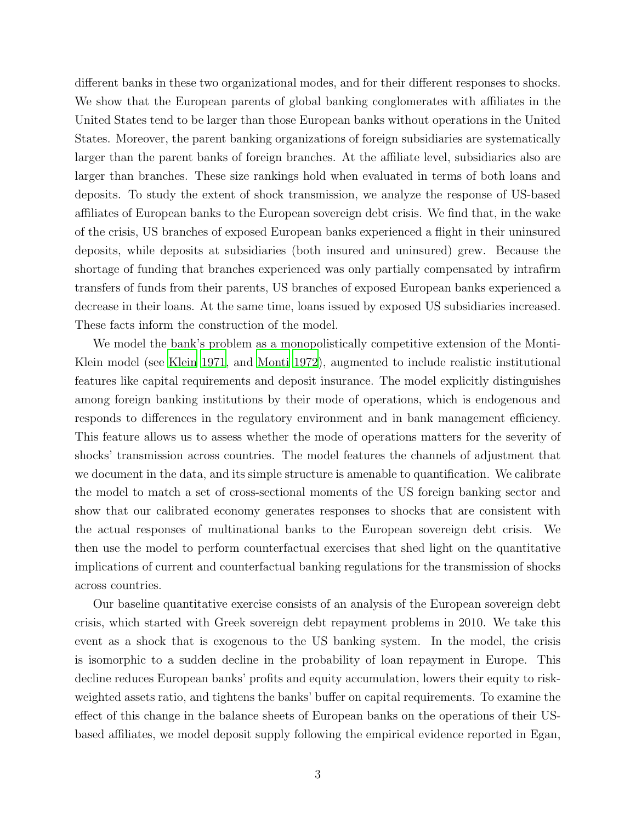different banks in these two organizational modes, and for their different responses to shocks. We show that the European parents of global banking conglomerates with affiliates in the United States tend to be larger than those European banks without operations in the United States. Moreover, the parent banking organizations of foreign subsidiaries are systematically larger than the parent banks of foreign branches. At the affiliate level, subsidiaries also are larger than branches. These size rankings hold when evaluated in terms of both loans and deposits. To study the extent of shock transmission, we analyze the response of US-based affiliates of European banks to the European sovereign debt crisis. We find that, in the wake of the crisis, US branches of exposed European banks experienced a flight in their uninsured deposits, while deposits at subsidiaries (both insured and uninsured) grew. Because the shortage of funding that branches experienced was only partially compensated by intrafirm transfers of funds from their parents, US branches of exposed European banks experienced a decrease in their loans. At the same time, loans issued by exposed US subsidiaries increased. These facts inform the construction of the model.

We model the bank's problem as a monopolistically competitive extension of the Monti-Klein model (see [Klein 1971](#page-37-1), and [Monti 1972](#page-37-2)), augmented to include realistic institutional features like capital requirements and deposit insurance. The model explicitly distinguishes among foreign banking institutions by their mode of operations, which is endogenous and responds to differences in the regulatory environment and in bank management efficiency. This feature allows us to assess whether the mode of operations matters for the severity of shocks' transmission across countries. The model features the channels of adjustment that we document in the data, and its simple structure is amenable to quantification. We calibrate the model to match a set of cross-sectional moments of the US foreign banking sector and show that our calibrated economy generates responses to shocks that are consistent with the actual responses of multinational banks to the European sovereign debt crisis. We then use the model to perform counterfactual exercises that shed light on the quantitative implications of current and counterfactual banking regulations for the transmission of shocks across countries.

Our baseline quantitative exercise consists of an analysis of the European sovereign debt crisis, which started with Greek sovereign debt repayment problems in 2010. We take this event as a shock that is exogenous to the US banking system. In the model, the crisis is isomorphic to a sudden decline in the probability of loan repayment in Europe. This decline reduces European banks' profits and equity accumulation, lowers their equity to riskweighted assets ratio, and tightens the banks' buffer on capital requirements. To examine the effect of this change in the balance sheets of European banks on the operations of their USbased affiliates, we model deposit supply following the empirical evidence reported in Egan,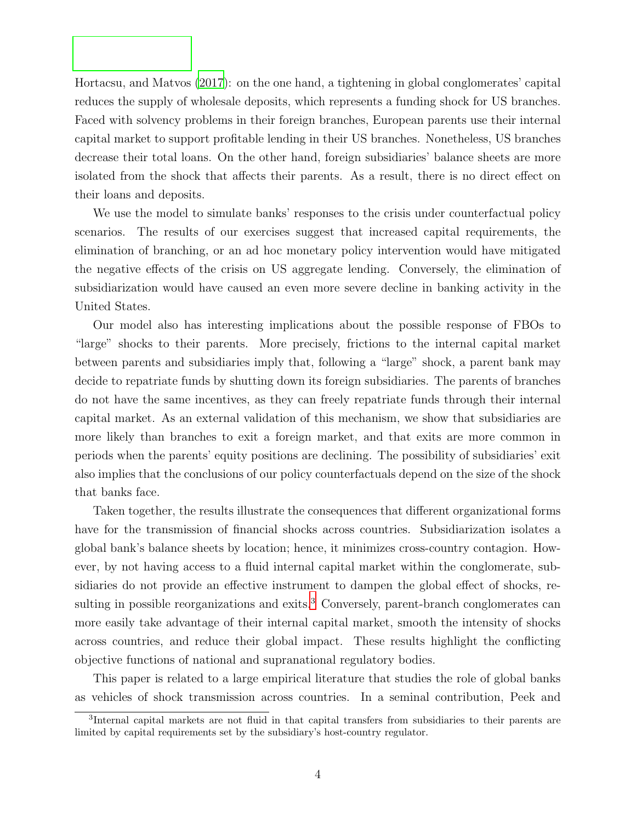Hortacsu, and Matvos [\(2017](#page-36-2)): on the one hand, a tightening in global conglomerates' capital reduces the supply of wholesale deposits, which represents a funding shock for US branches. Faced with solvency problems in their foreign branches, European parents use their internal capital market to support profitable lending in their US branches. Nonetheless, US branches decrease their total loans. On the other hand, foreign subsidiaries' balance sheets are more isolated from the shock that affects their parents. As a result, there is no direct effect on their loans and deposits.

We use the model to simulate banks' responses to the crisis under counterfactual policy scenarios. The results of our exercises suggest that increased capital requirements, the elimination of branching, or an ad hoc monetary policy intervention would have mitigated the negative effects of the crisis on US aggregate lending. Conversely, the elimination of subsidiarization would have caused an even more severe decline in banking activity in the United States.

Our model also has interesting implications about the possible response of FBOs to "large" shocks to their parents. More precisely, frictions to the internal capital market between parents and subsidiaries imply that, following a "large" shock, a parent bank may decide to repatriate funds by shutting down its foreign subsidiaries. The parents of branches do not have the same incentives, as they can freely repatriate funds through their internal capital market. As an external validation of this mechanism, we show that subsidiaries are more likely than branches to exit a foreign market, and that exits are more common in periods when the parents' equity positions are declining. The possibility of subsidiaries' exit also implies that the conclusions of our policy counterfactuals depend on the size of the shock that banks face.

Taken together, the results illustrate the consequences that different organizational forms have for the transmission of financial shocks across countries. Subsidiarization isolates a global bank's balance sheets by location; hence, it minimizes cross-country contagion. However, by not having access to a fluid internal capital market within the conglomerate, subsidiaries do not provide an effective instrument to dampen the global effect of shocks, re-sulting in possible reorganizations and exits.<sup>[3](#page-3-0)</sup> Conversely, parent-branch conglomerates can more easily take advantage of their internal capital market, smooth the intensity of shocks across countries, and reduce their global impact. These results highlight the conflicting objective functions of national and supranational regulatory bodies.

This paper is related to a large empirical literature that studies the role of global banks as vehicles of shock transmission across countries. In a seminal contribution, Peek and

<span id="page-3-0"></span><sup>3</sup> Internal capital markets are not fluid in that capital transfers from subsidiaries to their parents are limited by capital requirements set by the subsidiary's host-country regulator.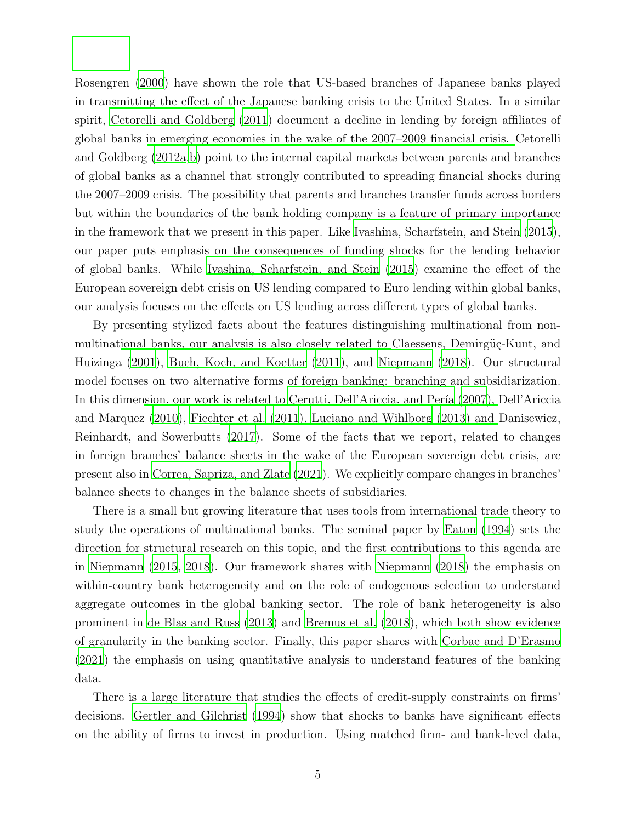Rosengren [\(2000\)](#page-38-0) have shown the role that US-based branches of Japanese banks played in transmitting the effect of the Japanese banking crisis to the United States. In a similar spirit, [Cetorelli and Goldberg \(2011\)](#page-35-0) document a decline in lending by foreign affiliates of global banks [in emerging economies in the wake of the 2007–2009 financial crisis.](#page-36-0) Cetorelli and Goldberg [\(2012a](#page-36-0)[,b\)](#page-36-1) point to the internal capital markets between parents and branches of global banks as a channel that strongly contributed to spreading financial shocks during the 2007–2009 crisis. The possibility that parents and branches transfer funds across borders but within the boundaries of the bank holding company is a feature of primary importance in the framework that we present in this paper. Like [Ivashina, Scharfstein, and Stein \(2015](#page-37-3)), our paper puts emphasis on the consequences of funding shocks for the lending behavior of global banks. While [Ivashina, Scharfstein, and Stein \(2015\)](#page-37-3) examine the effect of the European sovereign debt crisis on US lending compared to Euro lending within global banks, our analysis focuses on the effects on US lending across different types of global banks.

By presenting stylized facts about the features distinguishing multinational from nonmultinat[ional banks, our analysis is also closely related to](#page-36-3) Claessens, Demirgüç-Kunt, and Huizinga [\(2001\)](#page-36-3), [Buch, Koch, and Koetter \(2011\)](#page-35-1), and [Niepmann](#page-37-4) [\(2018](#page-37-4)). Our structural model focuses on two alternative forms of foreign banking: branching and subsidiarization. In this dime[nsion, our work is related to](#page-36-4) Cerutti, Dell'Ariccia, and Pería (2007[\),](#page-36-4) Dell'Ariccia and Marquez [\(2010\)](#page-36-4), [Fiechter et al. \(2011](#page-37-5)[\),](#page-36-5) [Luciano and Wihlborg \(2013](#page-37-6)[\) and](#page-36-5) Danisewicz, Reinhardt, and Sowerbutts [\(2017\)](#page-36-5). Some of the facts that we report, related to changes in foreign branches' balance sheets in the wake of the European sovereign debt crisis, are present also in [Correa, Sapriza, and Zlate \(2021](#page-36-6)). We explicitly compare changes in branches' balance sheets to changes in the balance sheets of subsidiaries.

There is a small but growing literature that uses tools from international trade theory to study the operations of multinational banks. The seminal paper by [Eaton \(1994](#page-36-7)) sets the direction for structural research on this topic, and the first contributions to this agenda are in [Niepmann \(2015,](#page-37-7) [2018](#page-37-4)). Our framework shares with [Niepmann \(2018](#page-37-4)) the emphasis on within-country bank heterogeneity and on the role of endogenous selection to understand aggregate outcomes in the global banking sector. The role of bank heterogeneity is also prominent in [de Blas and Russ \(2013\)](#page-36-8) and [Bremus et al. \(2018\)](#page-35-3), which both show evidence of granularity in the banking sector. Finally, this paper shares with [Corbae and D'Erasmo](#page-36-9) [\(2021\)](#page-36-9) the emphasis on using quantitative analysis to understand features of the banking data.

There is a large literature that studies the effects of credit-supply constraints on firms' decisions. [Gertler and Gilchrist \(1994](#page-37-8)) show that shocks to banks have significant effects on the ability of firms to invest in production. Using matched firm- and bank-level data,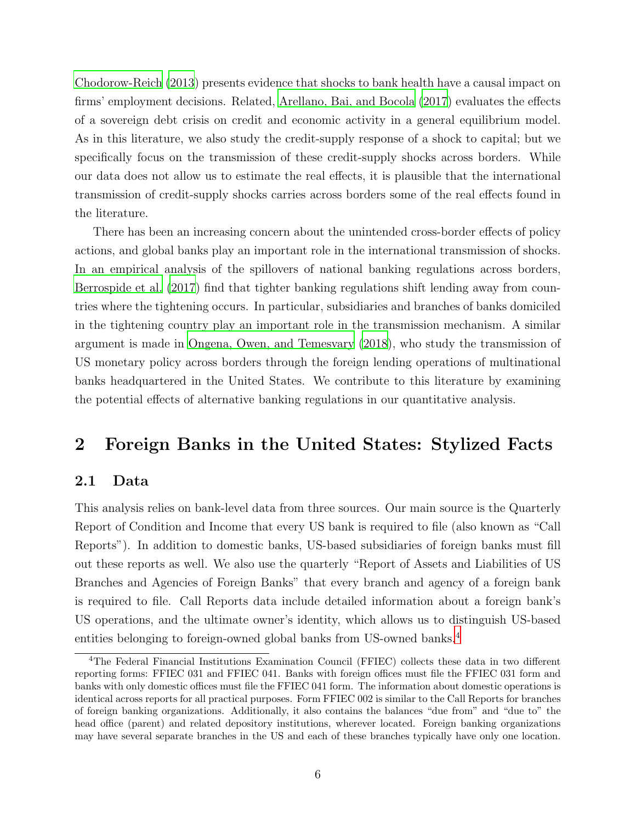[Chodorow-Reich \(2013](#page-36-10)) presents evidence that shocks to bank health have a causal impact on firms' employment decisions. Related, [Arellano, Bai, and Bocola \(2017\)](#page-35-4) evaluates the effects of a sovereign debt crisis on credit and economic activity in a general equilibrium model. As in this literature, we also study the credit-supply response of a shock to capital; but we specifically focus on the transmission of these credit-supply shocks across borders. While our data does not allow us to estimate the real effects, it is plausible that the international transmission of credit-supply shocks carries across borders some of the real effects found in the literature.

There has been an increasing concern about the unintended cross-border effects of policy actions, and global banks play an important role in the international transmission of shocks. In an empirical analysis of the spillovers of national banking regulations across borders, [Berrospide et al. \(2017](#page-35-5)) find that tighter banking regulations shift lending away from countries where the tightening occurs. In particular, subsidiaries and branches of banks domiciled in the tightening country play an important role in the transmission mechanism. A similar argument is made in [Ongena, Owen, and Temesvary \(2018](#page-38-1)), who study the transmission of US monetary policy across borders through the foreign lending operations of multinational banks headquartered in the United States. We contribute to this literature by examining the potential effects of alternative banking regulations in our quantitative analysis.

# 2 Foreign Banks in the United States: Stylized Facts

#### 2.1 Data

This analysis relies on bank-level data from three sources. Our main source is the Quarterly Report of Condition and Income that every US bank is required to file (also known as "Call Reports"). In addition to domestic banks, US-based subsidiaries of foreign banks must fill out these reports as well. We also use the quarterly "Report of Assets and Liabilities of US Branches and Agencies of Foreign Banks" that every branch and agency of a foreign bank is required to file. Call Reports data include detailed information about a foreign bank's US operations, and the ultimate owner's identity, which allows us to distinguish US-based entities belonging to foreign-owned global banks from US-owned banks.[4](#page-5-0)

<span id="page-5-0"></span><sup>4</sup>The Federal Financial Institutions Examination Council (FFIEC) collects these data in two different reporting forms: FFIEC 031 and FFIEC 041. Banks with foreign offices must file the FFIEC 031 form and banks with only domestic offices must file the FFIEC 041 form. The information about domestic operations is identical across reports for all practical purposes. Form FFIEC 002 is similar to the Call Reports for branches of foreign banking organizations. Additionally, it also contains the balances "due from" and "due to" the head office (parent) and related depository institutions, wherever located. Foreign banking organizations may have several separate branches in the US and each of these branches typically have only one location.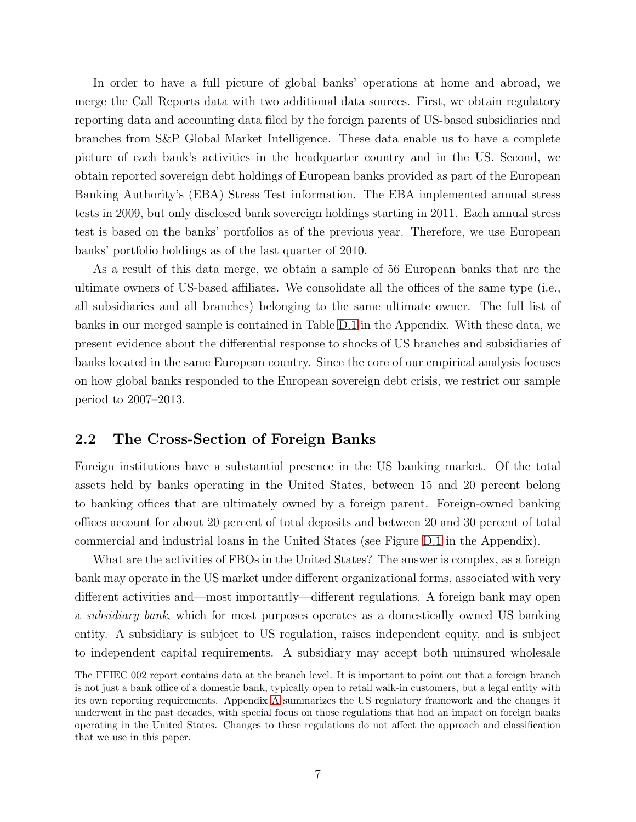In order to have a full picture of global banks' operations at home and abroad, we merge the Call Reports data with two additional data sources. First, we obtain regulatory reporting data and accounting data filed by the foreign parents of US-based subsidiaries and branches from S&P Global Market Intelligence. These data enable us to have a complete picture of each bank's activities in the headquarter country and in the US. Second, we obtain reported sovereign debt holdings of European banks provided as part of the European Banking Authority's (EBA) Stress Test information. The EBA implemented annual stress tests in 2009, but only disclosed bank sovereign holdings starting in 2011. Each annual stress test is based on the banks' portfolios as of the previous year. Therefore, we use European banks' portfolio holdings as of the last quarter of 2010.

As a result of this data merge, we obtain a sample of 56 European banks that are the ultimate owners of US-based affiliates. We consolidate all the offices of the same type (i.e., all subsidiaries and all branches) belonging to the same ultimate owner. The full list of banks in our merged sample is contained in Table [D.1](#page-45-0) in the Appendix. With these data, we present evidence about the differential response to shocks of US branches and subsidiaries of banks located in the same European country. Since the core of our empirical analysis focuses on how global banks responded to the European sovereign debt crisis, we restrict our sample period to 2007–2013.

### 2.2 The Cross-Section of Foreign Banks

Foreign institutions have a substantial presence in the US banking market. Of the total assets held by banks operating in the United States, between 15 and 20 percent belong to banking offices that are ultimately owned by a foreign parent. Foreign-owned banking offices account for about 20 percent of total deposits and between 20 and 30 percent of total commercial and industrial loans in the United States (see Figure [D.1](#page-57-0) in the Appendix).

What are the activities of FBOs in the United States? The answer is complex, as a foreign bank may operate in the US market under different organizational forms, associated with very different activities and—most importantly—different regulations. A foreign bank may open a subsidiary bank, which for most purposes operates as a domestically owned US banking entity. A subsidiary is subject to US regulation, raises independent equity, and is subject to independent capital requirements. A subsidiary may accept both uninsured wholesale

The FFIEC 002 report contains data at the branch level. It is important to point out that a foreign branch is not just a bank office of a domestic bank, typically open to retail walk-in customers, but a legal entity with its own reporting requirements. Appendix [A](#page-39-0) summarizes the US regulatory framework and the changes it underwent in the past decades, with special focus on those regulations that had an impact on foreign banks operating in the United States. Changes to these regulations do not affect the approach and classification that we use in this paper.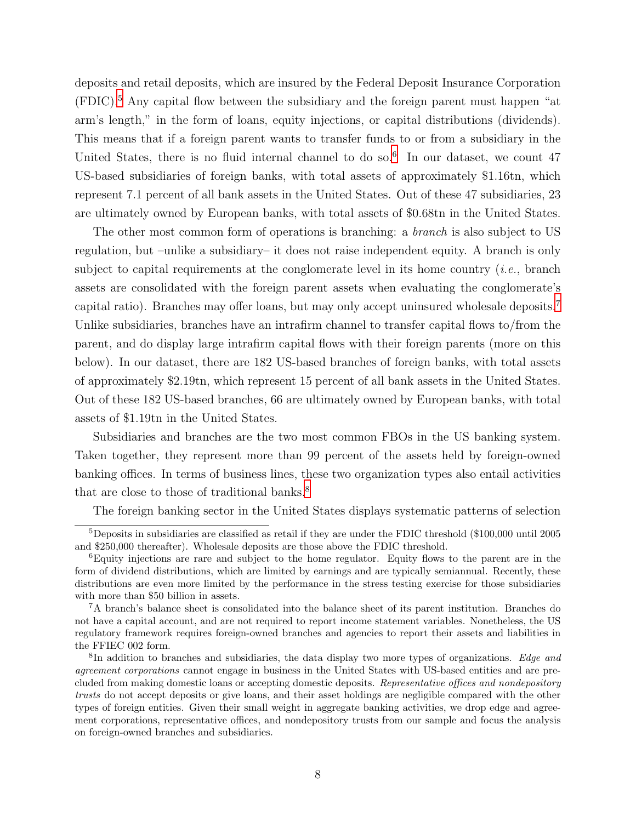deposits and retail deposits, which are insured by the Federal Deposit Insurance Corporation  $(FDIC)$ <sup>[5](#page-7-0)</sup>. Any capital flow between the subsidiary and the foreign parent must happen "at arm's length," in the form of loans, equity injections, or capital distributions (dividends). This means that if a foreign parent wants to transfer funds to or from a subsidiary in the United States, there is no fluid internal channel to do so.<sup>[6](#page-7-1)</sup> In our dataset, we count 47 US-based subsidiaries of foreign banks, with total assets of approximately \$1.16tn, which represent 7.1 percent of all bank assets in the United States. Out of these 47 subsidiaries, 23 are ultimately owned by European banks, with total assets of \$0.68tn in the United States.

The other most common form of operations is branching: a *branch* is also subject to US regulation, but –unlike a subsidiary– it does not raise independent equity. A branch is only subject to capital requirements at the conglomerate level in its home country (*i.e.*, branch assets are consolidated with the foreign parent assets when evaluating the conglomerate's capital ratio). Branches may offer loans, but may only accept uninsured wholesale deposits.[7](#page-7-2) Unlike subsidiaries, branches have an intrafirm channel to transfer capital flows to/from the parent, and do display large intrafirm capital flows with their foreign parents (more on this below). In our dataset, there are 182 US-based branches of foreign banks, with total assets of approximately \$2.19tn, which represent 15 percent of all bank assets in the United States. Out of these 182 US-based branches, 66 are ultimately owned by European banks, with total assets of \$1.19tn in the United States.

Subsidiaries and branches are the two most common FBOs in the US banking system. Taken together, they represent more than 99 percent of the assets held by foreign-owned banking offices. In terms of business lines, these two organization types also entail activities that are close to those of traditional banks.<sup>[8](#page-7-3)</sup>

The foreign banking sector in the United States displays systematic patterns of selection

<span id="page-7-0"></span> $5$ Deposits in subsidiaries are classified as retail if they are under the FDIC threshold (\$100,000 until 2005) and \$250,000 thereafter). Wholesale deposits are those above the FDIC threshold.

<span id="page-7-1"></span><sup>6</sup>Equity injections are rare and subject to the home regulator. Equity flows to the parent are in the form of dividend distributions, which are limited by earnings and are typically semiannual. Recently, these distributions are even more limited by the performance in the stress testing exercise for those subsidiaries with more than \$50 billion in assets.

<span id="page-7-2"></span><sup>7</sup>A branch's balance sheet is consolidated into the balance sheet of its parent institution. Branches do not have a capital account, and are not required to report income statement variables. Nonetheless, the US regulatory framework requires foreign-owned branches and agencies to report their assets and liabilities in the FFIEC 002 form.

<span id="page-7-3"></span><sup>&</sup>lt;sup>8</sup>In addition to branches and subsidiaries, the data display two more types of organizations. Edge and agreement corporations cannot engage in business in the United States with US-based entities and are precluded from making domestic loans or accepting domestic deposits. Representative offices and nondepository trusts do not accept deposits or give loans, and their asset holdings are negligible compared with the other types of foreign entities. Given their small weight in aggregate banking activities, we drop edge and agreement corporations, representative offices, and nondepository trusts from our sample and focus the analysis on foreign-owned branches and subsidiaries.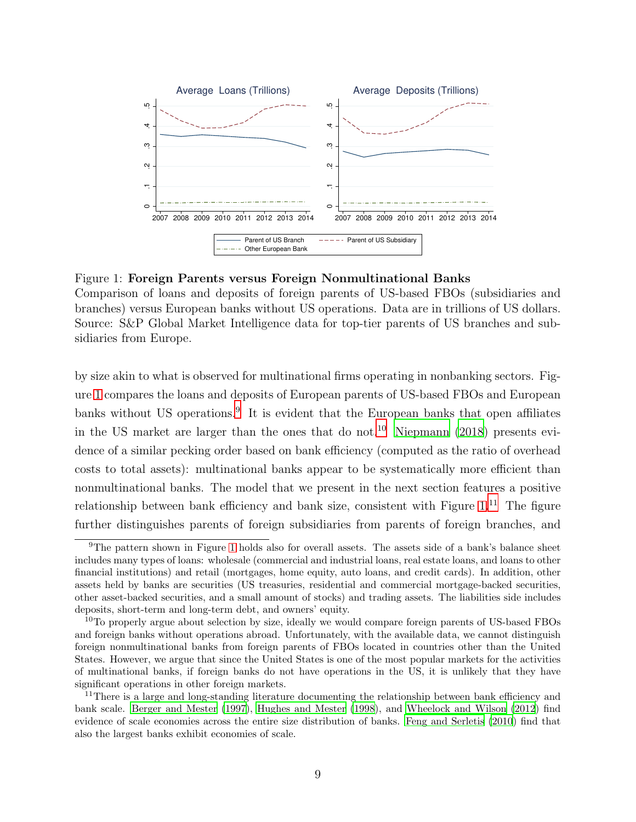<span id="page-8-0"></span>

Figure 1: Foreign Parents versus Foreign Nonmultinational Banks

Comparison of loans and deposits of foreign parents of US-based FBOs (subsidiaries and branches) versus European banks without US operations. Data are in trillions of US dollars. Source: S&P Global Market Intelligence data for top-tier parents of US branches and subsidiaries from Europe.

by size akin to what is observed for multinational firms operating in nonbanking sectors. Figure [1](#page-8-0) compares the loans and deposits of European parents of US-based FBOs and European banks without US operations.<sup>[9](#page-8-1)</sup> It is evident that the European banks that open affiliates in the US market are larger than the ones that do not.<sup>[10](#page-8-2)</sup> [Niepmann \(2018\)](#page-37-4) presents evidence of a similar pecking order based on bank efficiency (computed as the ratio of overhead costs to total assets): multinational banks appear to be systematically more efficient than nonmultinational banks. The model that we present in the next section features a positive relationship between bank efficiency and bank size, consistent with Figure  $1<sup>11</sup>$  $1<sup>11</sup>$  $1<sup>11</sup>$  The figure further distinguishes parents of foreign subsidiaries from parents of foreign branches, and

<span id="page-8-1"></span><sup>9</sup>The pattern shown in Figure [1](#page-8-0) holds also for overall assets. The assets side of a bank's balance sheet includes many types of loans: wholesale (commercial and industrial loans, real estate loans, and loans to other financial institutions) and retail (mortgages, home equity, auto loans, and credit cards). In addition, other assets held by banks are securities (US treasuries, residential and commercial mortgage-backed securities, other asset-backed securities, and a small amount of stocks) and trading assets. The liabilities side includes deposits, short-term and long-term debt, and owners' equity.

<span id="page-8-2"></span><sup>&</sup>lt;sup>10</sup>To properly argue about selection by size, ideally we would compare foreign parents of US-based FBOs and foreign banks without operations abroad. Unfortunately, with the available data, we cannot distinguish foreign nonmultinational banks from foreign parents of FBOs located in countries other than the United States. However, we argue that since the United States is one of the most popular markets for the activities of multinational banks, if foreign banks do not have operations in the US, it is unlikely that they have significant operations in other foreign markets.

<span id="page-8-3"></span><sup>&</sup>lt;sup>11</sup>There is a large and long-standing literature documenting the relationship between bank efficiency and bank scale. [Berger and Mester \(1997\)](#page-35-6), [Hughes and Mester \(1998\)](#page-37-9), and [Wheelock and Wilson \(2012\)](#page-38-2) find evidence of scale economies across the entire size distribution of banks. [Feng and Serletis \(2010\)](#page-37-10) find that also the largest banks exhibit economies of scale.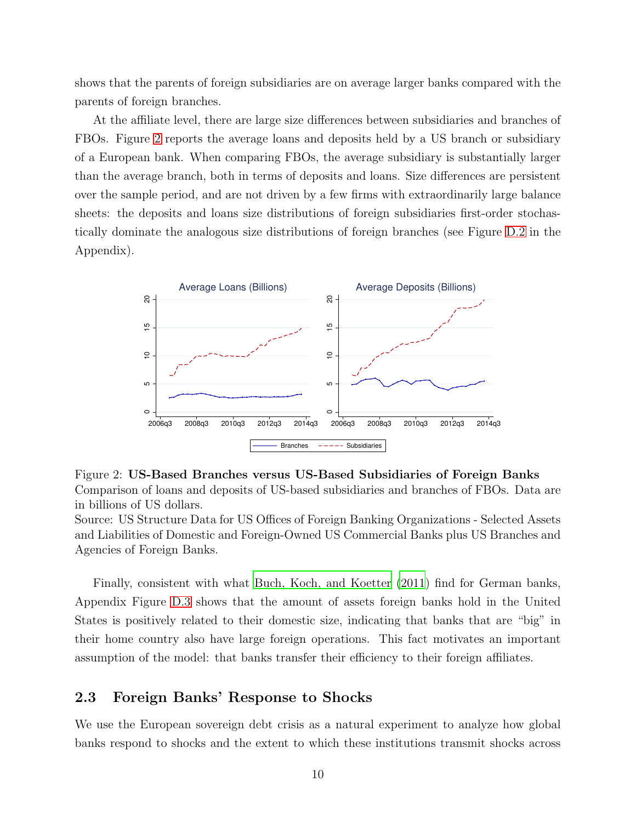shows that the parents of foreign subsidiaries are on average larger banks compared with the parents of foreign branches.

At the affiliate level, there are large size differences between subsidiaries and branches of FBOs. Figure [2](#page-9-0) reports the average loans and deposits held by a US branch or subsidiary of a European bank. When comparing FBOs, the average subsidiary is substantially larger than the average branch, both in terms of deposits and loans. Size differences are persistent over the sample period, and are not driven by a few firms with extraordinarily large balance sheets: the deposits and loans size distributions of foreign subsidiaries first-order stochastically dominate the analogous size distributions of foreign branches (see Figure [D.2](#page-57-1) in the Appendix).

<span id="page-9-0"></span>![](_page_9_Figure_2.jpeg)

Figure 2: US-Based Branches versus US-Based Subsidiaries of Foreign Banks Comparison of loans and deposits of US-based subsidiaries and branches of FBOs. Data are in billions of US dollars.

Source: US Structure Data for US Offices of Foreign Banking Organizations - Selected Assets and Liabilities of Domestic and Foreign-Owned US Commercial Banks plus US Branches and Agencies of Foreign Banks.

Finally, consistent with what [Buch, Koch, and Koetter \(2011](#page-35-1)) find for German banks, Appendix Figure [D.3](#page-58-0) shows that the amount of assets foreign banks hold in the United States is positively related to their domestic size, indicating that banks that are "big" in their home country also have large foreign operations. This fact motivates an important assumption of the model: that banks transfer their efficiency to their foreign affiliates.

#### 2.3 Foreign Banks' Response to Shocks

We use the European sovereign debt crisis as a natural experiment to analyze how global banks respond to shocks and the extent to which these institutions transmit shocks across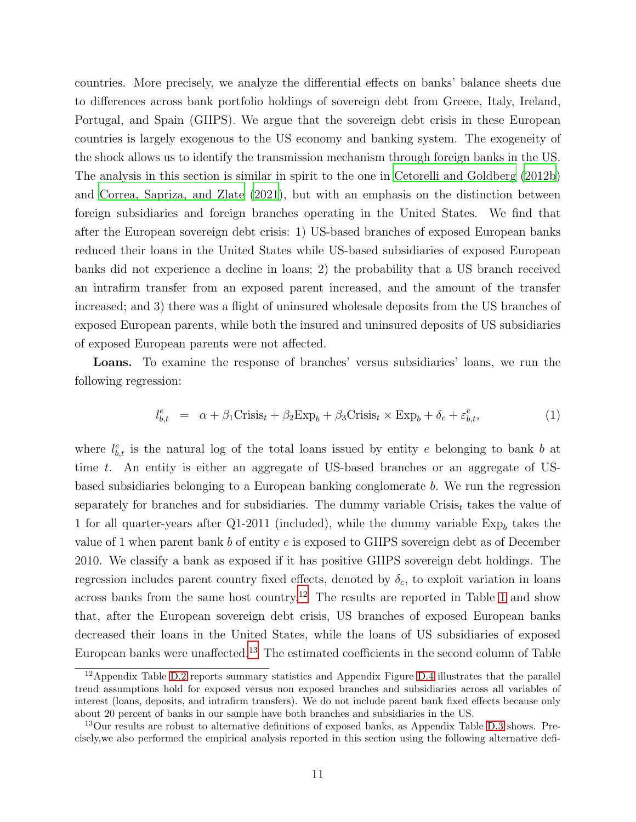countries. More precisely, we analyze the differential effects on banks' balance sheets due to differences across bank portfolio holdings of sovereign debt from Greece, Italy, Ireland, Portugal, and Spain (GIIPS). We argue that the sovereign debt crisis in these European countries is largely exogenous to the US economy and banking system. The exogeneity of the shock allows us to identify the transmission mechanism through foreign banks in the US. The analysis in this section is similar in spirit to the one in [Cetorelli and Goldberg \(2012b](#page-36-1)) and [Correa, Sapriza, and Zlate \(2021](#page-36-6)), but with an emphasis on the distinction between foreign subsidiaries and foreign branches operating in the United States. We find that after the European sovereign debt crisis: 1) US-based branches of exposed European banks reduced their loans in the United States while US-based subsidiaries of exposed European banks did not experience a decline in loans; 2) the probability that a US branch received an intrafirm transfer from an exposed parent increased, and the amount of the transfer increased; and 3) there was a flight of uninsured wholesale deposits from the US branches of exposed European parents, while both the insured and uninsured deposits of US subsidiaries of exposed European parents were not affected.

Loans. To examine the response of branches' versus subsidiaries' loans, we run the following regression:

$$
l_{b,t}^{e} = \alpha + \beta_1 \text{Crisis}_t + \beta_2 \text{Exp}_b + \beta_3 \text{Crisis}_t \times \text{Exp}_b + \delta_c + \varepsilon_{b,t}^{e},\tag{1}
$$

where  $l_{b,t}^e$  is the natural log of the total loans issued by entity e belonging to bank b at time t. An entity is either an aggregate of US-based branches or an aggregate of USbased subsidiaries belonging to a European banking conglomerate b. We run the regression separately for branches and for subsidiaries. The dummy variable  $Crisis<sub>t</sub>$  takes the value of 1 for all quarter-years after Q1-2011 (included), while the dummy variable  $Exp_b$  takes the value of 1 when parent bank  $b$  of entity  $e$  is exposed to GIIPS sovereign debt as of December 2010. We classify a bank as exposed if it has positive GIIPS sovereign debt holdings. The regression includes parent country fixed effects, denoted by  $\delta_c$ , to exploit variation in loans across banks from the same host country.<sup>[12](#page-10-0)</sup> The results are reported in Table [1](#page-11-0) and show that, after the European sovereign debt crisis, US branches of exposed European banks decreased their loans in the United States, while the loans of US subsidiaries of exposed European banks were unaffected.[13](#page-10-1) The estimated coefficients in the second column of Table

<span id="page-10-0"></span> $12$ Appendix Table [D.2](#page-48-0) reports summary statistics and Appendix Figure [D.4](#page-59-0) illustrates that the parallel trend assumptions hold for exposed versus non exposed branches and subsidiaries across all variables of interest (loans, deposits, and intrafirm transfers). We do not include parent bank fixed effects because only about 20 percent of banks in our sample have both branches and subsidiaries in the US.

<span id="page-10-1"></span><sup>&</sup>lt;sup>13</sup>Our results are robust to alternative definitions of exposed banks, as Appendix Table [D.3](#page-49-0) shows. Precisely,we also performed the empirical analysis reported in this section using the following alternative defi-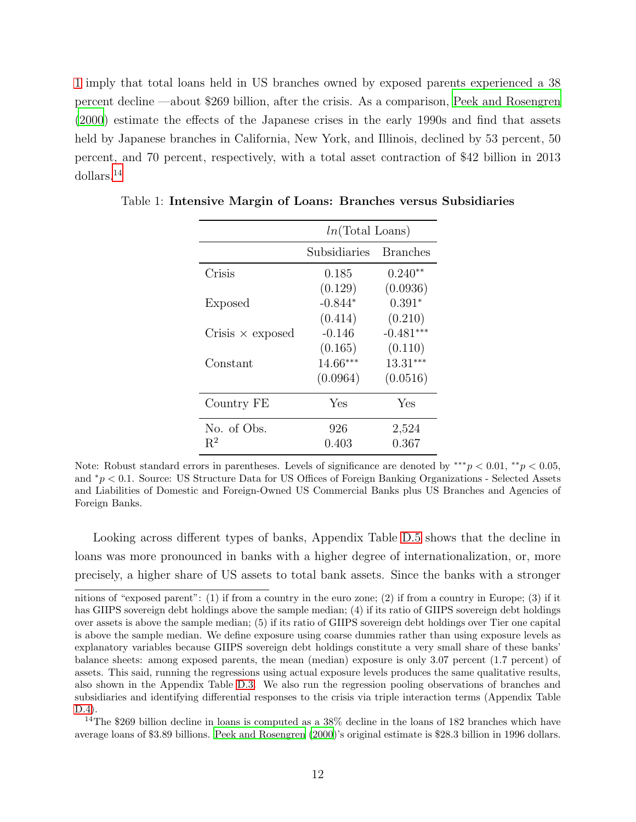[1](#page-11-0) imply that total loans held in US branches owned by exposed parents experienced a 38 percent decline —about \$269 billion, after the crisis. As a comparison, [Peek and Rosengren](#page-38-0) [\(2000\)](#page-38-0) estimate the effects of the Japanese crises in the early 1990s and find that assets held by Japanese branches in California, New York, and Illinois, declined by 53 percent, 50 percent, and 70 percent, respectively, with a total asset contraction of \$42 billion in 2013 dollars.[14](#page-11-1)

|                         | $ln(Total$ Loans) |                 |  |  |  |
|-------------------------|-------------------|-----------------|--|--|--|
|                         | Subsidiaries      | <b>Branches</b> |  |  |  |
| Crisis                  | 0.185             | $0.240**$       |  |  |  |
|                         | (0.129)           | (0.0936)        |  |  |  |
| <b>Exposed</b>          | $-0.844*$         | $0.391*$        |  |  |  |
|                         | (0.414)           | (0.210)         |  |  |  |
| Crisis $\times$ exposed | $-0.146$          | $-0.481***$     |  |  |  |
|                         | (0.165)           | (0.110)         |  |  |  |
| Constant                | 14.66***          | $13.31***$      |  |  |  |
|                         | (0.0964)          | (0.0516)        |  |  |  |
| Country FE              | Yes               | Yes             |  |  |  |
| No. of Obs.             | 926               | 2,524           |  |  |  |
| $R^2$                   | 0.403             | 0.367           |  |  |  |

<span id="page-11-0"></span>Table 1: Intensive Margin of Loans: Branches versus Subsidiaries

Note: Robust standard errors in parentheses. Levels of significance are denoted by \*\*\* $p < 0.01$ , \*\* $p < 0.05$ , and <sup>∗</sup>p < 0.1. Source: US Structure Data for US Offices of Foreign Banking Organizations - Selected Assets and Liabilities of Domestic and Foreign-Owned US Commercial Banks plus US Branches and Agencies of Foreign Banks.

Looking across different types of banks, Appendix Table [D.5](#page-51-0) shows that the decline in loans was more pronounced in banks with a higher degree of internationalization, or, more precisely, a higher share of US assets to total bank assets. Since the banks with a stronger

<span id="page-11-1"></span><sup>14</sup>The \$269 billion decline in loans is computed as a  $38\%$  decline in the loans of 182 branches which have average loans of \$3.89 billions. [Peek and Rosengren \(2000\)](#page-38-0)'s original estimate is \$28.3 billion in 1996 dollars.

nitions of "exposed parent": (1) if from a country in the euro zone; (2) if from a country in Europe; (3) if it has GIIPS sovereign debt holdings above the sample median; (4) if its ratio of GIIPS sovereign debt holdings over assets is above the sample median; (5) if its ratio of GIIPS sovereign debt holdings over Tier one capital is above the sample median. We define exposure using coarse dummies rather than using exposure levels as explanatory variables because GIIPS sovereign debt holdings constitute a very small share of these banks' balance sheets: among exposed parents, the mean (median) exposure is only 3.07 percent (1.7 percent) of assets. This said, running the regressions using actual exposure levels produces the same qualitative results, also shown in the Appendix Table [D.3.](#page-49-0) We also run the regression pooling observations of branches and subsidiaries and identifying differential responses to the crisis via triple interaction terms (Appendix Table [D.4\)](#page-50-0).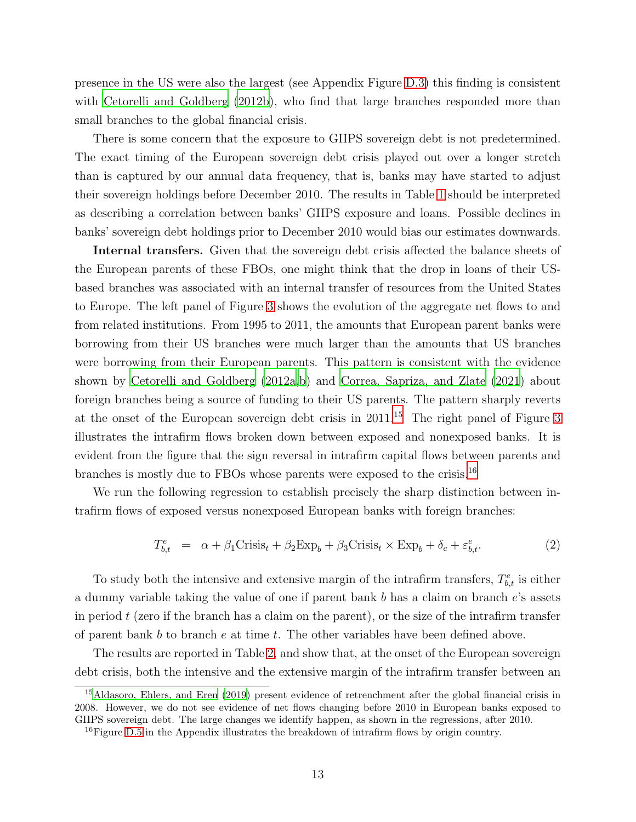presence in the US were also the largest (see Appendix Figure [D.3\)](#page-58-0) this finding is consistent with [Cetorelli and Goldberg \(2012b](#page-36-1)), who find that large branches responded more than small branches to the global financial crisis.

There is some concern that the exposure to GIIPS sovereign debt is not predetermined. The exact timing of the European sovereign debt crisis played out over a longer stretch than is captured by our annual data frequency, that is, banks may have started to adjust their sovereign holdings before December 2010. The results in Table [1](#page-11-0) should be interpreted as describing a correlation between banks' GIIPS exposure and loans. Possible declines in banks' sovereign debt holdings prior to December 2010 would bias our estimates downwards.

Internal transfers. Given that the sovereign debt crisis affected the balance sheets of the European parents of these FBOs, one might think that the drop in loans of their USbased branches was associated with an internal transfer of resources from the United States to Europe. The left panel of Figure [3](#page-13-0) shows the evolution of the aggregate net flows to and from related institutions. From 1995 to 2011, the amounts that European parent banks were borrowing from their US branches were much larger than the amounts that US branches were borrowing from their European parents. This pattern is consistent with the evidence shown by [Cetorelli and Goldberg \(2012a](#page-36-0)[,b\)](#page-36-1) and [Correa, Sapriza, and Zlate \(2021\)](#page-36-6) about foreign branches being a source of funding to their US parents. The pattern sharply reverts at the onset of the European sovereign debt crisis in 2011.[15](#page-12-0) The right panel of Figure [3](#page-13-0) illustrates the intrafirm flows broken down between exposed and nonexposed banks. It is evident from the figure that the sign reversal in intrafirm capital flows between parents and branches is mostly due to FBOs whose parents were exposed to the crisis.[16](#page-12-1)

We run the following regression to establish precisely the sharp distinction between intrafirm flows of exposed versus nonexposed European banks with foreign branches:

$$
T_{b,t}^{e} = \alpha + \beta_1 \text{Crisis}_t + \beta_2 \text{Exp}_b + \beta_3 \text{Crisis}_t \times \text{Exp}_b + \delta_c + \varepsilon_{b,t}^{e}.
$$
 (2)

To study both the intensive and extensive margin of the intrafirm transfers,  $T_{b,t}^e$  is either a dummy variable taking the value of one if parent bank b has a claim on branch e's assets in period  $t$  (zero if the branch has a claim on the parent), or the size of the intrafirm transfer of parent bank b to branch  $e$  at time  $t$ . The other variables have been defined above.

The results are reported in Table [2,](#page-13-1) and show that, at the onset of the European sovereign debt crisis, both the intensive and the extensive margin of the intrafirm transfer between an

<span id="page-12-0"></span><sup>15</sup>[Aldasoro, Ehlers, and Eren \(2019](#page-35-7)) present evidence of retrenchment after the global financial crisis in 2008. However, we do not see evidence of net flows changing before 2010 in European banks exposed to GIIPS sovereign debt. The large changes we identify happen, as shown in the regressions, after 2010.

<span id="page-12-1"></span><sup>&</sup>lt;sup>16</sup>Figure [D.5](#page-60-0) in the Appendix illustrates the breakdown of intrafirm flows by origin country.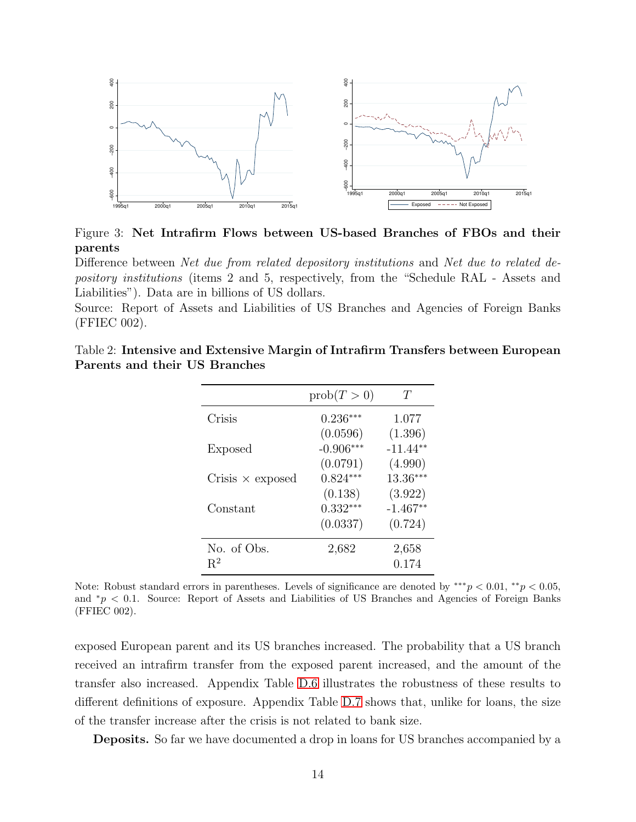<span id="page-13-0"></span>![](_page_13_Figure_0.jpeg)

Figure 3: Net Intrafirm Flows between US-based Branches of FBOs and their parents

Difference between Net due from related depository institutions and Net due to related depository institutions (items 2 and 5, respectively, from the "Schedule RAL - Assets and Liabilities"). Data are in billions of US dollars.

<span id="page-13-1"></span>Source: Report of Assets and Liabilities of US Branches and Agencies of Foreign Banks (FFIEC 002).

|  | Table 2: Intensive and Extensive Margin of Intrafirm Transfers between European |  |  |  |
|--|---------------------------------------------------------------------------------|--|--|--|
|  | Parents and their US Branches                                                   |  |  |  |

|                         | prob(T>0)   | Ŧ          |
|-------------------------|-------------|------------|
| Crisis                  | $0.236***$  | 1.077      |
|                         | (0.0596)    | (1.396)    |
| Exposed                 | $-0.906***$ | $-11.44**$ |
|                         | (0.0791)    | (4.990)    |
| Crisis $\times$ exposed | $0.824***$  | 13.36***   |
|                         | (0.138)     | (3.922)    |
| Constant                | $0.332***$  | $-1.467**$ |
|                         | (0.0337)    | (0.724)    |
| No. of Obs.             | 2,682       | 2,658      |
| $R^2$                   |             | 0.174      |

Note: Robust standard errors in parentheses. Levels of significance are denoted by \*\*\* $p < 0.01$ , \*\* $p < 0.05$ , and <sup>∗</sup>p < 0.1. Source: Report of Assets and Liabilities of US Branches and Agencies of Foreign Banks (FFIEC 002).

exposed European parent and its US branches increased. The probability that a US branch received an intrafirm transfer from the exposed parent increased, and the amount of the transfer also increased. Appendix Table [D.6](#page-52-0) illustrates the robustness of these results to different definitions of exposure. Appendix Table [D.7](#page-53-0) shows that, unlike for loans, the size of the transfer increase after the crisis is not related to bank size.

Deposits. So far we have documented a drop in loans for US branches accompanied by a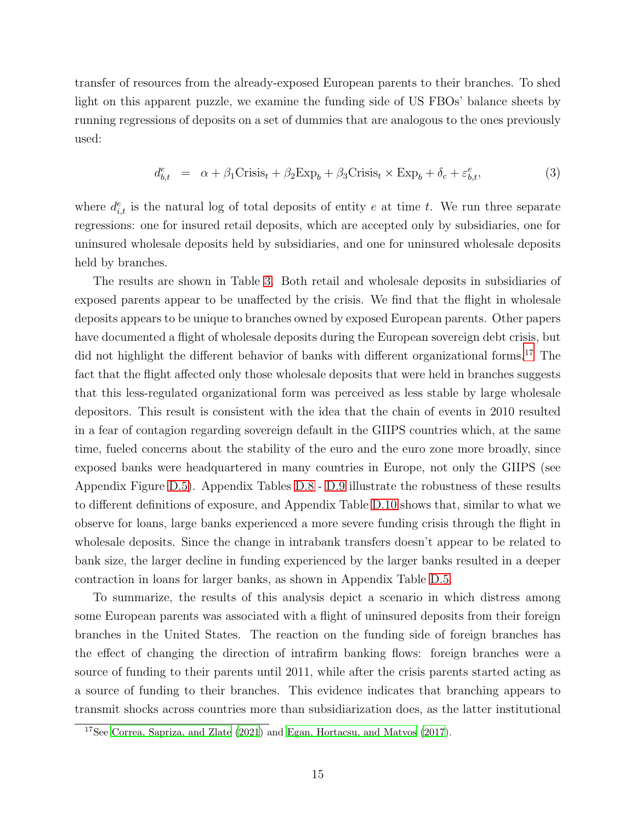transfer of resources from the already-exposed European parents to their branches. To shed light on this apparent puzzle, we examine the funding side of US FBOs' balance sheets by running regressions of deposits on a set of dummies that are analogous to the ones previously used:

$$
d_{b,t}^e = \alpha + \beta_1 \text{Crisis}_t + \beta_2 \text{Exp}_b + \beta_3 \text{Crisis}_t \times \text{Exp}_b + \delta_c + \varepsilon_{b,t}^e,\tag{3}
$$

where  $d_{i,t}^e$  is the natural log of total deposits of entity e at time t. We run three separate regressions: one for insured retail deposits, which are accepted only by subsidiaries, one for uninsured wholesale deposits held by subsidiaries, and one for uninsured wholesale deposits held by branches.

The results are shown in Table [3.](#page-15-0) Both retail and wholesale deposits in subsidiaries of exposed parents appear to be unaffected by the crisis. We find that the flight in wholesale deposits appears to be unique to branches owned by exposed European parents. Other papers have documented a flight of wholesale deposits during the European sovereign debt crisis, but did not highlight the different behavior of banks with different organizational forms.<sup>[17](#page-14-0)</sup> The fact that the flight affected only those wholesale deposits that were held in branches suggests that this less-regulated organizational form was perceived as less stable by large wholesale depositors. This result is consistent with the idea that the chain of events in 2010 resulted in a fear of contagion regarding sovereign default in the GIIPS countries which, at the same time, fueled concerns about the stability of the euro and the euro zone more broadly, since exposed banks were headquartered in many countries in Europe, not only the GIIPS (see Appendix Figure [D.5\)](#page-60-0). Appendix Tables [D.8](#page-54-0) - [D.9](#page-55-0) illustrate the robustness of these results to different definitions of exposure, and Appendix Table [D.10](#page-55-1) shows that, similar to what we observe for loans, large banks experienced a more severe funding crisis through the flight in wholesale deposits. Since the change in intrabank transfers doesn't appear to be related to bank size, the larger decline in funding experienced by the larger banks resulted in a deeper contraction in loans for larger banks, as shown in Appendix Table [D.5.](#page-51-0)

To summarize, the results of this analysis depict a scenario in which distress among some European parents was associated with a flight of uninsured deposits from their foreign branches in the United States. The reaction on the funding side of foreign branches has the effect of changing the direction of intrafirm banking flows: foreign branches were a source of funding to their parents until 2011, while after the crisis parents started acting as a source of funding to their branches. This evidence indicates that branching appears to transmit shocks across countries more than subsidiarization does, as the latter institutional

<span id="page-14-0"></span><sup>17</sup>See [Correa, Sapriza, and Zlate \(2021\)](#page-36-6) and [Egan, Hortacsu, and Matvos \(2017](#page-36-2)).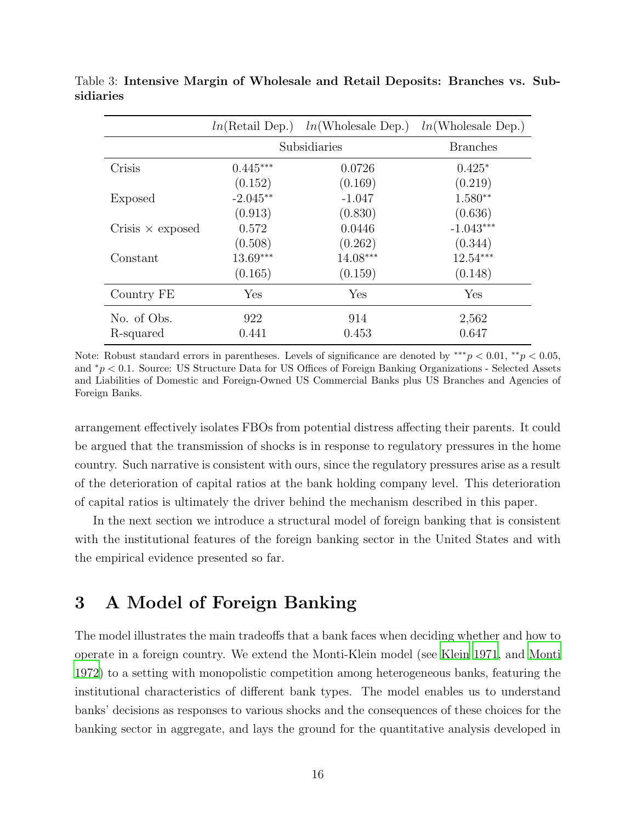|                         |            | $ln(Retail Dep.)$ $ln(Wholesale Dep.)$ $ln(Wholesale Dep.)$ |                 |
|-------------------------|------------|-------------------------------------------------------------|-----------------|
|                         |            | Subsidiaries                                                | <b>Branches</b> |
| Crisis                  | $0.445***$ | 0.0726                                                      | $0.425*$        |
|                         | (0.152)    | (0.169)                                                     | (0.219)         |
| Exposed                 | $-2.045**$ | $-1.047$                                                    | $1.580**$       |
|                         | (0.913)    | (0.830)                                                     | (0.636)         |
| Crisis $\times$ exposed | 0.572      | 0.0446                                                      | $-1.043***$     |
|                         | (0.508)    | (0.262)                                                     | (0.344)         |
| Constant                | $13.69***$ | 14.08***                                                    | $12.54***$      |
|                         | (0.165)    | (0.159)                                                     | (0.148)         |
| Country FE              | Yes        | Yes                                                         | Yes             |
| No. of Obs.             | 922        | 914                                                         | 2,562           |
| R-squared               | 0.441      | 0.453                                                       | 0.647           |

<span id="page-15-0"></span>Table 3: Intensive Margin of Wholesale and Retail Deposits: Branches vs. Subsidiaries

Note: Robust standard errors in parentheses. Levels of significance are denoted by \*\*\* $p < 0.01$ , \*\* $p < 0.05$ , and <sup>∗</sup>p < 0.1. Source: US Structure Data for US Offices of Foreign Banking Organizations - Selected Assets and Liabilities of Domestic and Foreign-Owned US Commercial Banks plus US Branches and Agencies of Foreign Banks.

arrangement effectively isolates FBOs from potential distress affecting their parents. It could be argued that the transmission of shocks is in response to regulatory pressures in the home country. Such narrative is consistent with ours, since the regulatory pressures arise as a result of the deterioration of capital ratios at the bank holding company level. This deterioration of capital ratios is ultimately the driver behind the mechanism described in this paper.

In the next section we introduce a structural model of foreign banking that is consistent with the institutional features of the foreign banking sector in the United States and with the empirical evidence presented so far.

# 3 A Model of Foreign Banking

The model illustrates the main tradeoffs that a bank faces when deciding whether and how to operate in a foreign country. We extend the Monti-Klein model (see [Klein 1971,](#page-37-1) and [Monti](#page-37-2) [1972](#page-37-2)) to a setting with monopolistic competition among heterogeneous banks, featuring the institutional characteristics of different bank types. The model enables us to understand banks' decisions as responses to various shocks and the consequences of these choices for the banking sector in aggregate, and lays the ground for the quantitative analysis developed in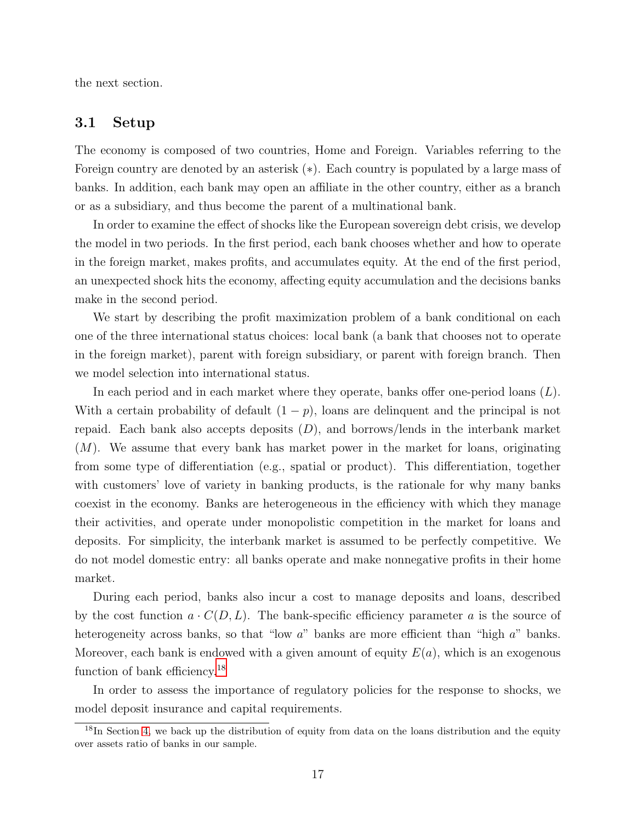the next section.

#### 3.1 Setup

The economy is composed of two countries, Home and Foreign. Variables referring to the Foreign country are denoted by an asterisk (∗). Each country is populated by a large mass of banks. In addition, each bank may open an affiliate in the other country, either as a branch or as a subsidiary, and thus become the parent of a multinational bank.

In order to examine the effect of shocks like the European sovereign debt crisis, we develop the model in two periods. In the first period, each bank chooses whether and how to operate in the foreign market, makes profits, and accumulates equity. At the end of the first period, an unexpected shock hits the economy, affecting equity accumulation and the decisions banks make in the second period.

We start by describing the profit maximization problem of a bank conditional on each one of the three international status choices: local bank (a bank that chooses not to operate in the foreign market), parent with foreign subsidiary, or parent with foreign branch. Then we model selection into international status.

In each period and in each market where they operate, banks offer one-period loans  $(L)$ . With a certain probability of default  $(1 - p)$ , loans are delinquent and the principal is not repaid. Each bank also accepts deposits  $(D)$ , and borrows/lends in the interbank market  $(M)$ . We assume that every bank has market power in the market for loans, originating from some type of differentiation (e.g., spatial or product). This differentiation, together with customers' love of variety in banking products, is the rationale for why many banks coexist in the economy. Banks are heterogeneous in the efficiency with which they manage their activities, and operate under monopolistic competition in the market for loans and deposits. For simplicity, the interbank market is assumed to be perfectly competitive. We do not model domestic entry: all banks operate and make nonnegative profits in their home market.

During each period, banks also incur a cost to manage deposits and loans, described by the cost function  $a \cdot C(D, L)$ . The bank-specific efficiency parameter a is the source of heterogeneity across banks, so that "low a" banks are more efficient than "high a" banks. Moreover, each bank is endowed with a given amount of equity  $E(a)$ , which is an exogenous function of bank efficiency.<sup>[18](#page-16-0)</sup>

In order to assess the importance of regulatory policies for the response to shocks, we model deposit insurance and capital requirements.

<span id="page-16-0"></span> $18$ In Section [4,](#page-45-1) we back up the distribution of equity from data on the loans distribution and the equity over assets ratio of banks in our sample.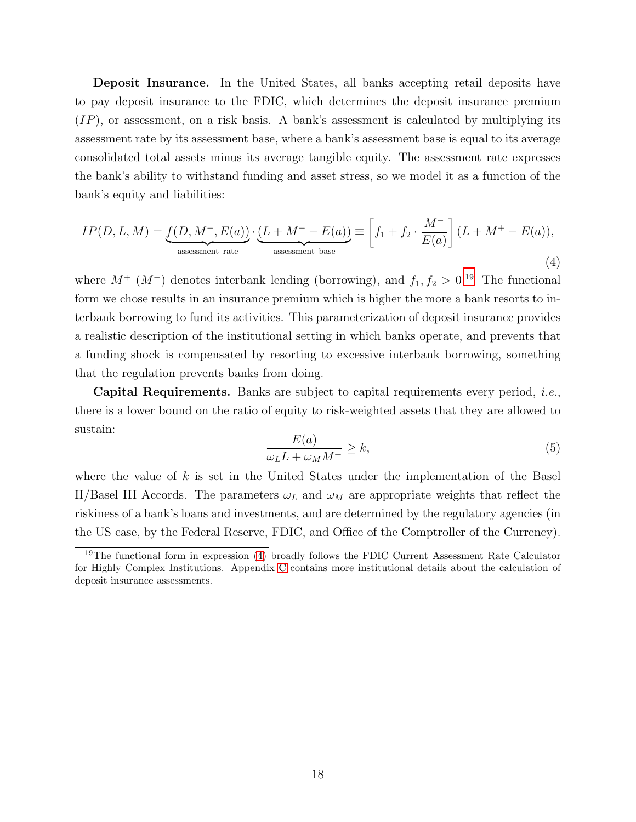Deposit Insurance. In the United States, all banks accepting retail deposits have to pay deposit insurance to the FDIC, which determines the deposit insurance premium  $(IP)$ , or assessment, on a risk basis. A bank's assessment is calculated by multiplying its assessment rate by its assessment base, where a bank's assessment base is equal to its average consolidated total assets minus its average tangible equity. The assessment rate expresses the bank's ability to withstand funding and asset stress, so we model it as a function of the bank's equity and liabilities:

$$
IP(D, L, M) = \underbrace{f(D, M^{-}, E(a))}_{\text{ assessment rate}} \cdot \underbrace{(L + M^{+} - E(a))}_{\text{ assessment base}} \equiv \left[ f_1 + f_2 \cdot \frac{M^{-}}{E(a)} \right] (L + M^{+} - E(a)),
$$
\n(4)

where  $M^+$  ( $M^-$ ) denotes interbank lending (borrowing), and  $f_1, f_2 > 0$ .<sup>[19](#page-17-0)</sup> The functional form we chose results in an insurance premium which is higher the more a bank resorts to interbank borrowing to fund its activities. This parameterization of deposit insurance provides a realistic description of the institutional setting in which banks operate, and prevents that a funding shock is compensated by resorting to excessive interbank borrowing, something that the regulation prevents banks from doing.

Capital Requirements. Banks are subject to capital requirements every period, i.e., there is a lower bound on the ratio of equity to risk-weighted assets that they are allowed to sustain:

$$
\frac{E(a)}{\omega_L L + \omega_M M^+} \ge k,\tag{5}
$$

where the value of  $k$  is set in the United States under the implementation of the Basel II/Basel III Accords. The parameters  $\omega_L$  and  $\omega_M$  are appropriate weights that reflect the riskiness of a bank's loans and investments, and are determined by the regulatory agencies (in the US case, by the Federal Reserve, FDIC, and Office of the Comptroller of the Currency).

<span id="page-17-0"></span><sup>&</sup>lt;sup>19</sup>The functional form in expression [\(4\)](#page-44-0) broadly follows the FDIC Current Assessment Rate Calculator for Highly Complex Institutions. Appendix [C](#page-42-0) contains more institutional details about the calculation of deposit insurance assessments.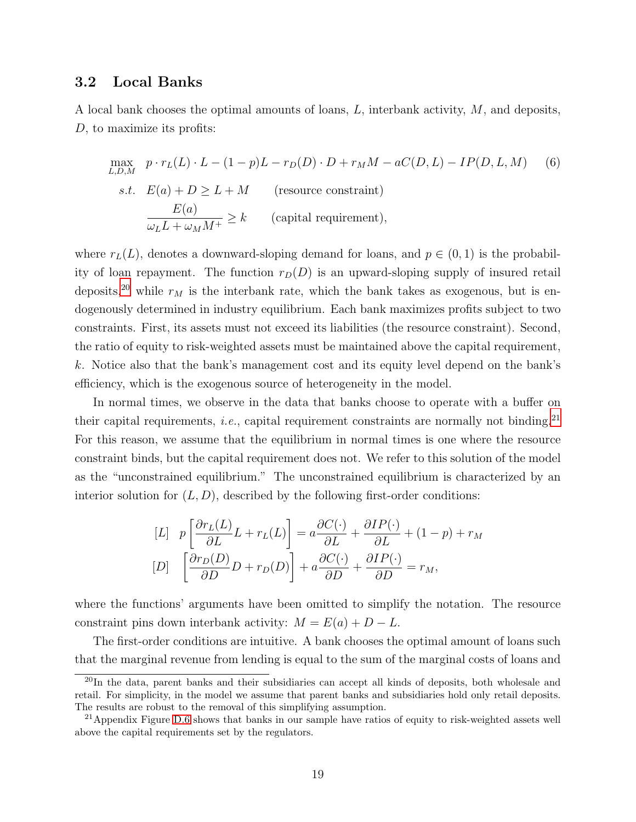#### 3.2 Local Banks

A local bank chooses the optimal amounts of loans, L, interbank activity, M, and deposits, D, to maximize its profits:

$$
\max_{L,D,M} \quad p \cdot r_L(L) \cdot L - (1 - p)L - r_D(D) \cdot D + r_M M - aC(D, L) - IP(D, L, M) \tag{6}
$$
\n
$$
s.t. \quad E(a) + D \ge L + M \quad \text{(resource constraint)}
$$
\n
$$
\frac{E(a)}{\omega_L L + \omega_M M^+} \ge k \quad \text{(capital requirement)},
$$

where  $r<sub>L</sub>(L)$ , denotes a downward-sloping demand for loans, and  $p \in (0,1)$  is the probability of loan repayment. The function  $r_D(D)$  is an upward-sloping supply of insured retail deposits,<sup>[20](#page-18-0)</sup> while  $r_M$  is the interbank rate, which the bank takes as exogenous, but is endogenously determined in industry equilibrium. Each bank maximizes profits subject to two constraints. First, its assets must not exceed its liabilities (the resource constraint). Second, the ratio of equity to risk-weighted assets must be maintained above the capital requirement, k. Notice also that the bank's management cost and its equity level depend on the bank's efficiency, which is the exogenous source of heterogeneity in the model.

In normal times, we observe in the data that banks choose to operate with a buffer on their capital requirements, *i.e.*, capital requirement constraints are normally not binding.<sup>[21](#page-18-1)</sup> For this reason, we assume that the equilibrium in normal times is one where the resource constraint binds, but the capital requirement does not. We refer to this solution of the model as the "unconstrained equilibrium." The unconstrained equilibrium is characterized by an interior solution for  $(L, D)$ , described by the following first-order conditions:

$$
[L] \quad p\left[\frac{\partial r_L(L)}{\partial L}L + r_L(L)\right] = a\frac{\partial C(\cdot)}{\partial L} + \frac{\partial IP(\cdot)}{\partial L} + (1 - p) + r_M
$$

$$
[D] \quad \left[\frac{\partial r_D(D)}{\partial D}D + r_D(D)\right] + a\frac{\partial C(\cdot)}{\partial D} + \frac{\partial IP(\cdot)}{\partial D} = r_M,
$$

where the functions' arguments have been omitted to simplify the notation. The resource constraint pins down interbank activity:  $M = E(a) + D - L$ .

The first-order conditions are intuitive. A bank chooses the optimal amount of loans such that the marginal revenue from lending is equal to the sum of the marginal costs of loans and

<span id="page-18-0"></span><sup>20</sup>In the data, parent banks and their subsidiaries can accept all kinds of deposits, both wholesale and retail. For simplicity, in the model we assume that parent banks and subsidiaries hold only retail deposits. The results are robust to the removal of this simplifying assumption.

<span id="page-18-1"></span><sup>&</sup>lt;sup>21</sup>Appendix Figure [D.6](#page-60-1) shows that banks in our sample have ratios of equity to risk-weighted assets well above the capital requirements set by the regulators.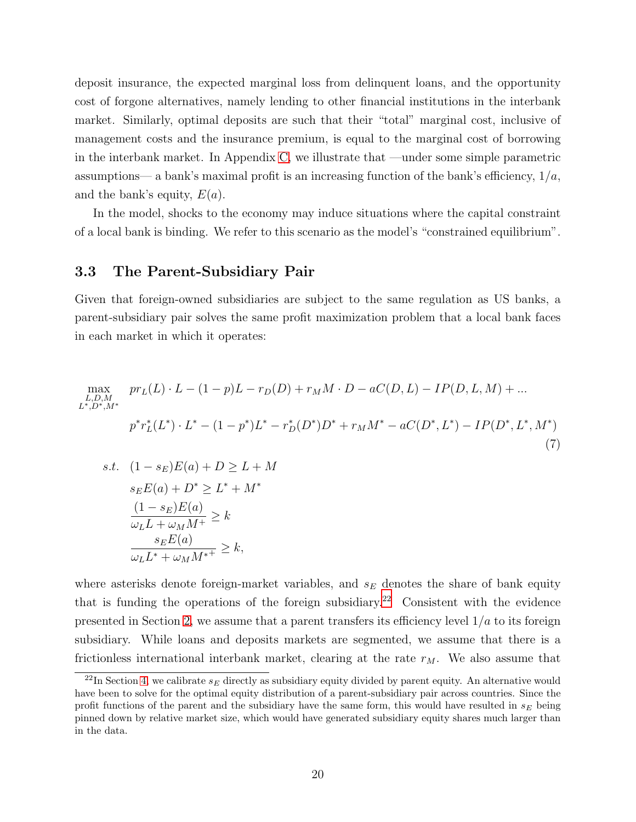deposit insurance, the expected marginal loss from delinquent loans, and the opportunity cost of forgone alternatives, namely lending to other financial institutions in the interbank market. Similarly, optimal deposits are such that their "total" marginal cost, inclusive of management costs and the insurance premium, is equal to the marginal cost of borrowing in the interbank market. In Appendix [C,](#page-42-0) we illustrate that —under some simple parametric assumptions— a bank's maximal profit is an increasing function of the bank's efficiency,  $1/a$ , and the bank's equity,  $E(a)$ .

In the model, shocks to the economy may induce situations where the capital constraint of a local bank is binding. We refer to this scenario as the model's "constrained equilibrium".

#### 3.3 The Parent-Subsidiary Pair

Given that foreign-owned subsidiaries are subject to the same regulation as US banks, a parent-subsidiary pair solves the same profit maximization problem that a local bank faces in each market in which it operates:

$$
\max_{\substack{L,D,M \\ L^*,D^*,M^*}} pr_L(L) \cdot L - (1-p)L - r_D(D) + r_M M \cdot D - aC(D,L) - IP(D,L,M) + \dots
$$
  
\n
$$
p^*r_L^*(L^*) \cdot L^* - (1-p^*)L^* - r_D^*(D^*)D^* + r_M M^* - aC(D^*,L^*) - IP(D^*,L^*,M^*)
$$
  
\n
$$
s.t. (1 - s_E)E(a) + D \ge L + M
$$
  
\n
$$
s_E E(a) + D^* \ge L^* + M^*
$$
  
\n
$$
\frac{(1 - s_E)E(a)}{\omega_L L + \omega_M M^*} \ge k
$$
  
\n
$$
\frac{s_E E(a)}{\omega_L L^* + \omega_M M^{*+}} \ge k,
$$
  
\n(7)

where asterisks denote foreign-market variables, and  $s_E$  denotes the share of bank equity that is funding the operations of the foreign subsidiary.<sup>[22](#page-19-0)</sup> Consistent with the evidence presented in Section [2,](#page-41-0) we assume that a parent transfers its efficiency level  $1/a$  to its foreign subsidiary. While loans and deposits markets are segmented, we assume that there is a frictionless international interbank market, clearing at the rate  $r_M$ . We also assume that

<span id="page-19-0"></span> $^{22}$ In Section [4,](#page-45-1) we calibrate  $s_E$  directly as subsidiary equity divided by parent equity. An alternative would have been to solve for the optimal equity distribution of a parent-subsidiary pair across countries. Since the profit functions of the parent and the subsidiary have the same form, this would have resulted in  $s_E$  being pinned down by relative market size, which would have generated subsidiary equity shares much larger than in the data.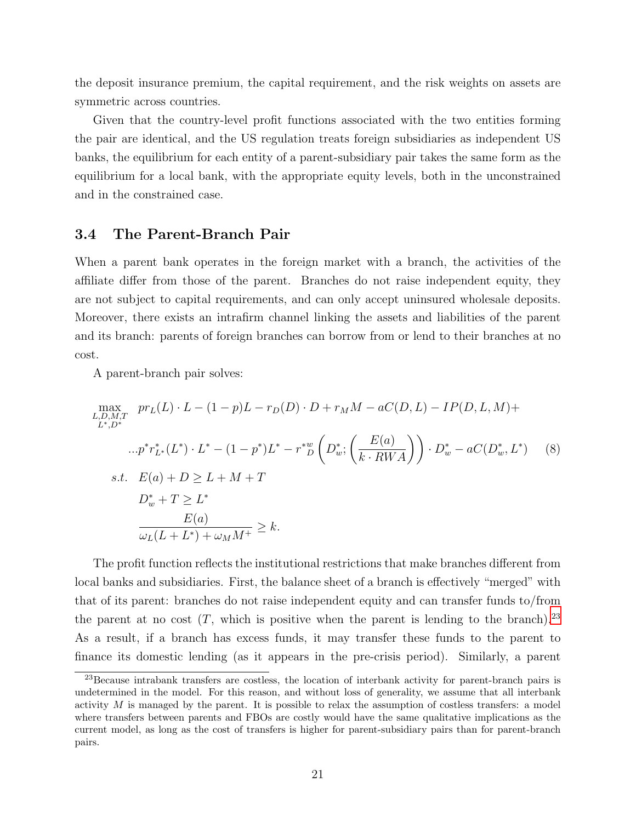the deposit insurance premium, the capital requirement, and the risk weights on assets are symmetric across countries.

Given that the country-level profit functions associated with the two entities forming the pair are identical, and the US regulation treats foreign subsidiaries as independent US banks, the equilibrium for each entity of a parent-subsidiary pair takes the same form as the equilibrium for a local bank, with the appropriate equity levels, both in the unconstrained and in the constrained case.

#### 3.4 The Parent-Branch Pair

When a parent bank operates in the foreign market with a branch, the activities of the affiliate differ from those of the parent. Branches do not raise independent equity, they are not subject to capital requirements, and can only accept uninsured wholesale deposits. Moreover, there exists an intrafirm channel linking the assets and liabilities of the parent and its branch: parents of foreign branches can borrow from or lend to their branches at no cost.

A parent-branch pair solves:

$$
\max_{\substack{L,D,M,T \\ L^*,D^*}} pr_L(L) \cdot L - (1 - p)L - r_D(D) \cdot D + r_M M - aC(D, L) - IP(D, L, M) +
$$
  
\n
$$
\dots p^* r_{L^*}^*(L^*) \cdot L^* - (1 - p^*)L^* - r^* \omega \left( D^*_{w}; \left( \frac{E(a)}{k \cdot RWA} \right) \right) \cdot D^*_{w} - aC(D^*_{w}, L^*) \quad (8)
$$
  
\ns.t.  $E(a) + D \ge L + M + T$   
\n
$$
D^*_{w} + T \ge L^*
$$
  
\n
$$
\frac{E(a)}{\omega_L(L + L^*) + \omega_M M^+} \ge k.
$$

The profit function reflects the institutional restrictions that make branches different from local banks and subsidiaries. First, the balance sheet of a branch is effectively "merged" with that of its parent: branches do not raise independent equity and can transfer funds to/from the parent at no cost  $(T,$  which is positive when the parent is lending to the branch).<sup>[23](#page-20-0)</sup> As a result, if a branch has excess funds, it may transfer these funds to the parent to finance its domestic lending (as it appears in the pre-crisis period). Similarly, a parent

<span id="page-20-0"></span><sup>&</sup>lt;sup>23</sup>Because intrabank transfers are costless, the location of interbank activity for parent-branch pairs is undetermined in the model. For this reason, and without loss of generality, we assume that all interbank activity  $M$  is managed by the parent. It is possible to relax the assumption of costless transfers: a model where transfers between parents and FBOs are costly would have the same qualitative implications as the current model, as long as the cost of transfers is higher for parent-subsidiary pairs than for parent-branch pairs.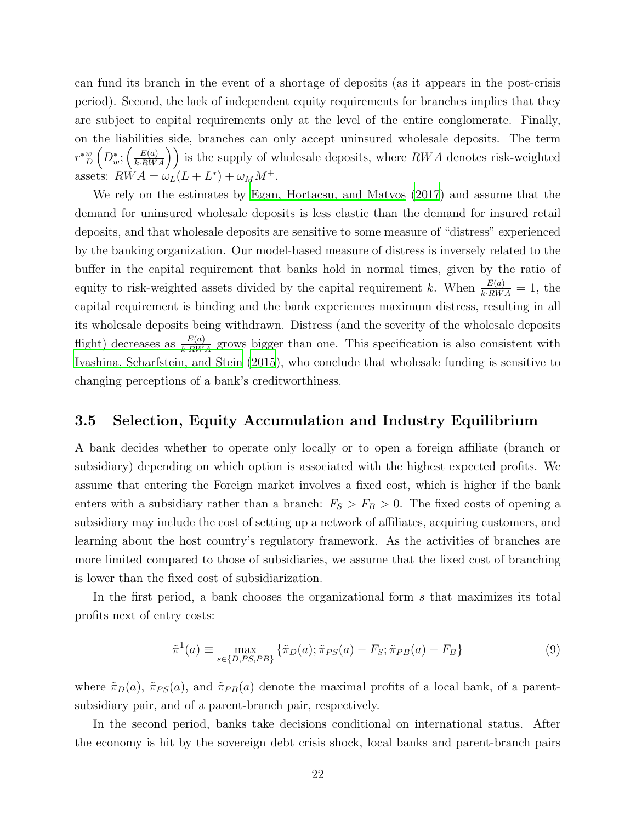can fund its branch in the event of a shortage of deposits (as it appears in the post-crisis period). Second, the lack of independent equity requirements for branches implies that they are subject to capital requirements only at the level of the entire conglomerate. Finally, on the liabilities side, branches can only accept uninsured wholesale deposits. The term  $r^*{}_D^w\left(D^*_w;\left(\frac{E(a)}{k\cdot RWA}\right)\right)$  is the supply of wholesale deposits, where  $RWA$  denotes risk-weighted assets:  $RWA = \omega_L(L + L^*) + \omega_M M^+$ .

We rely on the estimates by [Egan, Hortacsu, and Matvos \(2017\)](#page-36-2) and assume that the demand for uninsured wholesale deposits is less elastic than the demand for insured retail deposits, and that wholesale deposits are sensitive to some measure of "distress" experienced by the banking organization. Our model-based measure of distress is inversely related to the buffer in the capital requirement that banks hold in normal times, given by the ratio of equity to risk-weighted assets divided by the capital requirement k. When  $\frac{E(a)}{k \cdot RWA} = 1$ , the capital requirement is binding and the bank experiences maximum distress, resulting in all its wholesale deposits being withdrawn. Distress (and the severity of the wholesale deposits flight) decreases as  $\frac{E(a)}{k\cdot RWA}$  grows bigger than one. This specification is also consistent with [Ivashina, Scharfstein, and Stein \(2015\)](#page-37-3), who conclude that wholesale funding is sensitive to changing perceptions of a bank's creditworthiness.

#### 3.5 Selection, Equity Accumulation and Industry Equilibrium

A bank decides whether to operate only locally or to open a foreign affiliate (branch or subsidiary) depending on which option is associated with the highest expected profits. We assume that entering the Foreign market involves a fixed cost, which is higher if the bank enters with a subsidiary rather than a branch:  $F_S > F_B > 0$ . The fixed costs of opening a subsidiary may include the cost of setting up a network of affiliates, acquiring customers, and learning about the host country's regulatory framework. As the activities of branches are more limited compared to those of subsidiaries, we assume that the fixed cost of branching is lower than the fixed cost of subsidiarization.

In the first period, a bank chooses the organizational form s that maximizes its total profits next of entry costs:

$$
\tilde{\pi}^1(a) \equiv \max_{s \in \{D, PS, PB\}} \left\{ \tilde{\pi}_D(a); \tilde{\pi}_{PS}(a) - F_S; \tilde{\pi}_{PB}(a) - F_B \right\} \tag{9}
$$

where  $\tilde{\pi}_D(a)$ ,  $\tilde{\pi}_{PS}(a)$ , and  $\tilde{\pi}_{PB}(a)$  denote the maximal profits of a local bank, of a parentsubsidiary pair, and of a parent-branch pair, respectively.

In the second period, banks take decisions conditional on international status. After the economy is hit by the sovereign debt crisis shock, local banks and parent-branch pairs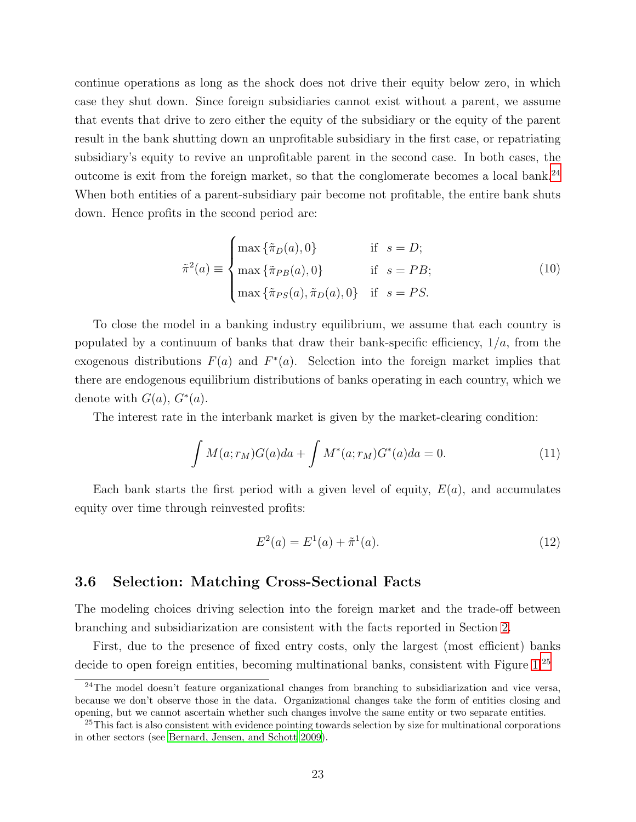continue operations as long as the shock does not drive their equity below zero, in which case they shut down. Since foreign subsidiaries cannot exist without a parent, we assume that events that drive to zero either the equity of the subsidiary or the equity of the parent result in the bank shutting down an unprofitable subsidiary in the first case, or repatriating subsidiary's equity to revive an unprofitable parent in the second case. In both cases, the outcome is exit from the foreign market, so that the conglomerate becomes a local bank.[24](#page-22-0) When both entities of a parent-subsidiary pair become not profitable, the entire bank shuts down. Hence profits in the second period are:

$$
\tilde{\pi}^{2}(a) \equiv \begin{cases}\n\max \{\tilde{\pi}_{D}(a), 0\} & \text{if } s = D; \\
\max \{\tilde{\pi}_{PB}(a), 0\} & \text{if } s = PB; \\
\max \{\tilde{\pi}_{PS}(a), \tilde{\pi}_{D}(a), 0\} & \text{if } s = PS.\n\end{cases}
$$
\n(10)

To close the model in a banking industry equilibrium, we assume that each country is populated by a continuum of banks that draw their bank-specific efficiency,  $1/a$ , from the exogenous distributions  $F(a)$  and  $F^*(a)$ . Selection into the foreign market implies that there are endogenous equilibrium distributions of banks operating in each country, which we denote with  $G(a)$ ,  $G^*(a)$ .

The interest rate in the interbank market is given by the market-clearing condition:

$$
\int M(a; r_M)G(a)da + \int M^*(a; r_M)G^*(a)da = 0.
$$
\n(11)

Each bank starts the first period with a given level of equity,  $E(a)$ , and accumulates equity over time through reinvested profits:

$$
E^2(a) = E^1(a) + \tilde{\pi}^1(a). \tag{12}
$$

#### 3.6 Selection: Matching Cross-Sectional Facts

The modeling choices driving selection into the foreign market and the trade-off between branching and subsidiarization are consistent with the facts reported in Section [2.](#page-41-0)

First, due to the presence of fixed entry costs, only the largest (most efficient) banks decide to open foreign entities, becoming multinational banks, consistent with Figure [1.](#page-8-0)<sup>[25](#page-22-1)</sup>

<span id="page-22-0"></span> $24$ The model doesn't feature organizational changes from branching to subsidiarization and vice versa, because we don't observe those in the data. Organizational changes take the form of entities closing and opening, but we cannot ascertain whether such changes involve the same entity or two separate entities.

<span id="page-22-1"></span><sup>&</sup>lt;sup>25</sup>This fact is also consistent with evidence pointing towards selection by size for multinational corporations in other sectors (see [Bernard, Jensen, and Schott 2009](#page-35-8)).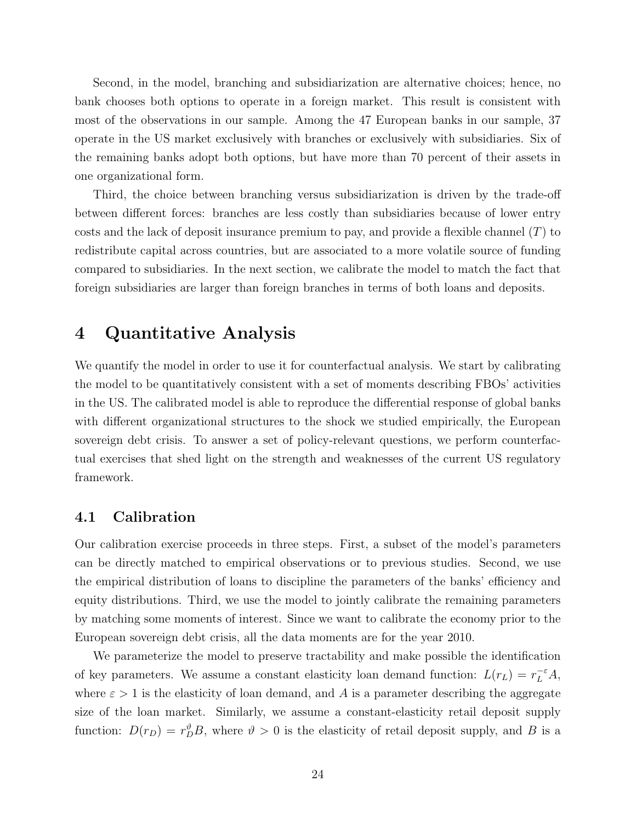Second, in the model, branching and subsidiarization are alternative choices; hence, no bank chooses both options to operate in a foreign market. This result is consistent with most of the observations in our sample. Among the 47 European banks in our sample, 37 operate in the US market exclusively with branches or exclusively with subsidiaries. Six of the remaining banks adopt both options, but have more than 70 percent of their assets in one organizational form.

Third, the choice between branching versus subsidiarization is driven by the trade-off between different forces: branches are less costly than subsidiaries because of lower entry costs and the lack of deposit insurance premium to pay, and provide a flexible channel  $(T)$  to redistribute capital across countries, but are associated to a more volatile source of funding compared to subsidiaries. In the next section, we calibrate the model to match the fact that foreign subsidiaries are larger than foreign branches in terms of both loans and deposits.

# 4 Quantitative Analysis

We quantify the model in order to use it for counterfactual analysis. We start by calibrating the model to be quantitatively consistent with a set of moments describing FBOs' activities in the US. The calibrated model is able to reproduce the differential response of global banks with different organizational structures to the shock we studied empirically, the European sovereign debt crisis. To answer a set of policy-relevant questions, we perform counterfactual exercises that shed light on the strength and weaknesses of the current US regulatory framework.

#### 4.1 Calibration

Our calibration exercise proceeds in three steps. First, a subset of the model's parameters can be directly matched to empirical observations or to previous studies. Second, we use the empirical distribution of loans to discipline the parameters of the banks' efficiency and equity distributions. Third, we use the model to jointly calibrate the remaining parameters by matching some moments of interest. Since we want to calibrate the economy prior to the European sovereign debt crisis, all the data moments are for the year 2010.

We parameterize the model to preserve tractability and make possible the identification of key parameters. We assume a constant elasticity loan demand function:  $L(r_L) = r_L^{-\epsilon} A$ , where  $\varepsilon > 1$  is the elasticity of loan demand, and A is a parameter describing the aggregate size of the loan market. Similarly, we assume a constant-elasticity retail deposit supply function:  $D(r_D) = r_D^{\vartheta} B$ , where  $\vartheta > 0$  is the elasticity of retail deposit supply, and B is a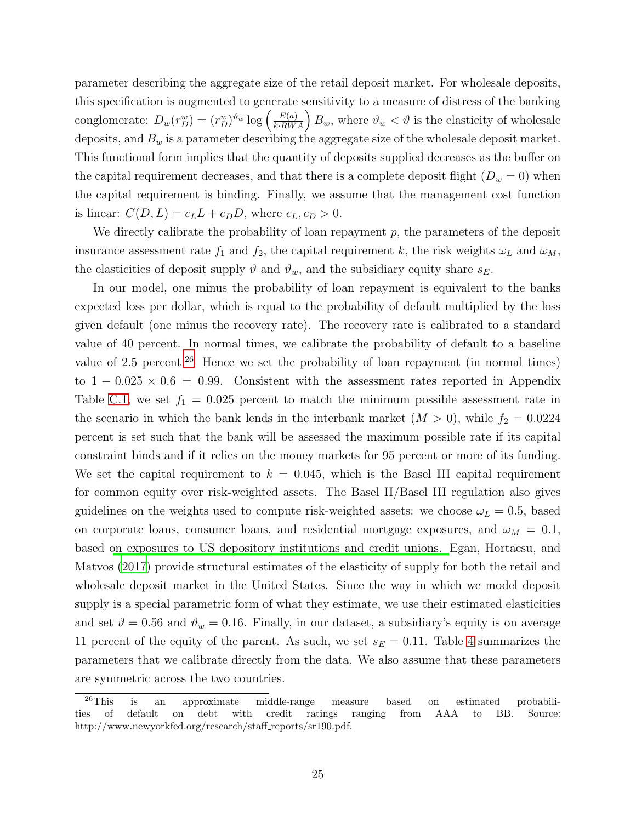parameter describing the aggregate size of the retail deposit market. For wholesale deposits, this specification is augmented to generate sensitivity to a measure of distress of the banking conglomerate:  $D_w(r_D^w) = (r_D^w)^{\vartheta_w} \log \left( \frac{E(a)}{k.RWA} \right) B_w$ , where  $\vartheta_w < \vartheta$  is the elasticity of wholesale deposits, and  $B_w$  is a parameter describing the aggregate size of the wholesale deposit market. This functional form implies that the quantity of deposits supplied decreases as the buffer on the capital requirement decreases, and that there is a complete deposit flight  $(D_w = 0)$  when the capital requirement is binding. Finally, we assume that the management cost function is linear:  $C(D, L) = c_L L + c_D D$ , where  $c_L, c_D > 0$ .

We directly calibrate the probability of loan repayment  $p$ , the parameters of the deposit insurance assessment rate  $f_1$  and  $f_2$ , the capital requirement k, the risk weights  $\omega_L$  and  $\omega_M$ , the elasticities of deposit supply  $\vartheta$  and  $\vartheta_w$ , and the subsidiary equity share  $s_E$ .

In our model, one minus the probability of loan repayment is equivalent to the banks expected loss per dollar, which is equal to the probability of default multiplied by the loss given default (one minus the recovery rate). The recovery rate is calibrated to a standard value of 40 percent. In normal times, we calibrate the probability of default to a baseline value of 2.5 percent.<sup>[26](#page-24-0)</sup> Hence we set the probability of loan repayment (in normal times) to  $1 - 0.025 \times 0.6 = 0.99$ . Consistent with the assessment rates reported in Appendix Table [C.1,](#page-43-0) we set  $f_1 = 0.025$  percent to match the minimum possible assessment rate in the scenario in which the bank lends in the interbank market  $(M > 0)$ , while  $f_2 = 0.0224$ percent is set such that the bank will be assessed the maximum possible rate if its capital constraint binds and if it relies on the money markets for 95 percent or more of its funding. We set the capital requirement to  $k = 0.045$ , which is the Basel III capital requirement for common equity over risk-weighted assets. The Basel II/Basel III regulation also gives guidelines on the weights used to compute risk-weighted assets: we choose  $\omega_L = 0.5$ , based on corporate loans, consumer loans, and residential mortgage exposures, and  $\omega_M = 0.1$ , based [on exposures to US depository institutions and credit unions.](#page-36-2) Egan, Hortacsu, and Matvos [\(2017\)](#page-36-2) provide structural estimates of the elasticity of supply for both the retail and wholesale deposit market in the United States. Since the way in which we model deposit supply is a special parametric form of what they estimate, we use their estimated elasticities and set  $\vartheta = 0.56$  and  $\vartheta_w = 0.16$ . Finally, in our dataset, a subsidiary's equity is on average 11 percent of the equity of the parent. As such, we set  $s_E = 0.11$ . Table [4](#page-25-0) summarizes the parameters that we calibrate directly from the data. We also assume that these parameters are symmetric across the two countries.

<span id="page-24-0"></span><sup>&</sup>lt;sup>26</sup>This is an approximate middle-range measure based on estimated probabilities of default on debt with credit ratings ranging from AAA to BB. Source: http://www.newyorkfed.org/research/staff\_reports/sr190.pdf.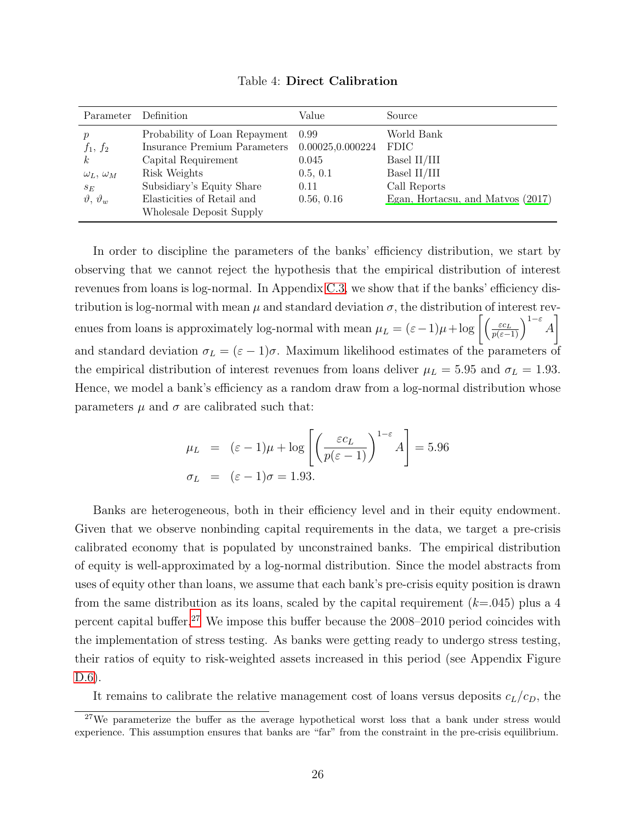<span id="page-25-0"></span>

| Parameter                | Definition                    | Value            | Source                            |
|--------------------------|-------------------------------|------------------|-----------------------------------|
| р                        | Probability of Loan Repayment | 0.99             | World Bank                        |
| $f_1, f_2$               | Insurance Premium Parameters  | 0.00025,0.000224 | <b>FDIC</b>                       |
| k <sub>i</sub>           | Capital Requirement           | 0.045            | Basel II/III                      |
| $\omega_L, \omega_M$     | Risk Weights                  | 0.5, 0.1         | Basel II/III                      |
| $s_E$                    | Subsidiary's Equity Share     | 0.11             | Call Reports                      |
| $\vartheta, \vartheta_w$ | Elasticities of Retail and    | 0.56, 0.16       | Egan, Hortacsu, and Matvos (2017) |
|                          | Wholesale Deposit Supply      |                  |                                   |

Table 4: Direct Calibration

In order to discipline the parameters of the banks' efficiency distribution, we start by observing that we cannot reject the hypothesis that the empirical distribution of interest revenues from loans is log-normal. In Appendix [C.3,](#page-44-1) we show that if the banks' efficiency distribution is log-normal with mean  $\mu$  and standard deviation  $\sigma$ , the distribution of interest revenues from loans is approximately log-normal with mean  $\mu_L = (\varepsilon - 1)\mu + \log \left[ \left( \frac{\varepsilon c_L}{p(\varepsilon - 1)} \right)^{1-\varepsilon} A \right]$ 1 and standard deviation  $\sigma_L = (\varepsilon - 1)\sigma$ . Maximum likelihood estimates of the parameters of the empirical distribution of interest revenues from loans deliver  $\mu_L = 5.95$  and  $\sigma_L = 1.93$ . Hence, we model a bank's efficiency as a random draw from a log-normal distribution whose parameters  $\mu$  and  $\sigma$  are calibrated such that:

$$
\mu_L = (\varepsilon - 1)\mu + \log \left[ \left( \frac{\varepsilon c_L}{p(\varepsilon - 1)} \right)^{1 - \varepsilon} A \right] = 5.96
$$
  

$$
\sigma_L = (\varepsilon - 1)\sigma = 1.93.
$$

Banks are heterogeneous, both in their efficiency level and in their equity endowment. Given that we observe nonbinding capital requirements in the data, we target a pre-crisis calibrated economy that is populated by unconstrained banks. The empirical distribution of equity is well-approximated by a log-normal distribution. Since the model abstracts from uses of equity other than loans, we assume that each bank's pre-crisis equity position is drawn from the same distribution as its loans, scaled by the capital requirement  $(k=0.045)$  plus a 4 percent capital buffer.[27](#page-25-1) We impose this buffer because the 2008–2010 period coincides with the implementation of stress testing. As banks were getting ready to undergo stress testing, their ratios of equity to risk-weighted assets increased in this period (see Appendix Figure [D.6\)](#page-60-1).

It remains to calibrate the relative management cost of loans versus deposits  $c_L/c_D$ , the

<span id="page-25-1"></span><sup>&</sup>lt;sup>27</sup>We parameterize the buffer as the average hypothetical worst loss that a bank under stress would experience. This assumption ensures that banks are "far" from the constraint in the pre-crisis equilibrium.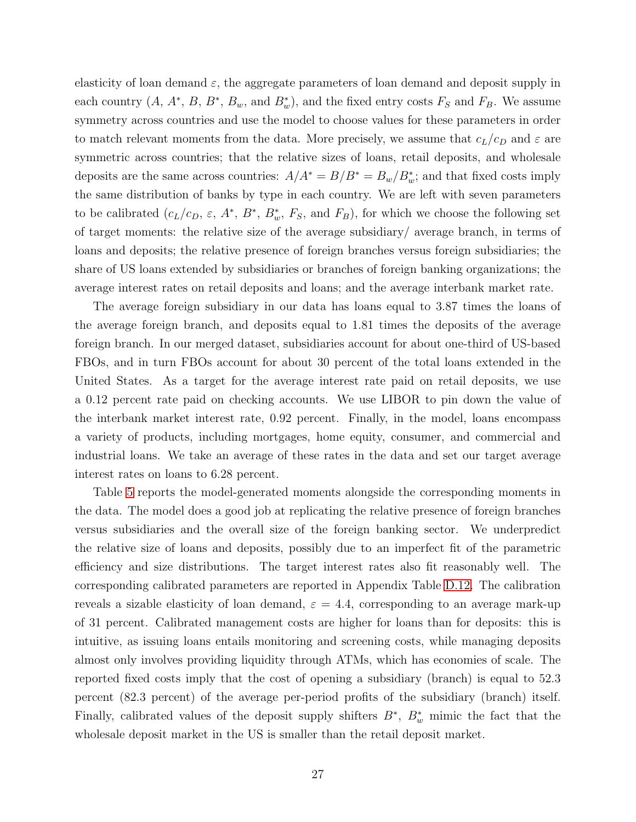elasticity of loan demand  $\varepsilon$ , the aggregate parameters of loan demand and deposit supply in each country  $(A, A^*, B, B^*, B_w, \text{ and } B^*_w)$ , and the fixed entry costs  $F_S$  and  $F_B$ . We assume symmetry across countries and use the model to choose values for these parameters in order to match relevant moments from the data. More precisely, we assume that  $c_L/c_D$  and  $\varepsilon$  are symmetric across countries; that the relative sizes of loans, retail deposits, and wholesale deposits are the same across countries:  $A/A^* = B/B^* = B_w/B_w^*$ ; and that fixed costs imply the same distribution of banks by type in each country. We are left with seven parameters to be calibrated  $(c_L/c_D, \varepsilon, A^*, B^*, B^*, F_S, \text{ and } F_B)$ , for which we choose the following set of target moments: the relative size of the average subsidiary/ average branch, in terms of loans and deposits; the relative presence of foreign branches versus foreign subsidiaries; the share of US loans extended by subsidiaries or branches of foreign banking organizations; the average interest rates on retail deposits and loans; and the average interbank market rate.

The average foreign subsidiary in our data has loans equal to 3.87 times the loans of the average foreign branch, and deposits equal to 1.81 times the deposits of the average foreign branch. In our merged dataset, subsidiaries account for about one-third of US-based FBOs, and in turn FBOs account for about 30 percent of the total loans extended in the United States. As a target for the average interest rate paid on retail deposits, we use a 0.12 percent rate paid on checking accounts. We use LIBOR to pin down the value of the interbank market interest rate, 0.92 percent. Finally, in the model, loans encompass a variety of products, including mortgages, home equity, consumer, and commercial and industrial loans. We take an average of these rates in the data and set our target average interest rates on loans to 6.28 percent.

Table [5](#page-27-0) reports the model-generated moments alongside the corresponding moments in the data. The model does a good job at replicating the relative presence of foreign branches versus subsidiaries and the overall size of the foreign banking sector. We underpredict the relative size of loans and deposits, possibly due to an imperfect fit of the parametric efficiency and size distributions. The target interest rates also fit reasonably well. The corresponding calibrated parameters are reported in Appendix Table [D.12.](#page-56-0) The calibration reveals a sizable elasticity of loan demand,  $\varepsilon = 4.4$ , corresponding to an average mark-up of 31 percent. Calibrated management costs are higher for loans than for deposits: this is intuitive, as issuing loans entails monitoring and screening costs, while managing deposits almost only involves providing liquidity through ATMs, which has economies of scale. The reported fixed costs imply that the cost of opening a subsidiary (branch) is equal to 52.3 percent (82.3 percent) of the average per-period profits of the subsidiary (branch) itself. Finally, calibrated values of the deposit supply shifters  $B^*$ ,  $B^*_{w}$  mimic the fact that the wholesale deposit market in the US is smaller than the retail deposit market.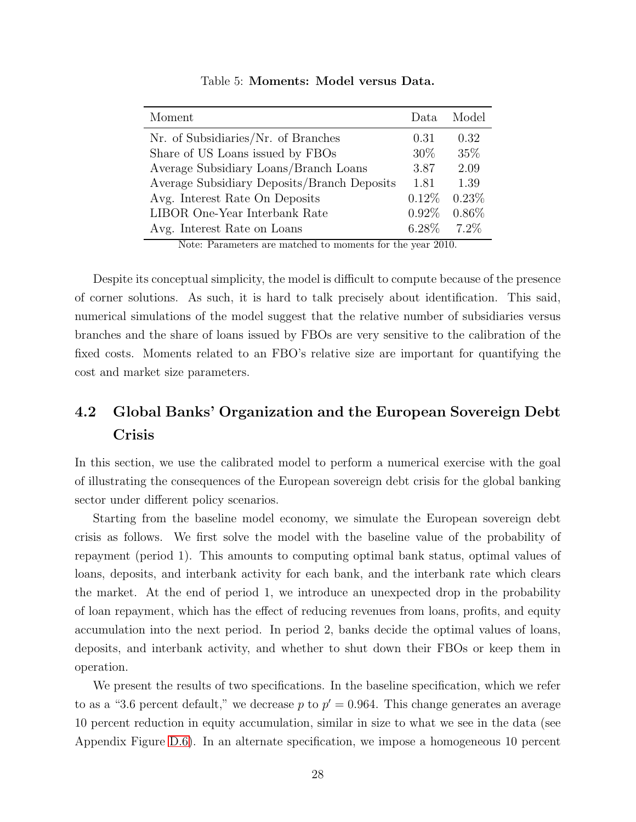<span id="page-27-0"></span>

| Moment                                      | Data     | Model    |
|---------------------------------------------|----------|----------|
| Nr. of Subsidiaries/Nr. of Branches         | 0.31     | 0.32     |
| Share of US Loans issued by FBOs            | $30\%$   | 35\%     |
| Average Subsidiary Loans/Branch Loans       | 3.87     | 2.09     |
| Average Subsidiary Deposits/Branch Deposits | 1.81     | 1.39     |
| Avg. Interest Rate On Deposits              | 0.12%    | 0.23%    |
| LIBOR One-Year Interbank Rate               | $0.92\%$ | $0.86\%$ |
| Avg. Interest Rate on Loans                 | $6.28\%$ | $7.2\%$  |

Table 5: Moments: Model versus Data.

Note: Parameters are matched to moments for the year 2010.

Despite its conceptual simplicity, the model is difficult to compute because of the presence of corner solutions. As such, it is hard to talk precisely about identification. This said, numerical simulations of the model suggest that the relative number of subsidiaries versus branches and the share of loans issued by FBOs are very sensitive to the calibration of the fixed costs. Moments related to an FBO's relative size are important for quantifying the cost and market size parameters.

# 4.2 Global Banks' Organization and the European Sovereign Debt Crisis

In this section, we use the calibrated model to perform a numerical exercise with the goal of illustrating the consequences of the European sovereign debt crisis for the global banking sector under different policy scenarios.

Starting from the baseline model economy, we simulate the European sovereign debt crisis as follows. We first solve the model with the baseline value of the probability of repayment (period 1). This amounts to computing optimal bank status, optimal values of loans, deposits, and interbank activity for each bank, and the interbank rate which clears the market. At the end of period 1, we introduce an unexpected drop in the probability of loan repayment, which has the effect of reducing revenues from loans, profits, and equity accumulation into the next period. In period 2, banks decide the optimal values of loans, deposits, and interbank activity, and whether to shut down their FBOs or keep them in operation.

We present the results of two specifications. In the baseline specification, which we refer to as a "3.6 percent default," we decrease p to  $p' = 0.964$ . This change generates an average 10 percent reduction in equity accumulation, similar in size to what we see in the data (see Appendix Figure [D.6\)](#page-60-1). In an alternate specification, we impose a homogeneous 10 percent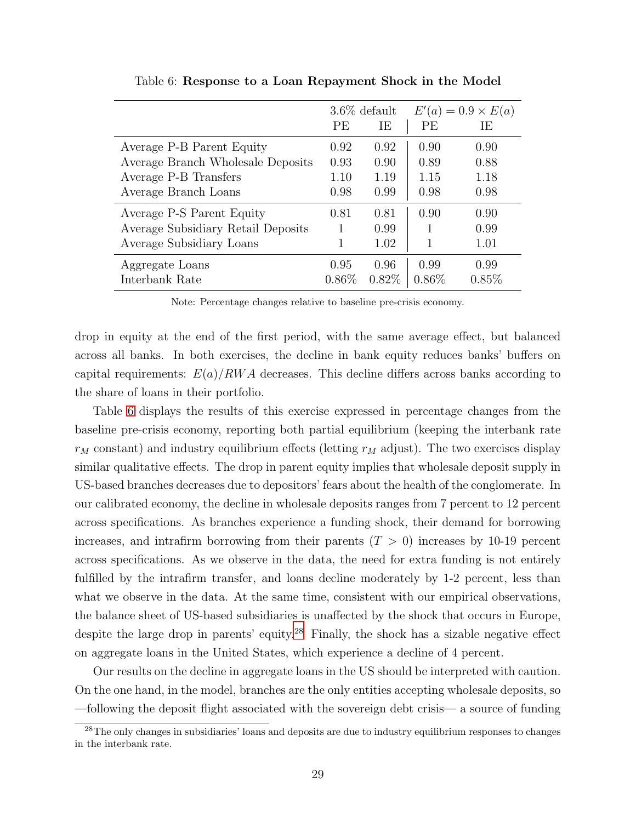<span id="page-28-0"></span>

|                                    |          | $3.6\%$ default |          | $E'(a) = 0.9 \times E(a)$ |
|------------------------------------|----------|-----------------|----------|---------------------------|
|                                    | PE       | IE              | PE       | IE                        |
| Average P-B Parent Equity          | 0.92     | 0.92            | 0.90     | 0.90                      |
| Average Branch Wholesale Deposits  | 0.93     | 0.90            | 0.89     | 0.88                      |
| Average P-B Transfers              | 1.10     | 1.19            | 1.15     | 1.18                      |
| Average Branch Loans               | 0.98     | 0.99            | 0.98     | 0.98                      |
| Average P-S Parent Equity          | 0.81     | 0.81            | 0.90     | 0.90                      |
| Average Subsidiary Retail Deposits |          | 0.99            |          | 0.99                      |
| Average Subsidiary Loans           | 1        | 1.02            | 1        | 1.01                      |
| Aggregate Loans                    | 0.95     | 0.96            | 0.99     | 0.99                      |
| Interbank Rate                     | $0.86\%$ | 0.82%           | $0.86\%$ | 0.85%                     |

Table 6: Response to a Loan Repayment Shock in the Model

Note: Percentage changes relative to baseline pre-crisis economy.

drop in equity at the end of the first period, with the same average effect, but balanced across all banks. In both exercises, the decline in bank equity reduces banks' buffers on capital requirements:  $E(a)/RWA$  decreases. This decline differs across banks according to the share of loans in their portfolio.

Table [6](#page-28-0) displays the results of this exercise expressed in percentage changes from the baseline pre-crisis economy, reporting both partial equilibrium (keeping the interbank rate  $r_M$  constant) and industry equilibrium effects (letting  $r_M$  adjust). The two exercises display similar qualitative effects. The drop in parent equity implies that wholesale deposit supply in US-based branches decreases due to depositors' fears about the health of the conglomerate. In our calibrated economy, the decline in wholesale deposits ranges from 7 percent to 12 percent across specifications. As branches experience a funding shock, their demand for borrowing increases, and intrafirm borrowing from their parents  $(T > 0)$  increases by 10-19 percent across specifications. As we observe in the data, the need for extra funding is not entirely fulfilled by the intrafirm transfer, and loans decline moderately by 1-2 percent, less than what we observe in the data. At the same time, consistent with our empirical observations, the balance sheet of US-based subsidiaries is unaffected by the shock that occurs in Europe, despite the large drop in parents' equity.<sup>[28](#page-28-1)</sup> Finally, the shock has a sizable negative effect on aggregate loans in the United States, which experience a decline of 4 percent.

Our results on the decline in aggregate loans in the US should be interpreted with caution. On the one hand, in the model, branches are the only entities accepting wholesale deposits, so —following the deposit flight associated with the sovereign debt crisis— a source of funding

<span id="page-28-1"></span><sup>&</sup>lt;sup>28</sup>The only changes in subsidiaries' loans and deposits are due to industry equilibrium responses to changes in the interbank rate.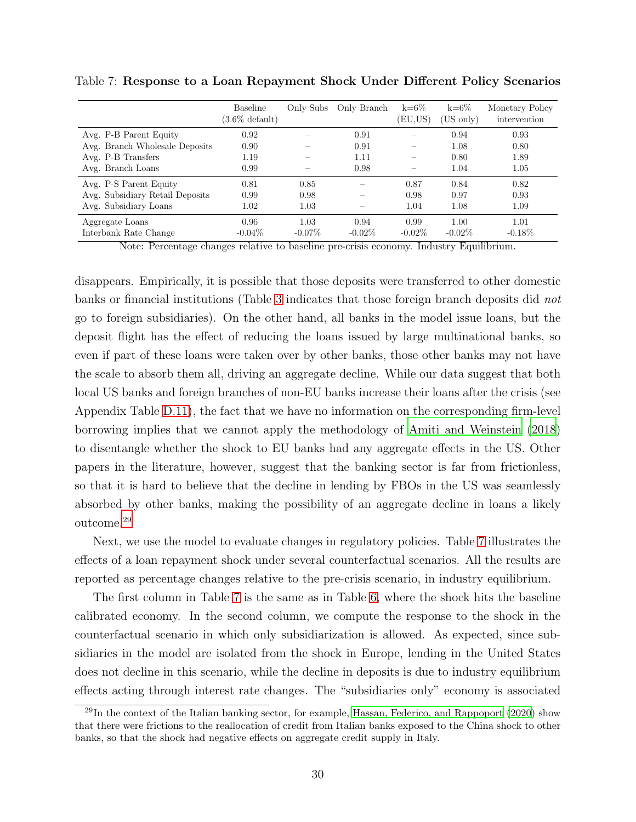|                                 | Baseline<br>$(3.6\% \text{ default})$ | Only Subs | Only Branch | $k=6\%$<br>(EU,US)       | $k=6\%$<br>$(US \text{ only})$ | Monetary Policy<br>intervention |
|---------------------------------|---------------------------------------|-----------|-------------|--------------------------|--------------------------------|---------------------------------|
| Avg. P-B Parent Equity          | 0.92                                  |           | 0.91        |                          | 0.94                           | 0.93                            |
| Avg. Branch Wholesale Deposits  | 0.90                                  |           | 0.91        | $\overline{\phantom{0}}$ | 1.08                           | 0.80                            |
| Avg. P-B Transfers              | 1.19                                  |           | 1.11        |                          | 0.80                           | 1.89                            |
| Avg. Branch Loans               | 0.99                                  |           | 0.98        |                          | 1.04                           | 1.05                            |
| Avg. P-S Parent Equity          | 0.81                                  | 0.85      |             | 0.87                     | 0.84                           | 0.82                            |
| Avg. Subsidiary Retail Deposits | 0.99                                  | 0.98      |             | 0.98                     | 0.97                           | 0.93                            |
| Avg. Subsidiary Loans           | 1.02                                  | 1.03      |             | 1.04                     | 1.08                           | 1.09                            |
| Aggregate Loans                 | 0.96                                  | 1.03      | 0.94        | 0.99                     | 1.00                           | 1.01                            |
| Interbank Rate Change           | $-0.04\%$                             | $-0.07\%$ | $-0.02\%$   | $-0.02\%$                | $-0.02\%$                      | $-0.18\%$                       |

<span id="page-29-1"></span>Table 7: Response to a Loan Repayment Shock Under Different Policy Scenarios

Note: Percentage changes relative to baseline pre-crisis economy. Industry Equilibrium.

disappears. Empirically, it is possible that those deposits were transferred to other domestic banks or financial institutions (Table [3](#page-15-0) indicates that those foreign branch deposits did not go to foreign subsidiaries). On the other hand, all banks in the model issue loans, but the deposit flight has the effect of reducing the loans issued by large multinational banks, so even if part of these loans were taken over by other banks, those other banks may not have the scale to absorb them all, driving an aggregate decline. While our data suggest that both local US banks and foreign branches of non-EU banks increase their loans after the crisis (see Appendix Table [D.11\)](#page-56-1), the fact that we have no information on the corresponding firm-level borrowing implies that we cannot apply the methodology of [Amiti and Weinstein \(2018](#page-35-9)) to disentangle whether the shock to EU banks had any aggregate effects in the US. Other papers in the literature, however, suggest that the banking sector is far from frictionless, so that it is hard to believe that the decline in lending by FBOs in the US was seamlessly absorbed by other banks, making the possibility of an aggregate decline in loans a likely outcome.[29](#page-29-0)

Next, we use the model to evaluate changes in regulatory policies. Table [7](#page-29-1) illustrates the effects of a loan repayment shock under several counterfactual scenarios. All the results are reported as percentage changes relative to the pre-crisis scenario, in industry equilibrium.

The first column in Table [7](#page-29-1) is the same as in Table [6,](#page-28-0) where the shock hits the baseline calibrated economy. In the second column, we compute the response to the shock in the counterfactual scenario in which only subsidiarization is allowed. As expected, since subsidiaries in the model are isolated from the shock in Europe, lending in the United States does not decline in this scenario, while the decline in deposits is due to industry equilibrium effects acting through interest rate changes. The "subsidiaries only" economy is associated

<span id="page-29-0"></span><sup>&</sup>lt;sup>29</sup>In the context of the Italian banking sector, for example, [Hassan, Federico, and Rappoport \(2020\)](#page-37-11) show that there were frictions to the reallocation of credit from Italian banks exposed to the China shock to other banks, so that the shock had negative effects on aggregate credit supply in Italy.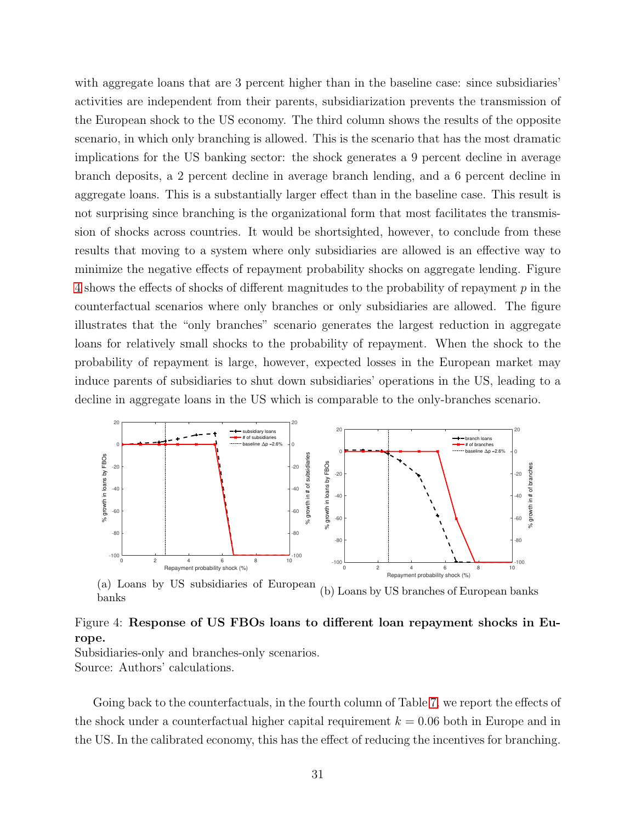with aggregate loans that are 3 percent higher than in the baseline case: since subsidiaries' activities are independent from their parents, subsidiarization prevents the transmission of the European shock to the US economy. The third column shows the results of the opposite scenario, in which only branching is allowed. This is the scenario that has the most dramatic implications for the US banking sector: the shock generates a 9 percent decline in average branch deposits, a 2 percent decline in average branch lending, and a 6 percent decline in aggregate loans. This is a substantially larger effect than in the baseline case. This result is not surprising since branching is the organizational form that most facilitates the transmission of shocks across countries. It would be shortsighted, however, to conclude from these results that moving to a system where only subsidiaries are allowed is an effective way to minimize the negative effects of repayment probability shocks on aggregate lending. Figure [4](#page-30-0) shows the effects of shocks of different magnitudes to the probability of repayment p in the counterfactual scenarios where only branches or only subsidiaries are allowed. The figure illustrates that the "only branches" scenario generates the largest reduction in aggregate loans for relatively small shocks to the probability of repayment. When the shock to the probability of repayment is large, however, expected losses in the European market may induce parents of subsidiaries to shut down subsidiaries' operations in the US, leading to a decline in aggregate loans in the US which is comparable to the only-branches scenario.

<span id="page-30-0"></span>![](_page_30_Figure_1.jpeg)

(a) Loans by US subsidiaries of European banks (b) Loans by US branches of European banks

### Figure 4: Response of US FBOs loans to different loan repayment shocks in Europe.

Subsidiaries-only and branches-only scenarios. Source: Authors' calculations.

Going back to the counterfactuals, in the fourth column of Table [7,](#page-29-1) we report the effects of the shock under a counterfactual higher capital requirement  $k = 0.06$  both in Europe and in the US. In the calibrated economy, this has the effect of reducing the incentives for branching.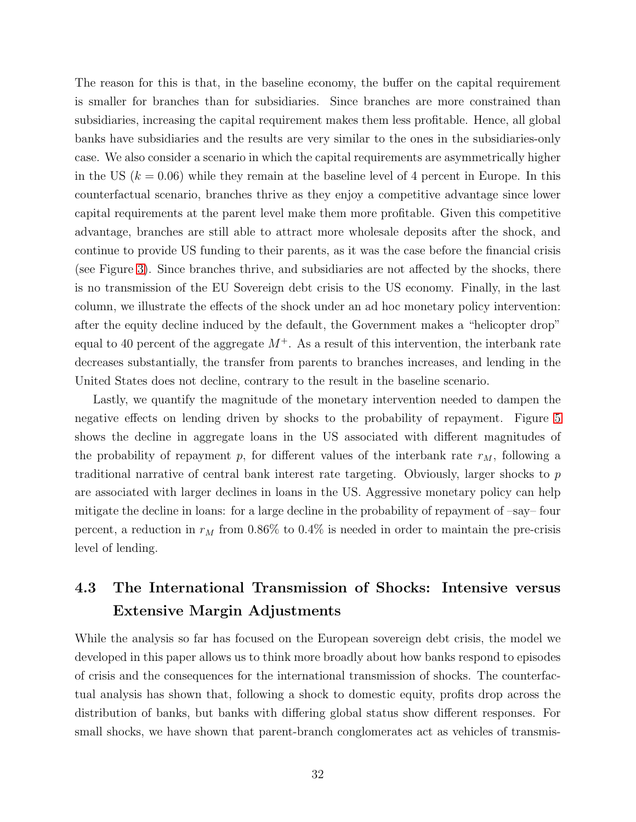The reason for this is that, in the baseline economy, the buffer on the capital requirement is smaller for branches than for subsidiaries. Since branches are more constrained than subsidiaries, increasing the capital requirement makes them less profitable. Hence, all global banks have subsidiaries and the results are very similar to the ones in the subsidiaries-only case. We also consider a scenario in which the capital requirements are asymmetrically higher in the US  $(k = 0.06)$  while they remain at the baseline level of 4 percent in Europe. In this counterfactual scenario, branches thrive as they enjoy a competitive advantage since lower capital requirements at the parent level make them more profitable. Given this competitive advantage, branches are still able to attract more wholesale deposits after the shock, and continue to provide US funding to their parents, as it was the case before the financial crisis (see Figure [3\)](#page-13-0). Since branches thrive, and subsidiaries are not affected by the shocks, there is no transmission of the EU Sovereign debt crisis to the US economy. Finally, in the last column, we illustrate the effects of the shock under an ad hoc monetary policy intervention: after the equity decline induced by the default, the Government makes a "helicopter drop" equal to 40 percent of the aggregate  $M^+$ . As a result of this intervention, the interbank rate decreases substantially, the transfer from parents to branches increases, and lending in the United States does not decline, contrary to the result in the baseline scenario.

Lastly, we quantify the magnitude of the monetary intervention needed to dampen the negative effects on lending driven by shocks to the probability of repayment. Figure [5](#page-32-0) shows the decline in aggregate loans in the US associated with different magnitudes of the probability of repayment p, for different values of the interbank rate  $r_M$ , following a traditional narrative of central bank interest rate targeting. Obviously, larger shocks to p are associated with larger declines in loans in the US. Aggressive monetary policy can help mitigate the decline in loans: for a large decline in the probability of repayment of –say– four percent, a reduction in  $r_M$  from 0.86% to 0.4% is needed in order to maintain the pre-crisis level of lending.

# 4.3 The International Transmission of Shocks: Intensive versus Extensive Margin Adjustments

While the analysis so far has focused on the European sovereign debt crisis, the model we developed in this paper allows us to think more broadly about how banks respond to episodes of crisis and the consequences for the international transmission of shocks. The counterfactual analysis has shown that, following a shock to domestic equity, profits drop across the distribution of banks, but banks with differing global status show different responses. For small shocks, we have shown that parent-branch conglomerates act as vehicles of transmis-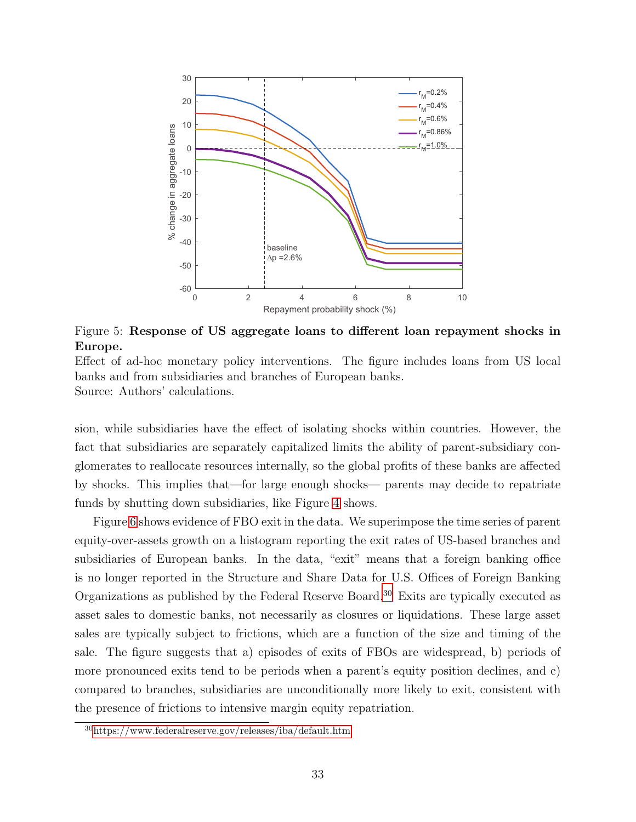<span id="page-32-0"></span>![](_page_32_Figure_0.jpeg)

Figure 5: Response of US aggregate loans to different loan repayment shocks in Europe.

Effect of ad-hoc monetary policy interventions. The figure includes loans from US local banks and from subsidiaries and branches of European banks. Source: Authors' calculations.

sion, while subsidiaries have the effect of isolating shocks within countries. However, the fact that subsidiaries are separately capitalized limits the ability of parent-subsidiary conglomerates to reallocate resources internally, so the global profits of these banks are affected by shocks. This implies that—for large enough shocks— parents may decide to repatriate funds by shutting down subsidiaries, like Figure [4](#page-30-0) shows.

Figure [6](#page-33-0) shows evidence of FBO exit in the data. We superimpose the time series of parent equity-over-assets growth on a histogram reporting the exit rates of US-based branches and subsidiaries of European banks. In the data, "exit" means that a foreign banking office is no longer reported in the Structure and Share Data for U.S. Offices of Foreign Banking Organizations as published by the Federal Reserve Board.[30](#page-32-1) Exits are typically executed as asset sales to domestic banks, not necessarily as closures or liquidations. These large asset sales are typically subject to frictions, which are a function of the size and timing of the sale. The figure suggests that a) episodes of exits of FBOs are widespread, b) periods of more pronounced exits tend to be periods when a parent's equity position declines, and c) compared to branches, subsidiaries are unconditionally more likely to exit, consistent with the presence of frictions to intensive margin equity repatriation.

<span id="page-32-1"></span><sup>30</sup>https://www.federalreserve.gov/releases/iba/default.htm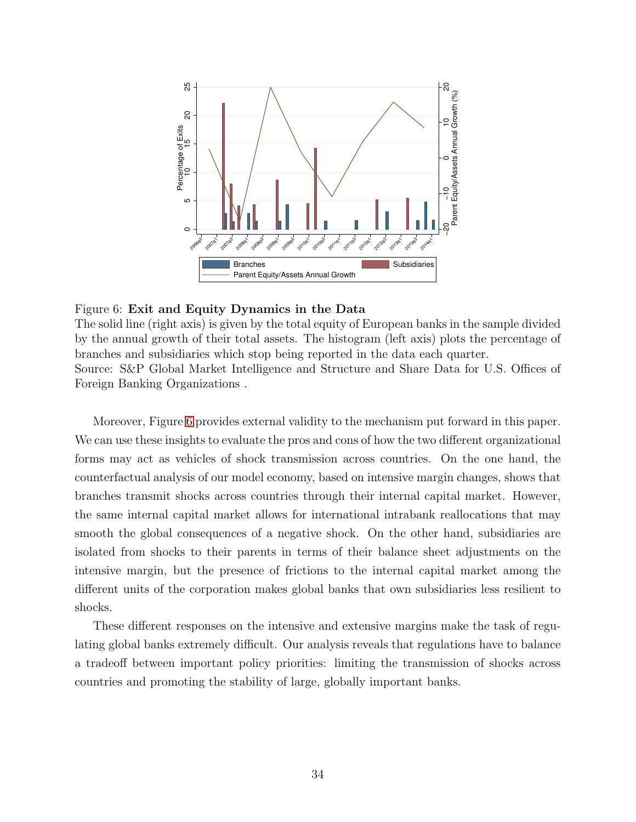<span id="page-33-0"></span>![](_page_33_Figure_0.jpeg)

#### Figure 6: Exit and Equity Dynamics in the Data

The solid line (right axis) is given by the total equity of European banks in the sample divided by the annual growth of their total assets. The histogram (left axis) plots the percentage of branches and subsidiaries which stop being reported in the data each quarter. Source: S&P Global Market Intelligence and Structure and Share Data for U.S. Offices of Foreign Banking Organizations .

Moreover, Figure [6](#page-33-0) provides external validity to the mechanism put forward in this paper. We can use these insights to evaluate the pros and cons of how the two different organizational forms may act as vehicles of shock transmission across countries. On the one hand, the counterfactual analysis of our model economy, based on intensive margin changes, shows that branches transmit shocks across countries through their internal capital market. However, the same internal capital market allows for international intrabank reallocations that may smooth the global consequences of a negative shock. On the other hand, subsidiaries are isolated from shocks to their parents in terms of their balance sheet adjustments on the intensive margin, but the presence of frictions to the internal capital market among the different units of the corporation makes global banks that own subsidiaries less resilient to shocks.

These different responses on the intensive and extensive margins make the task of regulating global banks extremely difficult. Our analysis reveals that regulations have to balance a tradeoff between important policy priorities: limiting the transmission of shocks across countries and promoting the stability of large, globally important banks.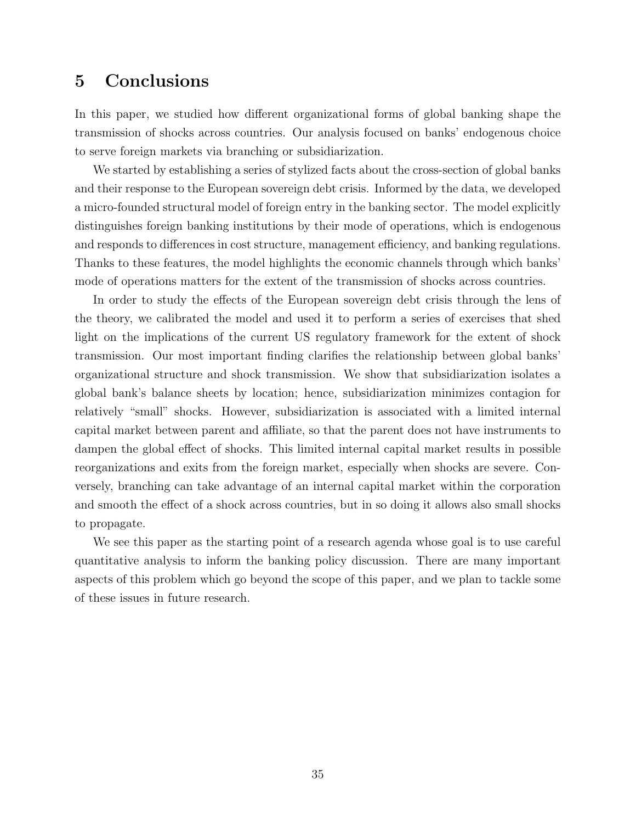# 5 Conclusions

In this paper, we studied how different organizational forms of global banking shape the transmission of shocks across countries. Our analysis focused on banks' endogenous choice to serve foreign markets via branching or subsidiarization.

We started by establishing a series of stylized facts about the cross-section of global banks and their response to the European sovereign debt crisis. Informed by the data, we developed a micro-founded structural model of foreign entry in the banking sector. The model explicitly distinguishes foreign banking institutions by their mode of operations, which is endogenous and responds to differences in cost structure, management efficiency, and banking regulations. Thanks to these features, the model highlights the economic channels through which banks' mode of operations matters for the extent of the transmission of shocks across countries.

In order to study the effects of the European sovereign debt crisis through the lens of the theory, we calibrated the model and used it to perform a series of exercises that shed light on the implications of the current US regulatory framework for the extent of shock transmission. Our most important finding clarifies the relationship between global banks' organizational structure and shock transmission. We show that subsidiarization isolates a global bank's balance sheets by location; hence, subsidiarization minimizes contagion for relatively "small" shocks. However, subsidiarization is associated with a limited internal capital market between parent and affiliate, so that the parent does not have instruments to dampen the global effect of shocks. This limited internal capital market results in possible reorganizations and exits from the foreign market, especially when shocks are severe. Conversely, branching can take advantage of an internal capital market within the corporation and smooth the effect of a shock across countries, but in so doing it allows also small shocks to propagate.

We see this paper as the starting point of a research agenda whose goal is to use careful quantitative analysis to inform the banking policy discussion. There are many important aspects of this problem which go beyond the scope of this paper, and we plan to tackle some of these issues in future research.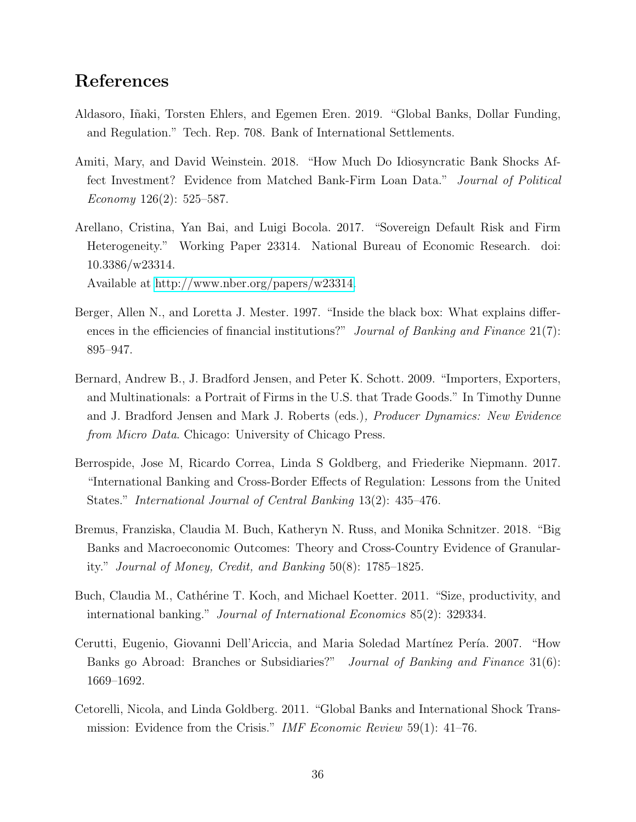# References

- <span id="page-35-7"></span>Aldasoro, Iñaki, Torsten Ehlers, and Egemen Eren. 2019. "Global Banks, Dollar Funding, and Regulation." Tech. Rep. 708. Bank of International Settlements.
- <span id="page-35-9"></span>Amiti, Mary, and David Weinstein. 2018. "How Much Do Idiosyncratic Bank Shocks Affect Investment? Evidence from Matched Bank-Firm Loan Data." Journal of Political Economy  $126(2)$ : 525–587.
- <span id="page-35-4"></span>Arellano, Cristina, Yan Bai, and Luigi Bocola. 2017. "Sovereign Default Risk and Firm Heterogeneity." Working Paper 23314. National Bureau of Economic Research. doi: 10.3386/w23314.

Available at [http://www.nber.org/papers/w23314.](http://www.nber.org/papers/w23314)

- <span id="page-35-6"></span>Berger, Allen N., and Loretta J. Mester. 1997. "Inside the black box: What explains differences in the efficiencies of financial institutions?" Journal of Banking and Finance  $21(7)$ : 895–947.
- <span id="page-35-8"></span>Bernard, Andrew B., J. Bradford Jensen, and Peter K. Schott. 2009. "Importers, Exporters, and Multinationals: a Portrait of Firms in the U.S. that Trade Goods." In Timothy Dunne and J. Bradford Jensen and Mark J. Roberts (eds.), Producer Dynamics: New Evidence from Micro Data. Chicago: University of Chicago Press.
- <span id="page-35-5"></span>Berrospide, Jose M, Ricardo Correa, Linda S Goldberg, and Friederike Niepmann. 2017. "International Banking and Cross-Border Effects of Regulation: Lessons from the United States." International Journal of Central Banking 13(2): 435–476.
- <span id="page-35-3"></span>Bremus, Franziska, Claudia M. Buch, Katheryn N. Russ, and Monika Schnitzer. 2018. "Big Banks and Macroeconomic Outcomes: Theory and Cross-Country Evidence of Granularity." Journal of Money, Credit, and Banking 50(8): 1785–1825.
- <span id="page-35-1"></span>Buch, Claudia M., Cathérine T. Koch, and Michael Koetter. 2011. "Size, productivity, and international banking." Journal of International Economics 85(2): 329334.
- <span id="page-35-2"></span>Cerutti, Eugenio, Giovanni Dell'Ariccia, and Maria Soledad Martínez Pería. 2007. "How Banks go Abroad: Branches or Subsidiaries?" Journal of Banking and Finance 31(6): 1669–1692.
- <span id="page-35-0"></span>Cetorelli, Nicola, and Linda Goldberg. 2011. "Global Banks and International Shock Transmission: Evidence from the Crisis." IMF Economic Review 59(1): 41–76.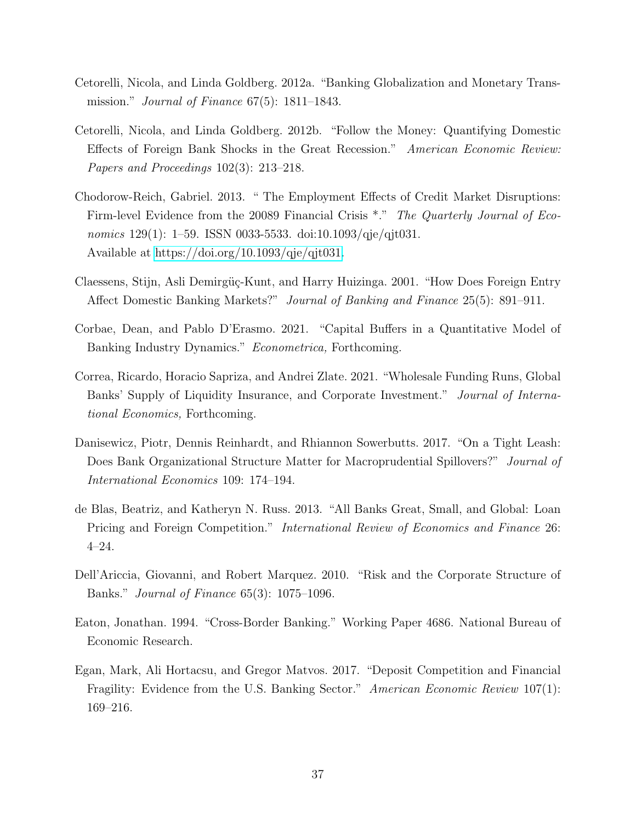- <span id="page-36-0"></span>Cetorelli, Nicola, and Linda Goldberg. 2012a. "Banking Globalization and Monetary Transmission." Journal of Finance 67(5): 1811–1843.
- <span id="page-36-1"></span>Cetorelli, Nicola, and Linda Goldberg. 2012b. "Follow the Money: Quantifying Domestic Effects of Foreign Bank Shocks in the Great Recession." American Economic Review: Papers and Proceedings 102(3): 213–218.
- <span id="page-36-10"></span>Chodorow-Reich, Gabriel. 2013. " The Employment Effects of Credit Market Disruptions: Firm-level Evidence from the 20089 Financial Crisis \*." The Quarterly Journal of Economics 129(1): 1–59. ISSN 0033-5533. doi:10.1093/qje/qjt031. Available at [https://doi.org/10.1093/qje/qjt031.](https://doi.org/10.1093/qje/qjt031)
- <span id="page-36-3"></span>Claessens, Stijn, Asli Demirgüç-Kunt, and Harry Huizinga. 2001. "How Does Foreign Entry Affect Domestic Banking Markets?" Journal of Banking and Finance 25(5): 891–911.
- <span id="page-36-9"></span>Corbae, Dean, and Pablo D'Erasmo. 2021. "Capital Buffers in a Quantitative Model of Banking Industry Dynamics." *Econometrica*, Forthcoming.
- <span id="page-36-6"></span>Correa, Ricardo, Horacio Sapriza, and Andrei Zlate. 2021. "Wholesale Funding Runs, Global Banks' Supply of Liquidity Insurance, and Corporate Investment." Journal of International Economics, Forthcoming.
- <span id="page-36-5"></span>Danisewicz, Piotr, Dennis Reinhardt, and Rhiannon Sowerbutts. 2017. "On a Tight Leash: Does Bank Organizational Structure Matter for Macroprudential Spillovers?" Journal of International Economics 109: 174–194.
- <span id="page-36-8"></span>de Blas, Beatriz, and Katheryn N. Russ. 2013. "All Banks Great, Small, and Global: Loan Pricing and Foreign Competition." International Review of Economics and Finance 26: 4–24.
- <span id="page-36-4"></span>Dell'Ariccia, Giovanni, and Robert Marquez. 2010. "Risk and the Corporate Structure of Banks." Journal of Finance 65(3): 1075–1096.
- <span id="page-36-7"></span>Eaton, Jonathan. 1994. "Cross-Border Banking." Working Paper 4686. National Bureau of Economic Research.
- <span id="page-36-2"></span>Egan, Mark, Ali Hortacsu, and Gregor Matvos. 2017. "Deposit Competition and Financial Fragility: Evidence from the U.S. Banking Sector." American Economic Review 107(1): 169–216.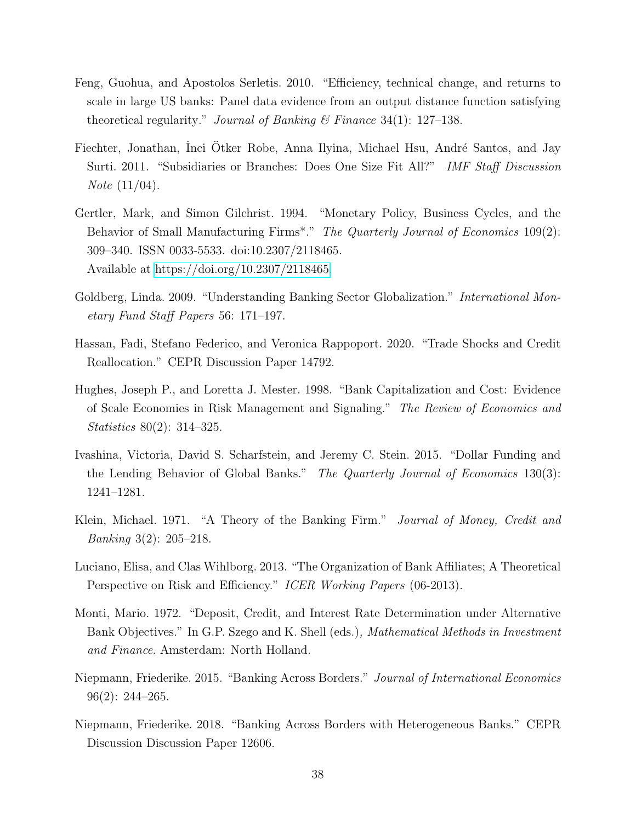- <span id="page-37-10"></span>Feng, Guohua, and Apostolos Serletis. 2010. "Efficiency, technical change, and returns to scale in large US banks: Panel data evidence from an output distance function satisfying theoretical regularity." Journal of Banking  $\mathcal C$  Finance 34(1): 127–138.
- <span id="page-37-5"></span>Fiechter, Jonathan, Inci Otker Robe, Anna Ilyina, Michael Hsu, André Santos, and Jay Surti. 2011. "Subsidiaries or Branches: Does One Size Fit All?" IMF Staff Discussion Note (11/04).
- <span id="page-37-8"></span>Gertler, Mark, and Simon Gilchrist. 1994. "Monetary Policy, Business Cycles, and the Behavior of Small Manufacturing Firms<sup>\*</sup>." The Quarterly Journal of Economics 109(2): 309–340. ISSN 0033-5533. doi:10.2307/2118465. Available at [https://doi.org/10.2307/2118465.](https://doi.org/10.2307/2118465)
- <span id="page-37-0"></span>Goldberg, Linda. 2009. "Understanding Banking Sector Globalization." International Monetary Fund Staff Papers 56: 171–197.
- <span id="page-37-11"></span>Hassan, Fadi, Stefano Federico, and Veronica Rappoport. 2020. "Trade Shocks and Credit Reallocation." CEPR Discussion Paper 14792.
- <span id="page-37-9"></span>Hughes, Joseph P., and Loretta J. Mester. 1998. "Bank Capitalization and Cost: Evidence of Scale Economies in Risk Management and Signaling." The Review of Economics and Statistics 80(2): 314–325.
- <span id="page-37-3"></span>Ivashina, Victoria, David S. Scharfstein, and Jeremy C. Stein. 2015. "Dollar Funding and the Lending Behavior of Global Banks." The Quarterly Journal of Economics 130(3): 1241–1281.
- <span id="page-37-1"></span>Klein, Michael. 1971. "A Theory of the Banking Firm." Journal of Money, Credit and Banking 3(2): 205–218.
- <span id="page-37-6"></span>Luciano, Elisa, and Clas Wihlborg. 2013. "The Organization of Bank Affiliates; A Theoretical Perspective on Risk and Efficiency." ICER Working Papers (06-2013).
- <span id="page-37-2"></span>Monti, Mario. 1972. "Deposit, Credit, and Interest Rate Determination under Alternative Bank Objectives." In G.P. Szego and K. Shell (eds.), *Mathematical Methods in Investment* and Finance. Amsterdam: North Holland.
- <span id="page-37-7"></span>Niepmann, Friederike. 2015. "Banking Across Borders." Journal of International Economics 96(2): 244–265.
- <span id="page-37-4"></span>Niepmann, Friederike. 2018. "Banking Across Borders with Heterogeneous Banks." CEPR Discussion Discussion Paper 12606.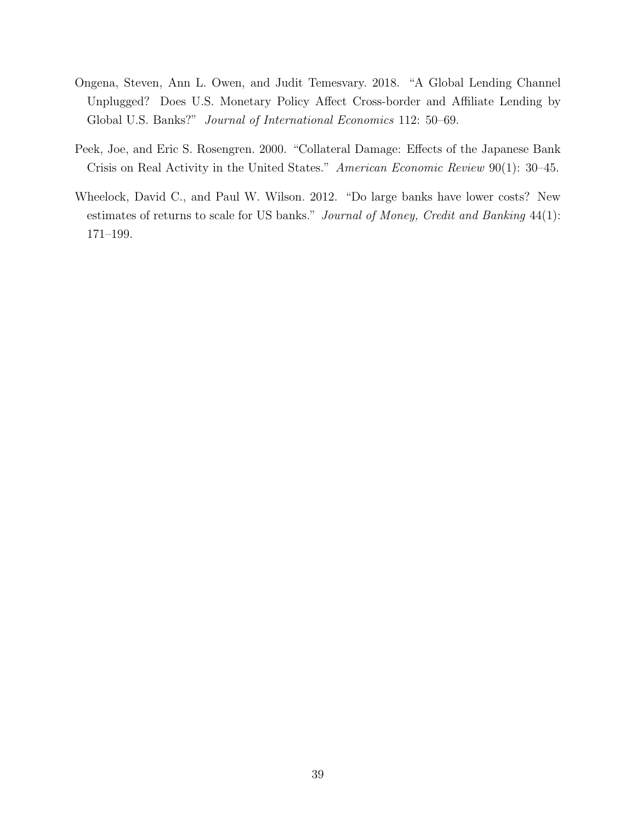- <span id="page-38-1"></span>Ongena, Steven, Ann L. Owen, and Judit Temesvary. 2018. "A Global Lending Channel Unplugged? Does U.S. Monetary Policy Affect Cross-border and Affiliate Lending by Global U.S. Banks?" Journal of International Economics 112: 50–69.
- <span id="page-38-0"></span>Peek, Joe, and Eric S. Rosengren. 2000. "Collateral Damage: Effects of the Japanese Bank Crisis on Real Activity in the United States." American Economic Review 90(1): 30–45.
- <span id="page-38-2"></span>Wheelock, David C., and Paul W. Wilson. 2012. "Do large banks have lower costs? New estimates of returns to scale for US banks." Journal of Money, Credit and Banking 44(1): 171–199.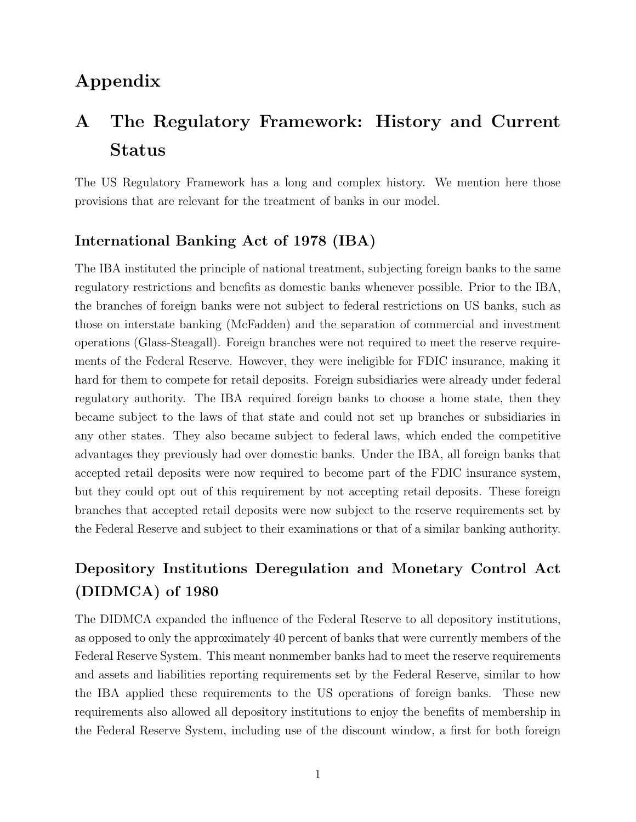# <span id="page-39-0"></span>Appendix

# A The Regulatory Framework: History and Current Status

The US Regulatory Framework has a long and complex history. We mention here those provisions that are relevant for the treatment of banks in our model.

# International Banking Act of 1978 (IBA)

The IBA instituted the principle of national treatment, subjecting foreign banks to the same regulatory restrictions and benefits as domestic banks whenever possible. Prior to the IBA, the branches of foreign banks were not subject to federal restrictions on US banks, such as those on interstate banking (McFadden) and the separation of commercial and investment operations (Glass-Steagall). Foreign branches were not required to meet the reserve requirements of the Federal Reserve. However, they were ineligible for FDIC insurance, making it hard for them to compete for retail deposits. Foreign subsidiaries were already under federal regulatory authority. The IBA required foreign banks to choose a home state, then they became subject to the laws of that state and could not set up branches or subsidiaries in any other states. They also became subject to federal laws, which ended the competitive advantages they previously had over domestic banks. Under the IBA, all foreign banks that accepted retail deposits were now required to become part of the FDIC insurance system, but they could opt out of this requirement by not accepting retail deposits. These foreign branches that accepted retail deposits were now subject to the reserve requirements set by the Federal Reserve and subject to their examinations or that of a similar banking authority.

# Depository Institutions Deregulation and Monetary Control Act (DIDMCA) of 1980

The DIDMCA expanded the influence of the Federal Reserve to all depository institutions, as opposed to only the approximately 40 percent of banks that were currently members of the Federal Reserve System. This meant nonmember banks had to meet the reserve requirements and assets and liabilities reporting requirements set by the Federal Reserve, similar to how the IBA applied these requirements to the US operations of foreign banks. These new requirements also allowed all depository institutions to enjoy the benefits of membership in the Federal Reserve System, including use of the discount window, a first for both foreign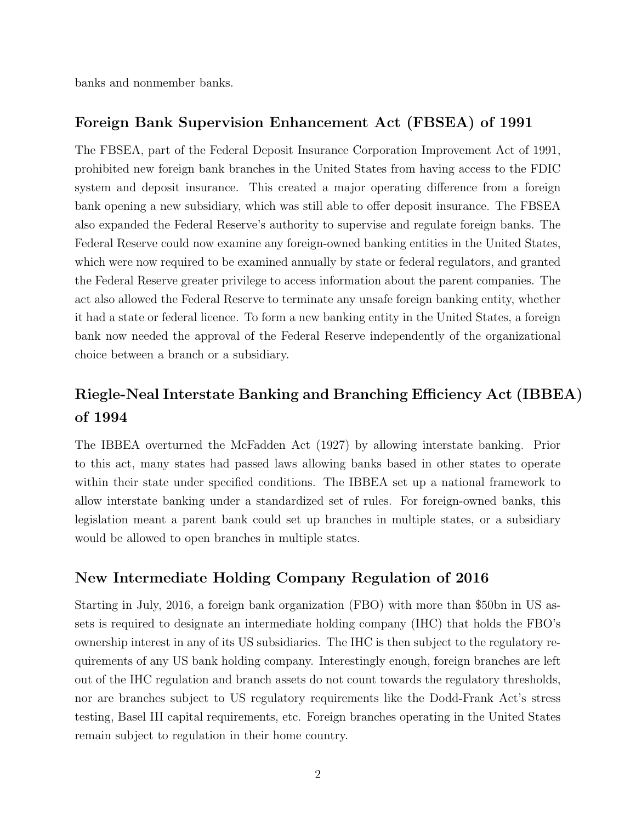banks and nonmember banks.

# Foreign Bank Supervision Enhancement Act (FBSEA) of 1991

The FBSEA, part of the Federal Deposit Insurance Corporation Improvement Act of 1991, prohibited new foreign bank branches in the United States from having access to the FDIC system and deposit insurance. This created a major operating difference from a foreign bank opening a new subsidiary, which was still able to offer deposit insurance. The FBSEA also expanded the Federal Reserve's authority to supervise and regulate foreign banks. The Federal Reserve could now examine any foreign-owned banking entities in the United States, which were now required to be examined annually by state or federal regulators, and granted the Federal Reserve greater privilege to access information about the parent companies. The act also allowed the Federal Reserve to terminate any unsafe foreign banking entity, whether it had a state or federal licence. To form a new banking entity in the United States, a foreign bank now needed the approval of the Federal Reserve independently of the organizational choice between a branch or a subsidiary.

# Riegle-Neal Interstate Banking and Branching Efficiency Act (IBBEA) of 1994

The IBBEA overturned the McFadden Act (1927) by allowing interstate banking. Prior to this act, many states had passed laws allowing banks based in other states to operate within their state under specified conditions. The IBBEA set up a national framework to allow interstate banking under a standardized set of rules. For foreign-owned banks, this legislation meant a parent bank could set up branches in multiple states, or a subsidiary would be allowed to open branches in multiple states.

# New Intermediate Holding Company Regulation of 2016

Starting in July, 2016, a foreign bank organization (FBO) with more than \$50bn in US assets is required to designate an intermediate holding company (IHC) that holds the FBO's ownership interest in any of its US subsidiaries. The IHC is then subject to the regulatory requirements of any US bank holding company. Interestingly enough, foreign branches are left out of the IHC regulation and branch assets do not count towards the regulatory thresholds, nor are branches subject to US regulatory requirements like the Dodd-Frank Act's stress testing, Basel III capital requirements, etc. Foreign branches operating in the United States remain subject to regulation in their home country.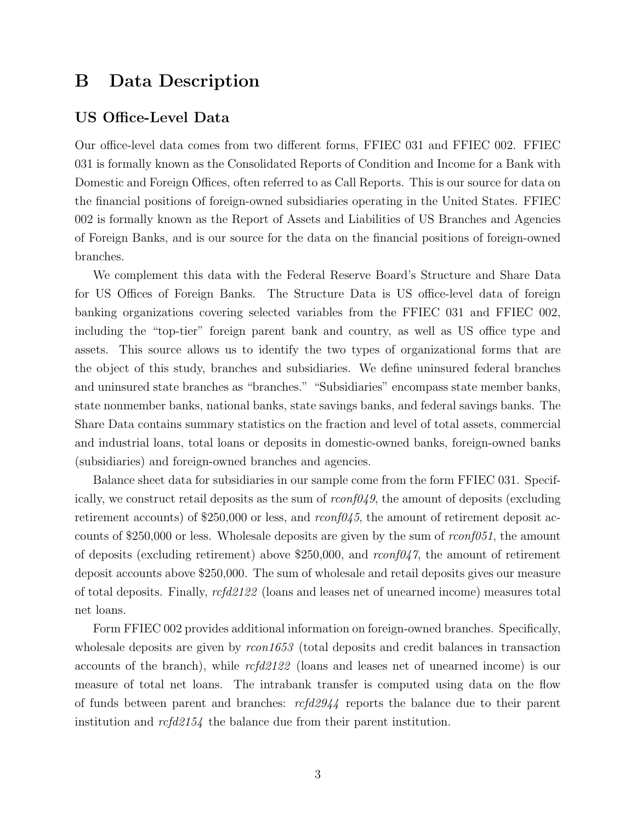# <span id="page-41-0"></span>B Data Description

## US Office-Level Data

Our office-level data comes from two different forms, FFIEC 031 and FFIEC 002. FFIEC 031 is formally known as the Consolidated Reports of Condition and Income for a Bank with Domestic and Foreign Offices, often referred to as Call Reports. This is our source for data on the financial positions of foreign-owned subsidiaries operating in the United States. FFIEC 002 is formally known as the Report of Assets and Liabilities of US Branches and Agencies of Foreign Banks, and is our source for the data on the financial positions of foreign-owned branches.

We complement this data with the Federal Reserve Board's Structure and Share Data for US Offices of Foreign Banks. The Structure Data is US office-level data of foreign banking organizations covering selected variables from the FFIEC 031 and FFIEC 002, including the "top-tier" foreign parent bank and country, as well as US office type and assets. This source allows us to identify the two types of organizational forms that are the object of this study, branches and subsidiaries. We define uninsured federal branches and uninsured state branches as "branches." "Subsidiaries" encompass state member banks, state nonmember banks, national banks, state savings banks, and federal savings banks. The Share Data contains summary statistics on the fraction and level of total assets, commercial and industrial loans, total loans or deposits in domestic-owned banks, foreign-owned banks (subsidiaries) and foreign-owned branches and agencies.

Balance sheet data for subsidiaries in our sample come from the form FFIEC 031. Specifically, we construct retail deposits as the sum of  $r\text{conf049}$ , the amount of deposits (excluding retirement accounts) of \$250,000 or less, and  $r\text{conf045}$ , the amount of retirement deposit accounts of \$250,000 or less. Wholesale deposits are given by the sum of  $rconf051$ , the amount of deposits (excluding retirement) above \$250,000, and  $r\text{conf04}\gamma$ , the amount of retirement deposit accounts above \$250,000. The sum of wholesale and retail deposits gives our measure of total deposits. Finally, rcfd2122 (loans and leases net of unearned income) measures total net loans.

Form FFIEC 002 provides additional information on foreign-owned branches. Specifically, wholesale deposits are given by rcon1653 (total deposits and credit balances in transaction accounts of the branch), while rcfd2122 (loans and leases net of unearned income) is our measure of total net loans. The intrabank transfer is computed using data on the flow of funds between parent and branches: rcfd2944 reports the balance due to their parent institution and rcfd2154 the balance due from their parent institution.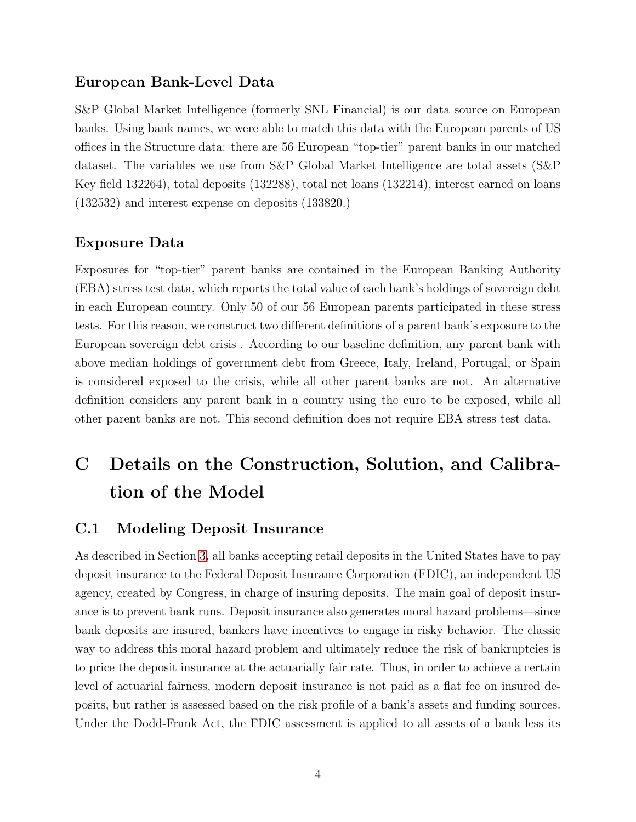## European Bank-Level Data

S&P Global Market Intelligence (formerly SNL Financial) is our data source on European banks. Using bank names, we were able to match this data with the European parents of US offices in the Structure data: there are 56 European "top-tier" parent banks in our matched dataset. The variables we use from S&P Global Market Intelligence are total assets (S&P Key field 132264), total deposits (132288), total net loans (132214), interest earned on loans (132532) and interest expense on deposits (133820.)

#### Exposure Data

Exposures for "top-tier" parent banks are contained in the European Banking Authority (EBA) stress test data, which reports the total value of each bank's holdings of sovereign debt in each European country. Only 50 of our 56 European parents participated in these stress tests. For this reason, we construct two different definitions of a parent bank's exposure to the European sovereign debt crisis . According to our baseline definition, any parent bank with above median holdings of government debt from Greece, Italy, Ireland, Portugal, or Spain is considered exposed to the crisis, while all other parent banks are not. An alternative definition considers any parent bank in a country using the euro to be exposed, while all other parent banks are not. This second definition does not require EBA stress test data.

# <span id="page-42-0"></span>C Details on the Construction, Solution, and Calibration of the Model

#### C.1 Modeling Deposit Insurance

As described in Section [3,](#page-42-0) all banks accepting retail deposits in the United States have to pay deposit insurance to the Federal Deposit Insurance Corporation (FDIC), an independent US agency, created by Congress, in charge of insuring deposits. The main goal of deposit insurance is to prevent bank runs. Deposit insurance also generates moral hazard problems—since bank deposits are insured, bankers have incentives to engage in risky behavior. The classic way to address this moral hazard problem and ultimately reduce the risk of bankruptcies is to price the deposit insurance at the actuarially fair rate. Thus, in order to achieve a certain level of actuarial fairness, modern deposit insurance is not paid as a flat fee on insured deposits, but rather is assessed based on the risk profile of a bank's assets and funding sources. Under the Dodd-Frank Act, the FDIC assessment is applied to all assets of a bank less its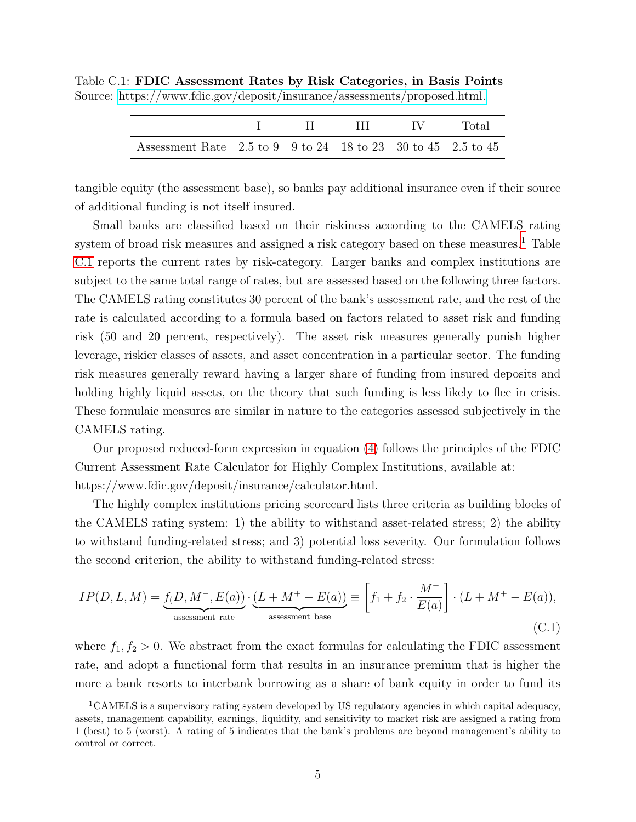|                                                                                                                     |  | III IV | Total |
|---------------------------------------------------------------------------------------------------------------------|--|--------|-------|
| Assessment Rate $2.5 \text{ to } 9$ $9 \text{ to } 24$ $18 \text{ to } 23$ $30 \text{ to } 45$ $2.5 \text{ to } 45$ |  |        |       |

<span id="page-43-0"></span>Table C.1: FDIC Assessment Rates by Risk Categories, in Basis Points Source:<https://www.fdic.gov/deposit/insurance/assessments/proposed.html.>

tangible equity (the assessment base), so banks pay additional insurance even if their source of additional funding is not itself insured.

Small banks are classified based on their riskiness according to the CAMELS rating system of broad risk measures and assigned a risk category based on these measures.<sup>[1](#page-43-1)</sup> Table [C.1](#page-43-0) reports the current rates by risk-category. Larger banks and complex institutions are subject to the same total range of rates, but are assessed based on the following three factors. The CAMELS rating constitutes 30 percent of the bank's assessment rate, and the rest of the rate is calculated according to a formula based on factors related to asset risk and funding risk (50 and 20 percent, respectively). The asset risk measures generally punish higher leverage, riskier classes of assets, and asset concentration in a particular sector. The funding risk measures generally reward having a larger share of funding from insured deposits and holding highly liquid assets, on the theory that such funding is less likely to flee in crisis. These formulaic measures are similar in nature to the categories assessed subjectively in the CAMELS rating.

Our proposed reduced-form expression in equation [\(4\)](#page-44-0) follows the principles of the FDIC Current Assessment Rate Calculator for Highly Complex Institutions, available at: https://www.fdic.gov/deposit/insurance/calculator.html.

The highly complex institutions pricing scorecard lists three criteria as building blocks of the CAMELS rating system: 1) the ability to withstand asset-related stress; 2) the ability to withstand funding-related stress; and 3) potential loss severity. Our formulation follows the second criterion, the ability to withstand funding-related stress:

$$
IP(D, L, M) = \underbrace{f(D, M^{-}, E(a))}_{\text{ assessment rate}} \cdot \underbrace{(L + M^{+} - E(a))}_{\text{ assessment base}} \equiv \left[ f_1 + f_2 \cdot \frac{M^{-}}{E(a)} \right] \cdot (L + M^{+} - E(a)),
$$
\n(C.1)

where  $f_1, f_2 > 0$ . We abstract from the exact formulas for calculating the FDIC assessment rate, and adopt a functional form that results in an insurance premium that is higher the more a bank resorts to interbank borrowing as a share of bank equity in order to fund its

<span id="page-43-1"></span><sup>1</sup>CAMELS is a supervisory rating system developed by US regulatory agencies in which capital adequacy, assets, management capability, earnings, liquidity, and sensitivity to market risk are assigned a rating from 1 (best) to 5 (worst). A rating of 5 indicates that the bank's problems are beyond management's ability to control or correct.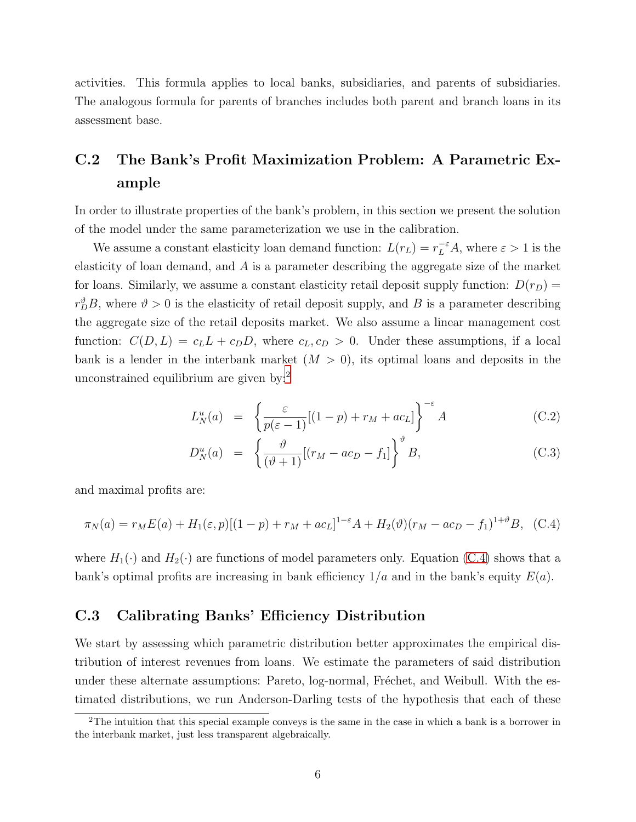activities. This formula applies to local banks, subsidiaries, and parents of subsidiaries. The analogous formula for parents of branches includes both parent and branch loans in its assessment base.

# C.2 The Bank's Profit Maximization Problem: A Parametric Example

In order to illustrate properties of the bank's problem, in this section we present the solution of the model under the same parameterization we use in the calibration.

We assume a constant elasticity loan demand function:  $L(r_L) = r_L^{-\varepsilon} A$ , where  $\varepsilon > 1$  is the elasticity of loan demand, and A is a parameter describing the aggregate size of the market for loans. Similarly, we assume a constant elasticity retail deposit supply function:  $D(r_D)$  =  $r_D^{\vartheta}B$ , where  $\vartheta > 0$  is the elasticity of retail deposit supply, and B is a parameter describing the aggregate size of the retail deposits market. We also assume a linear management cost function:  $C(D, L) = c_L L + c_D D$ , where  $c_L, c_D > 0$ . Under these assumptions, if a local bank is a lender in the interbank market  $(M > 0)$ , its optimal loans and deposits in the unconstrained equilibrium are given by:[2](#page-44-2)

$$
L_N^u(a) = \left\{ \frac{\varepsilon}{p(\varepsilon - 1)} [(1 - p) + r_M + ac_L] \right\}^{-\varepsilon} A \tag{C.2}
$$

$$
D_N^u(a) = \left\{ \frac{\vartheta}{(\vartheta + 1)} [(r_M - ac_D - f_1)] \right\}^{\vartheta} B, \tag{C.3}
$$

and maximal profits are:

<span id="page-44-0"></span>
$$
\pi_N(a) = r_M E(a) + H_1(\varepsilon, p)[(1-p) + r_M + ac_L]^{1-\varepsilon} A + H_2(\vartheta)(r_M - ac_D - f_1)^{1+\vartheta} B, (C.4)
$$

where  $H_1(\cdot)$  and  $H_2(\cdot)$  are functions of model parameters only. Equation [\(C.4\)](#page-44-0) shows that a bank's optimal profits are increasing in bank efficiency  $1/a$  and in the bank's equity  $E(a)$ .

## <span id="page-44-1"></span>C.3 Calibrating Banks' Efficiency Distribution

We start by assessing which parametric distribution better approximates the empirical distribution of interest revenues from loans. We estimate the parameters of said distribution under these alternate assumptions: Pareto, log-normal, Fréchet, and Weibull. With the estimated distributions, we run Anderson-Darling tests of the hypothesis that each of these

<span id="page-44-2"></span><sup>2</sup>The intuition that this special example conveys is the same in the case in which a bank is a borrower in the interbank market, just less transparent algebraically.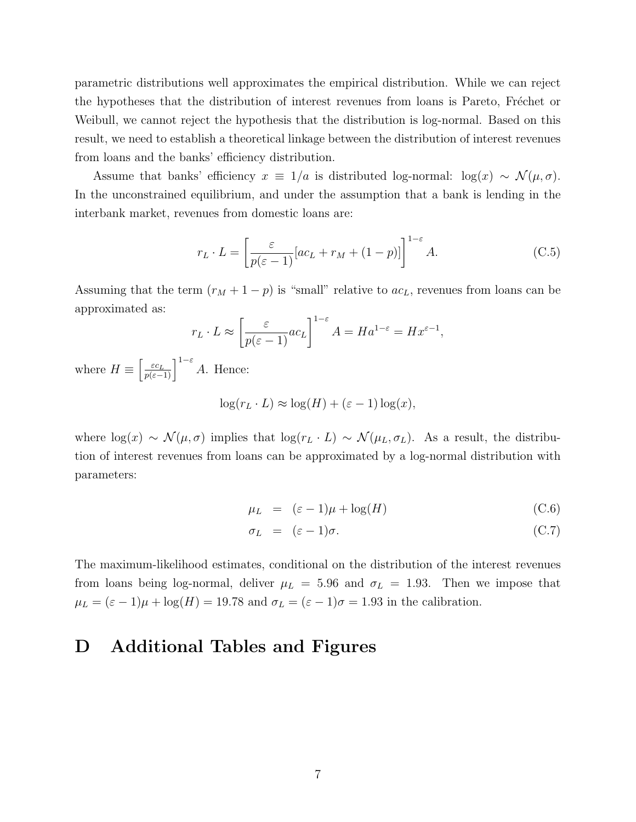parametric distributions well approximates the empirical distribution. While we can reject the hypotheses that the distribution of interest revenues from loans is Pareto, Fréchet or Weibull, we cannot reject the hypothesis that the distribution is log-normal. Based on this result, we need to establish a theoretical linkage between the distribution of interest revenues from loans and the banks' efficiency distribution.

Assume that banks' efficiency  $x \equiv 1/a$  is distributed log-normal:  $\log(x) \sim \mathcal{N}(\mu, \sigma)$ . In the unconstrained equilibrium, and under the assumption that a bank is lending in the interbank market, revenues from domestic loans are:

$$
r_L \cdot L = \left[ \frac{\varepsilon}{p(\varepsilon - 1)} [ac_L + r_M + (1 - p)] \right]^{1 - \varepsilon} A.
$$
 (C.5)

Assuming that the term  $(r_M + 1 - p)$  is "small" relative to  $ac_L$ , revenues from loans can be approximated as:

$$
r_L \cdot L \approx \left[\frac{\varepsilon}{p(\varepsilon - 1)} ac_L\right]^{1-\varepsilon} A = Ha^{1-\varepsilon} = Hx^{\varepsilon - 1},
$$

where  $H \equiv \left[\frac{\varepsilon c_L}{p(\varepsilon-1)}\right]^{1-\varepsilon} A$ . Hence:

$$
\log(r_L \cdot L) \approx \log(H) + (\varepsilon - 1) \log(x),
$$

where  $\log(x) \sim \mathcal{N}(\mu, \sigma)$  implies that  $\log(r_L \cdot L) \sim \mathcal{N}(\mu_L, \sigma_L)$ . As a result, the distribution of interest revenues from loans can be approximated by a log-normal distribution with parameters:

$$
\mu_L = (\varepsilon - 1)\mu + \log(H) \tag{C.6}
$$

$$
\sigma_L = (\varepsilon - 1)\sigma. \tag{C.7}
$$

The maximum-likelihood estimates, conditional on the distribution of the interest revenues from loans being log-normal, deliver  $\mu_L = 5.96$  and  $\sigma_L = 1.93$ . Then we impose that  $\mu_L = (\varepsilon - 1)\mu + \log(H) = 19.78$  and  $\sigma_L = (\varepsilon - 1)\sigma = 1.93$  in the calibration.

# <span id="page-45-1"></span><span id="page-45-0"></span>D Additional Tables and Figures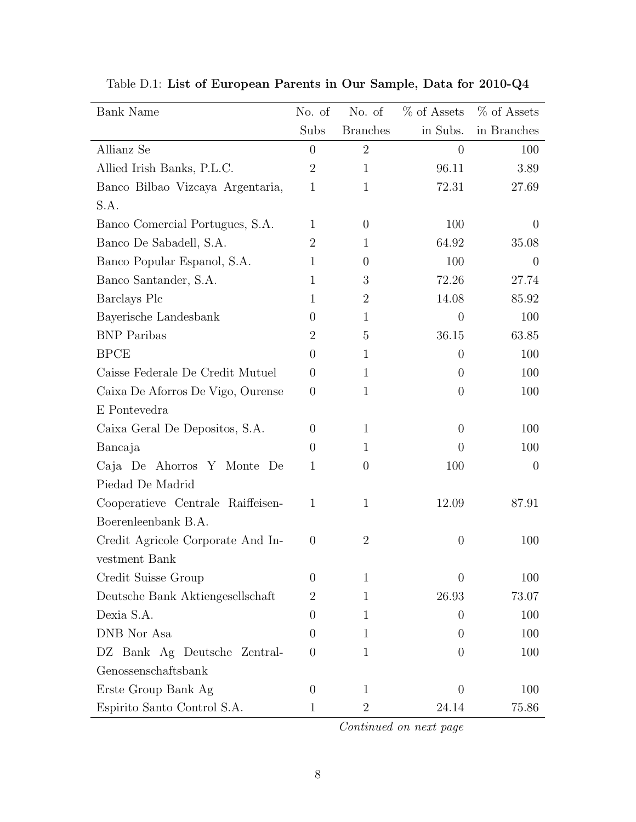| Bank Name                         | No. of         | No. of          | % of Assets    | % of Assets    |
|-----------------------------------|----------------|-----------------|----------------|----------------|
|                                   | Subs           | <b>Branches</b> | in Subs.       | in Branches    |
| Allianz Se                        | $\overline{0}$ | $\overline{2}$  | $\overline{0}$ | 100            |
| Allied Irish Banks, P.L.C.        | $\overline{2}$ | $\mathbf{1}$    | 96.11          | 3.89           |
| Banco Bilbao Vizcaya Argentaria,  | $\mathbf{1}$   | $\mathbf{1}$    | 72.31          | 27.69          |
| S.A.                              |                |                 |                |                |
| Banco Comercial Portugues, S.A.   | $\mathbf{1}$   | $\overline{0}$  | 100            | $\overline{0}$ |
| Banco De Sabadell, S.A.           | $\overline{2}$ | 1               | 64.92          | 35.08          |
| Banco Popular Espanol, S.A.       | $\mathbf{1}$   | $\theta$        | 100            | $\theta$       |
| Banco Santander, S.A.             | $\mathbf{1}$   | 3               | 72.26          | 27.74          |
| Barclays Plc                      | $\mathbf{1}$   | $\overline{2}$  | 14.08          | 85.92          |
| Bayerische Landesbank             | $\overline{0}$ | 1               | $\overline{0}$ | 100            |
| <b>BNP</b> Paribas                | $\overline{2}$ | 5               | 36.15          | 63.85          |
| <b>BPCE</b>                       | $\theta$       | 1               | $\overline{0}$ | 100            |
| Caisse Federale De Credit Mutuel  | $\theta$       | $\mathbf{1}$    | $\overline{0}$ | 100            |
| Caixa De Aforros De Vigo, Ourense | $\theta$       | $\mathbf{1}$    | $\overline{0}$ | 100            |
| E Pontevedra                      |                |                 |                |                |
| Caixa Geral De Depositos, S.A.    | $\theta$       | $\mathbf{1}$    | $\overline{0}$ | 100            |
| Bancaja                           | $\theta$       | 1               | $\overline{0}$ | 100            |
| Caja De Ahorros Y Monte De        | 1              | $\overline{0}$  | 100            | $\overline{0}$ |
| Piedad De Madrid                  |                |                 |                |                |
| Cooperatieve Centrale Raiffeisen- | $\mathbf{1}$   | $\mathbf{1}$    | 12.09          | 87.91          |
| Boerenleenbank B.A.               |                |                 |                |                |
| Credit Agricole Corporate And In- | $\theta$       | $\overline{2}$  | $\theta$       | 100            |
| vestment Bank                     |                |                 |                |                |
| Credit Suisse Group               | $\Omega$       | 1               | $\Omega$       | 100            |
| Deutsche Bank Aktiengesellschaft  | $\overline{2}$ | 1               | 26.93          | 73.07          |
| Dexia S.A.                        | $\overline{0}$ | 1               | $\Omega$       | 100            |
| DNB Nor Asa                       | $\Omega$       | 1               | $\Omega$       | 100            |
| DZ Bank Ag Deutsche Zentral-      | $\theta$       | 1               | $\theta$       | 100            |
| Genossenschaftsbank               |                |                 |                |                |
| Erste Group Bank Ag               | $\overline{0}$ | 1               | $\Omega$       | 100            |
| Espirito Santo Control S.A.       | 1              | $\overline{2}$  | 24.14          | 75.86          |

Table D.1: List of European Parents in Our Sample, Data for 2010-Q4

Continued on next page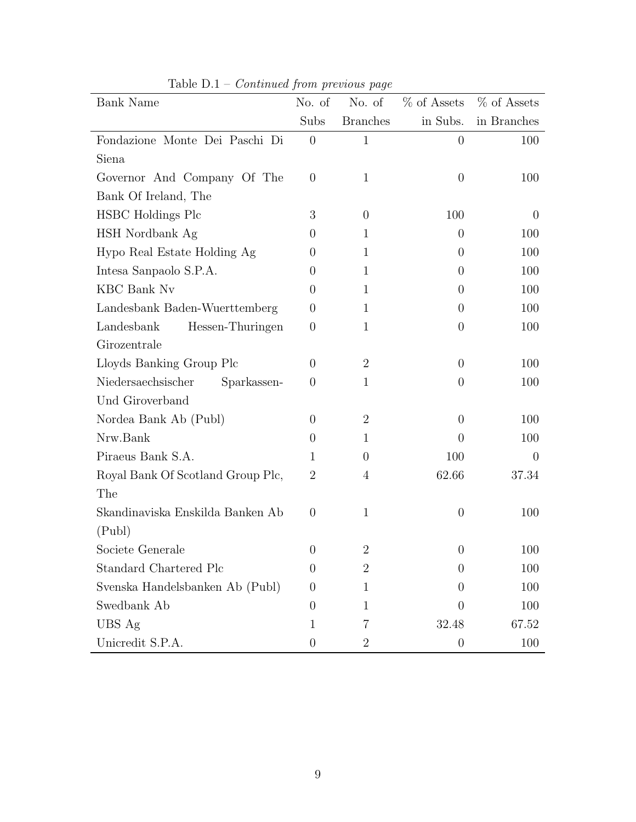| Bank Name                         | No. of         | No. of          | % of Assets      | % of Assets    |
|-----------------------------------|----------------|-----------------|------------------|----------------|
|                                   | Subs           | <b>Branches</b> | in Subs.         | in Branches    |
| Fondazione Monte Dei Paschi Di    | $\theta$       | $\mathbf{1}$    | $\overline{0}$   | 100            |
| Siena                             |                |                 |                  |                |
| Governor And Company Of The       | $\theta$       | $\mathbf{1}$    | $\overline{0}$   | 100            |
| Bank Of Ireland, The              |                |                 |                  |                |
| HSBC Holdings Plc                 | 3              | $\theta$        | 100              | $\overline{0}$ |
| HSH Nordbank Ag                   | $\theta$       | $\mathbf{1}$    | $\overline{0}$   | 100            |
| Hypo Real Estate Holding Ag       | $\theta$       | $\mathbf{1}$    | $\overline{0}$   | 100            |
| Intesa Sanpaolo S.P.A.            | $\Omega$       | 1               | $\overline{0}$   | 100            |
| <b>KBC</b> Bank Nv                | $\theta$       | $\mathbf{1}$    | $\overline{0}$   | 100            |
| Landesbank Baden-Wuerttemberg     | $\overline{0}$ | $\mathbf{1}$    | $\overline{0}$   | 100            |
| Landesbank<br>Hessen-Thuringen    | $\theta$       | $\mathbf{1}$    | $\overline{0}$   | 100            |
| Girozentrale                      |                |                 |                  |                |
| Lloyds Banking Group Plc          | $\theta$       | $\overline{2}$  | $\overline{0}$   | 100            |
| Niedersaechsischer<br>Sparkassen- | $\theta$       | $\mathbf{1}$    | $\overline{0}$   | 100            |
| Und Giroverband                   |                |                 |                  |                |
| Nordea Bank Ab (Publ)             | $\overline{0}$ | $\overline{2}$  | $\overline{0}$   | 100            |
| Nrw.Bank                          | $\Omega$       | 1               | $\Omega$         | 100            |
| Piraeus Bank S.A.                 | 1              | 0               | 100              | $\theta$       |
| Royal Bank Of Scotland Group Plc, | $\overline{2}$ | 4               | 62.66            | 37.34          |
| The                               |                |                 |                  |                |
| Skandinaviska Enskilda Banken Ab  | $\theta$       | $\mathbf{1}$    | $\overline{0}$   | 100            |
| (Publ)                            |                |                 |                  |                |
| Societe Generale                  | $\theta$       | $\overline{2}$  | $\theta$         | 100            |
| Standard Chartered Plc            | $\theta$       | $\overline{2}$  | $\Omega$         | 100            |
| Svenska Handelsbanken Ab (Publ)   | $\theta$       | 1               | $\Omega$         | 100            |
| Swedbank Ab                       | $\theta$       | 1               | $\Omega$         | 100            |
| UBS Ag                            | 1              | 7               | 32.48            | 67.52          |
| Unicredit S.P.A.                  | $\theta$       | $\overline{2}$  | $\boldsymbol{0}$ | 100            |

Table  $D.1$  – *Continued from previous page*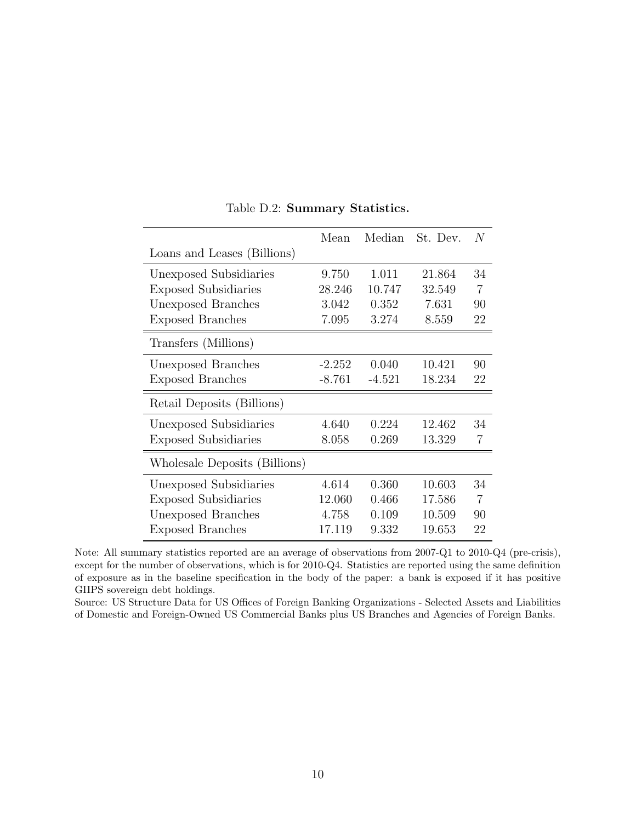<span id="page-48-0"></span>

|                               | Mean     | Median   | St. Dev. | N  |
|-------------------------------|----------|----------|----------|----|
| Loans and Leases (Billions)   |          |          |          |    |
| Unexposed Subsidiaries        | 9.750    | 1.011    | 21.864   | 34 |
| <b>Exposed Subsidiaries</b>   | 28.246   | 10.747   | 32.549   | 7  |
| Unexposed Branches            | 3.042    | 0.352    | 7.631    | 90 |
| <b>Exposed Branches</b>       | 7.095    | 3.274    | 8.559    | 22 |
| Transfers (Millions)          |          |          |          |    |
| Unexposed Branches            | $-2.252$ | 0.040    | 10.421   | 90 |
| <b>Exposed Branches</b>       | $-8.761$ | $-4.521$ | 18.234   | 22 |
| Retail Deposits (Billions)    |          |          |          |    |
| Unexposed Subsidiaries        | 4.640    | 0.224    | 12.462   | 34 |
| <b>Exposed Subsidiaries</b>   | 8.058    | 0.269    | 13.329   | 7  |
| Wholesale Deposits (Billions) |          |          |          |    |
| Unexposed Subsidiaries        | 4.614    | 0.360    | 10.603   | 34 |
| <b>Exposed Subsidiaries</b>   | 12.060   | 0.466    | 17.586   | 7  |
| Unexposed Branches            | 4.758    | 0.109    | 10.509   | 90 |
| <b>Exposed Branches</b>       | 17.119   | 9.332    | 19.653   | 22 |

Table D.2: Summary Statistics.

Note: All summary statistics reported are an average of observations from 2007-Q1 to 2010-Q4 (pre-crisis), except for the number of observations, which is for 2010-Q4. Statistics are reported using the same definition of exposure as in the baseline specification in the body of the paper: a bank is exposed if it has positive GIIPS sovereign debt holdings.

Source: US Structure Data for US Offices of Foreign Banking Organizations - Selected Assets and Liabilities of Domestic and Foreign-Owned US Commercial Banks plus US Branches and Agencies of Foreign Banks.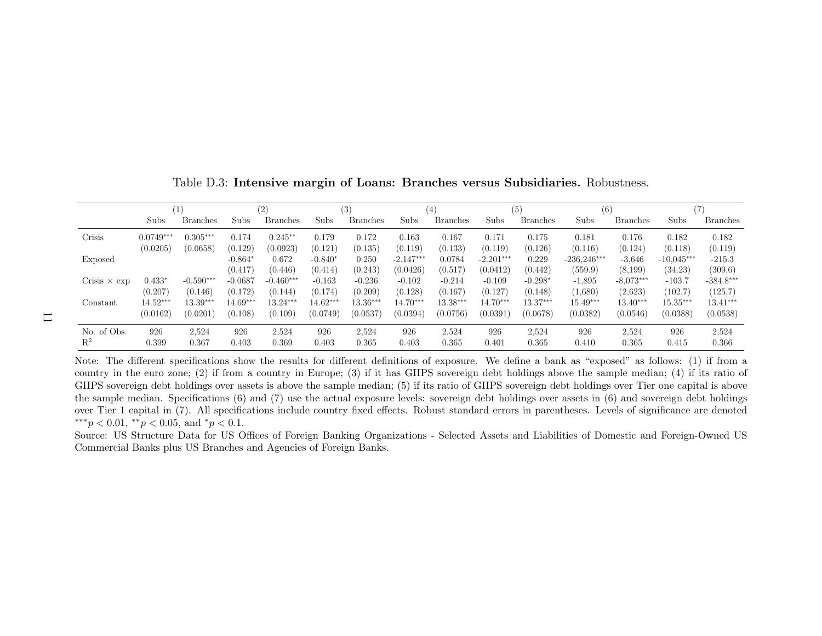<span id="page-49-0"></span>

|                     |             |                 |                      | (2)              |                      | (3)              |                         | (4)               |                         | (5)              | (6)                      |                     | (7)                     |                     |
|---------------------|-------------|-----------------|----------------------|------------------|----------------------|------------------|-------------------------|-------------------|-------------------------|------------------|--------------------------|---------------------|-------------------------|---------------------|
|                     | Subs        | <b>Branches</b> | Subs                 | <b>Branches</b>  | Subs                 | <b>Branches</b>  | Subs                    | <b>Branches</b>   | Subs                    | <b>Branches</b>  | Subs                     | <b>Branches</b>     | Subs                    | <b>Branches</b>     |
| Crisis              | $0.0749***$ | $0.305***$      | 0.174                | $0.245**$        | 0.179                | 0.172            | 0.163                   | 0.167             | 0.171                   | 0.175            | 0.181                    | 0.176               | 0.182                   | 0.182               |
|                     | (0.0205)    | (0.0658)        | (0.129)              | (0.0923)         | (0.121)              | (0.135)          | (0.119)                 | (0.133)           | (0.119)                 | (0.126)          | (0.116)                  | (0.124)             | (0.118)                 | (0.119)             |
| <b>Exposed</b>      |             |                 | $-0.864*$<br>(0.417) | 0.672<br>(0.446) | $-0.840*$<br>(0.414) | 0.250<br>(0.243) | $-2.147***$<br>(0.0426) | 0.0784<br>(0.517) | $-2.201***$<br>(0.0412) | 0.229<br>(0.442) | $-236.246***$<br>(559.9) | $-3,646$<br>(8,199) | $-10.045***$<br>(34.23) | $-215.3$<br>(309.6) |
| Crisis $\times$ exp | $0.433*$    | $-0.590***$     | $-0.0687$            | $-0.460***$      | $-0.163$             | $-0.236$         | $-0.102$                | $-0.214$          | $-0.109$                | $-0.298*$        | $-1,895$                 | $-8.073***$         | $-103.7$                | $-384.8***$         |
|                     | (0.207)     | (0.146)         | (0.172)              | (0.144)          | (0.174)              | (0.209)          | (0.128)                 | (0.167)           | (0.127)                 | (0.148)          | (1,680)                  | (2.623)             | (102.7)                 | (125.7)             |
| Constant            | $14.52***$  | $13.39***$      | $14.69***$           | $13.24***$       | $14.62***$           | $13.36***$       | $14.70***$              | $13.38***$        | $14.70***$              | $13.37***$       | $15.49***$               | $13.40***$          | $15.35***$              | $13.41***$          |
|                     | (0.0162)    | (0.0201)        | (0.108)              | (0.109)          | (0.0749)             | (0.0537)         | (0.0394)                | (0.0756)          | (0.0391)                | (0.0678)         | (0.0382)                 | (0.0546)            | (0.0388)                | (0.0538)            |
| No. of Obs.         | 926         | 2,524           | 926                  | 2,524            | 926                  | 2,524            | 926                     | 2,524             | 926                     | 2,524            | 926                      | 2,524               | 926                     | 2,524               |
| $\mathbf{R}^2$      | 0.399       | 0.367           | 0.403                | 0.369            | 0.403                | 0.365            | 0.403                   | 0.365             | 0.401                   | 0.365            | 0.410                    | 0.365               | 0.415                   | 0.366               |

Table D.3: Intensive margin of Loans: Branches versus Subsidiaries. Robustness.

Note: The different specifications show the results for different definitions of exposure. We define <sup>a</sup> bank as "exposed" as follows: (1) if from <sup>a</sup> country in the euro zone; (2) if from <sup>a</sup> country in Europe; (3) if it has GIIPS sovereign debt holdings above the sample median; (4) if its ratio of GIIPS sovereign debt holdings over assets is above the sample median; (5) if its ratio of GIIPS sovereign debt holdings over Tier one capital is above the sample median. Specifications (6) and (7) use the actual exposure levels: sovereign debt holdings over assets in (6) and sovereign debt holdings over Tier <sup>1</sup> capital in (7). All specifications include country fixed effects. Robust standard errors in parentheses. Levels of significance are denoted\*\*\*p < 0.01, \*\*p < 0.05, and \*p < 0.1.

Source: US Structure Data for US Offices of Foreign Banking Organizations - Selected Assets and Liabilities of Domestic and Foreign-Owned USCommercial Banks <sup>p</sup>lus US Branches and Agencies of Foreign Banks.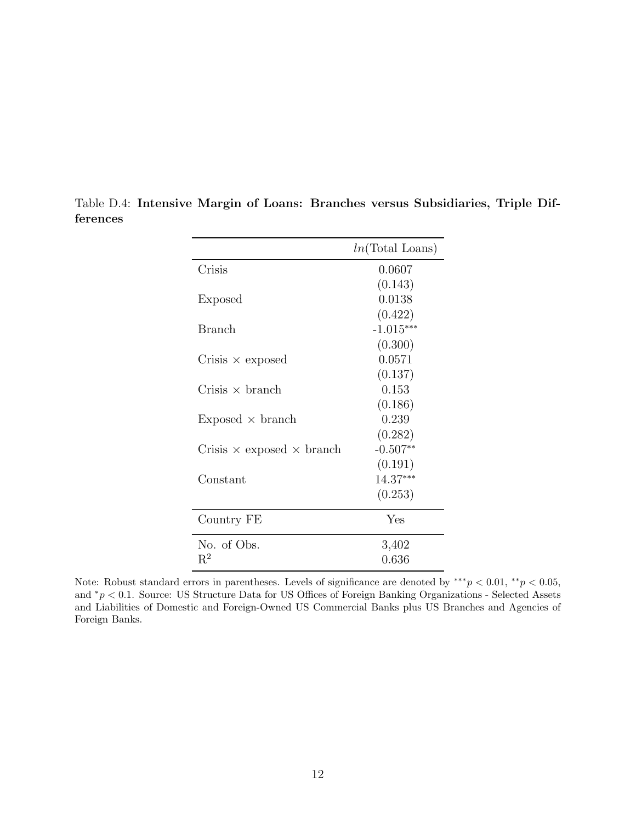|                                         | $ln(Total$ Loans) |
|-----------------------------------------|-------------------|
| Crisis                                  | 0.0607            |
|                                         | (0.143)           |
| Exposed                                 | 0.0138            |
|                                         | (0.422)           |
| Branch                                  | $-1.015***$       |
|                                         | (0.300)           |
| Crisis $\times$ exposed                 | 0.0571            |
|                                         | (0.137)           |
| Crisis $\times$ branch                  | 0.153             |
|                                         | (0.186)           |
| $Exposed \times branch$                 | 0.239             |
|                                         | (0.282)           |
| Crisis $\times$ exposed $\times$ branch | $-0.507**$        |
|                                         | (0.191)           |
| Constant                                | 14.37***          |
|                                         | (0.253)           |
| Country FE                              | Yes               |
| No. of Obs.                             | 3,402             |
| $R^2$                                   | 0.636             |

<span id="page-50-0"></span>Table D.4: Intensive Margin of Loans: Branches versus Subsidiaries, Triple Differences

Note: Robust standard errors in parentheses. Levels of significance are denoted by \*\*\* $p < 0.01$ , \*\* $p < 0.05$ , and <sup>∗</sup>p < 0.1. Source: US Structure Data for US Offices of Foreign Banking Organizations - Selected Assets and Liabilities of Domestic and Foreign-Owned US Commercial Banks plus US Branches and Agencies of Foreign Banks.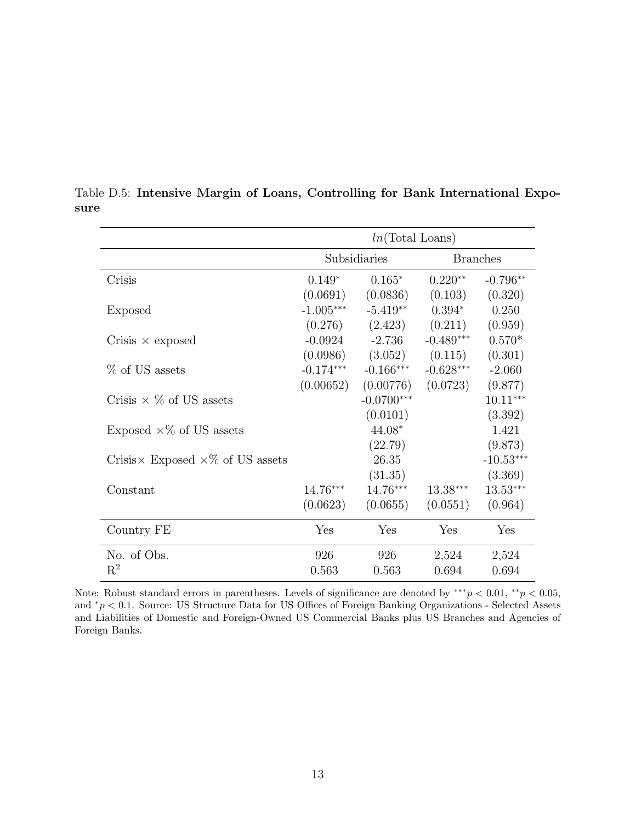|                                                 | $ln(Total$ Loans) |              |             |                 |  |  |  |
|-------------------------------------------------|-------------------|--------------|-------------|-----------------|--|--|--|
|                                                 |                   | Subsidiaries |             | <b>Branches</b> |  |  |  |
| Crisis                                          | $0.149*$          | $0.165*$     | $0.220**$   | $-0.796**$      |  |  |  |
|                                                 | (0.0691)          | (0.0836)     | (0.103)     | (0.320)         |  |  |  |
| <b>Exposed</b>                                  | $-1.005***$       | $-5.419**$   | $0.394*$    | 0.250           |  |  |  |
|                                                 | (0.276)           | (2.423)      | (0.211)     | (0.959)         |  |  |  |
| Crisis $\times$ exposed                         | $-0.0924$         | $-2.736$     | $-0.489***$ | $0.570*$        |  |  |  |
|                                                 | (0.0986)          | (3.052)      | (0.115)     | (0.301)         |  |  |  |
| % of US assets                                  | $-0.174***$       | $-0.166***$  | $-0.628***$ | $-2.060$        |  |  |  |
|                                                 | (0.00652)         | (0.00776)    | (0.0723)    | (9.877)         |  |  |  |
| Crisis $\times$ % of US assets                  |                   | $-0.0700***$ |             | $10.11***$      |  |  |  |
|                                                 |                   | (0.0101)     |             | (3.392)         |  |  |  |
| Exposed $\times\%$ of US assets                 |                   | 44.08*       |             | 1.421           |  |  |  |
|                                                 |                   | (22.79)      |             | (9.873)         |  |  |  |
| Crisis $\times$ Exposed $\times\%$ of US assets |                   | 26.35        |             | $-10.53***$     |  |  |  |
|                                                 |                   | (31.35)      |             | (3.369)         |  |  |  |
| Constant                                        | 14.76***          | 14.76***     | $13.38***$  | 13.53***        |  |  |  |
|                                                 | (0.0623)          | (0.0655)     | (0.0551)    | (0.964)         |  |  |  |
| Country FE                                      | Yes               | Yes          | Yes         | Yes             |  |  |  |
| No. of Obs.                                     | 926               | 926          | 2,524       | 2,524           |  |  |  |
| $\mathrm{R}^2$                                  | 0.563             | 0.563        | 0.694       | 0.694           |  |  |  |

<span id="page-51-0"></span>Table D.5: Intensive Margin of Loans, Controlling for Bank International Exposure

Note: Robust standard errors in parentheses. Levels of significance are denoted by \*\*\* $p < 0.01$ , \*\* $p < 0.05$ , and <sup>∗</sup>p < 0.1. Source: US Structure Data for US Offices of Foreign Banking Organizations - Selected Assets and Liabilities of Domestic and Foreign-Owned US Commercial Banks plus US Branches and Agencies of Foreign Banks.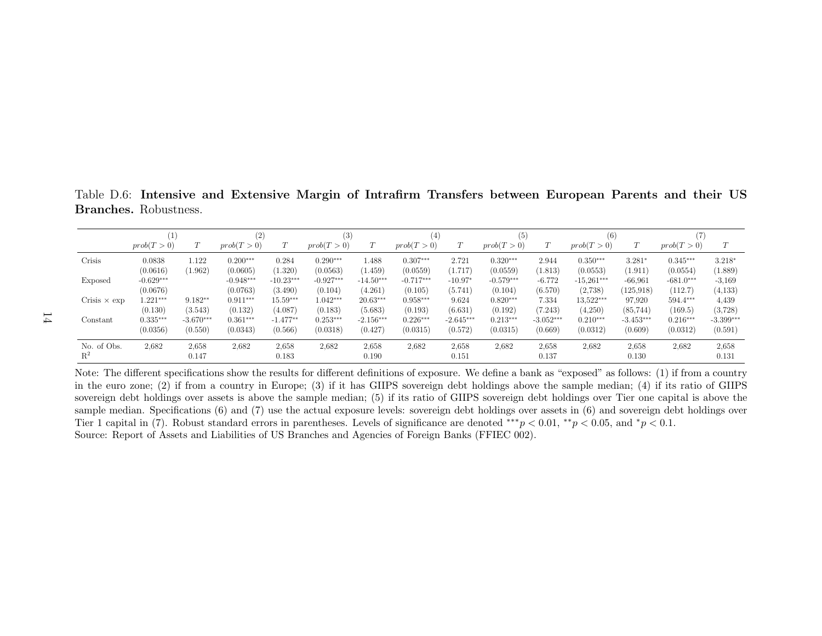<span id="page-52-0"></span>Table D.6: Intensive and Extensive Margin of Intrafirm Transfers between European Parents and their USBranches. Robustness.

|                     |             |             | (2)         |             | (3)         |                          | (4)         |             | '5)         |             | (6)          |             |             |             |
|---------------------|-------------|-------------|-------------|-------------|-------------|--------------------------|-------------|-------------|-------------|-------------|--------------|-------------|-------------|-------------|
|                     | prob(T>0)   |             | prob(T>0)   |             | prob(T>0)   | $\tau$<br>$\overline{1}$ | prob(T>0)   | $\tau$      | prob(T>0)   | T           | prob(T>0)    |             | prob(T>0)   | T           |
| Crisis              | 0.0838      | 1.122       | $0.200***$  | 0.284       | $0.290***$  | 1.488                    | $0.307***$  | 2.721       | $0.320***$  | 2.944       | $0.350***$   | $3.281*$    | $0.345***$  | $3.218*$    |
|                     | (0.0616)    | (1.962)     | (0.0605)    | (1.320)     | (0.0563)    | (1.459)                  | (0.0559)    | (1.717)     | (0.0559)    | (1.813)     | (0.0553)     | (1.911)     | (0.0554)    | (1.889)     |
| Exposed             | $-0.629***$ |             | $-0.948***$ | $-10.23***$ | $-0.927***$ | $-14.50***$              | $-0.717***$ | $-10.97*$   | $-0.579***$ | $-6.772$    | $-15,261***$ | $-66,961$   | $-681.0***$ | $-3,169$    |
|                     | (0.0676)    |             | (0.0763)    | (3.490)     | (0.104)     | (4.261)                  | (0.105)     | (5.741)     | (0.104)     | (6.570)     | (2.738)      | (125, 918)  | (112.7)     | (4,133)     |
| Crisis $\times$ exp | $1.221***$  | $9.182**$   | $0.911***$  | $15.59***$  | $1.042***$  | $20.63***$               | $0.958***$  | 9.624       | $0.820***$  | 7.334       | 13,522***    | 97.920      | $594.4***$  | 4,439       |
|                     | (0.130)     | (3.543)     | (0.132)     | (4.087)     | (0.183)     | (5.683)                  | (0.193)     | (6.631)     | (0.192)     | (7.243)     | (4.250)      | (85, 744)   | (169.5)     | (3,728)     |
| Constant            | $0.335***$  | $-3.670***$ | $0.361***$  | $-1.477$ ** | $0.253***$  | $-2.156***$              | $0.226***$  | $-2.645***$ | $0.213***$  | $-3.052***$ | $0.210***$   | $-3.453***$ | $0.216***$  | $-3.399***$ |
|                     | (0.0356)    | (0.550)     | (0.0343)    | (0.566)     | (0.0318)    | (0.427)                  | (0.0315)    | (0.572)     | (0.0315)    | (0.669)     | (0.0312)     | (0.609)     | (0.0312)    | (0.591)     |
| No. of Obs.         | 2,682       | 2,658       | 2,682       | 2,658       | 2,682       | 2,658                    | 2,682       | 2,658       | 2,682       | 2,658       | 2,682        | 2,658       | 2,682       | 2,658       |
| $R^2$               |             | 0.147       |             | 0.183       |             | 0.190                    |             | 0.151       |             | 0.137       |              | 0.130       |             | 0.131       |

Note: The different specifications show the results for different definitions of exposure. We define <sup>a</sup> bank as "exposed" as follows: (1) if from <sup>a</sup> country in the euro zone; (2) if from <sup>a</sup> country in Europe; (3) if it has GIIPS sovereign debt holdings above the sample median; (4) if its ratio of GIIPS sovereign debt holdings over assets is above the sample median; (5) if its ratio of GIIPS sovereign debt holdings over Tier one capital is above the sample median. Specifications (6) and (7) use the actual exposure levels: sovereign debt holdings over assets in (6) and sovereign debt holdings over Tier 1 capital in (7). Robust standard errors in parentheses. Levels of significance are denoted \*\*\* $p < 0.01$ , \*\* $p < 0.05$ , and \* $p < 0.1$ . Source: Report of Assets and Liabilities of US Branches and Agencies of Foreign Banks (FFIEC 002).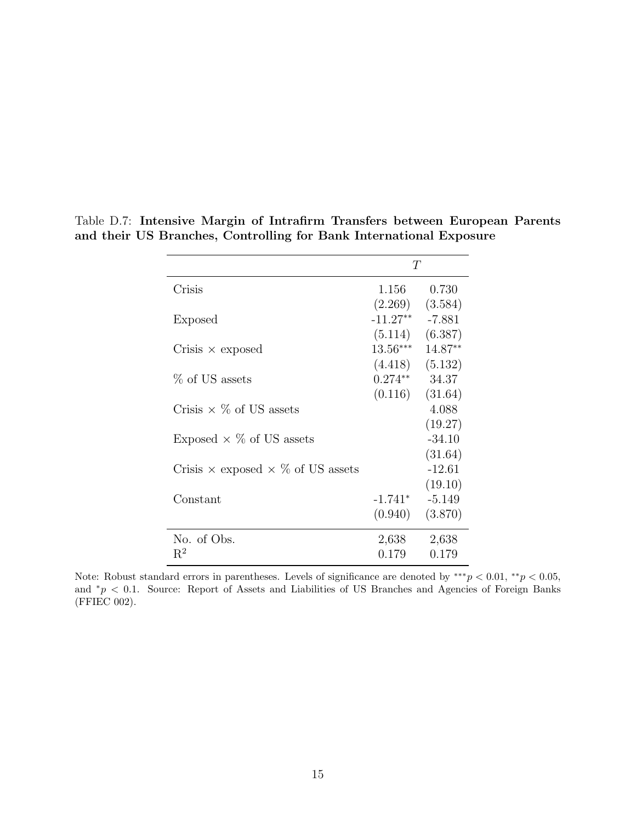|                                                 | T          |          |
|-------------------------------------------------|------------|----------|
| Crisis                                          | 1.156      | 0.730    |
|                                                 | (2.269)    | (3.584)  |
| Exposed                                         | $-11.27**$ | $-7.881$ |
|                                                 | (5.114)    | (6.387)  |
| Crisis $\times$ exposed                         | $13.56***$ | 14.87**  |
|                                                 | (4.418)    | (5.132)  |
| % of US assets                                  | $0.274**$  | 34.37    |
|                                                 | (0.116)    | (31.64)  |
| Crisis $\times$ % of US assets                  |            | 4.088    |
|                                                 |            | (19.27)  |
| Exposed $\times$ % of US assets                 |            | $-34.10$ |
|                                                 |            | (31.64)  |
| Crisis $\times$ exposed $\times$ % of US assets |            | $-12.61$ |
|                                                 |            | (19.10)  |
| Constant                                        | $-1.741*$  | $-5.149$ |
|                                                 | (0.940)    | (3.870)  |
| No. of Obs.                                     | 2,638      | 2,638    |
| $R^2$                                           | 0.179      | 0.179    |

<span id="page-53-0"></span>Table D.7: Intensive Margin of Intrafirm Transfers between European Parents and their US Branches, Controlling for Bank International Exposure

Note: Robust standard errors in parentheses. Levels of significance are denoted by \*\*\* $p < 0.01$ , \*\* $p < 0.05$ , and  $*p < 0.1$ . Source: Report of Assets and Liabilities of US Branches and Agencies of Foreign Banks (FFIEC 002).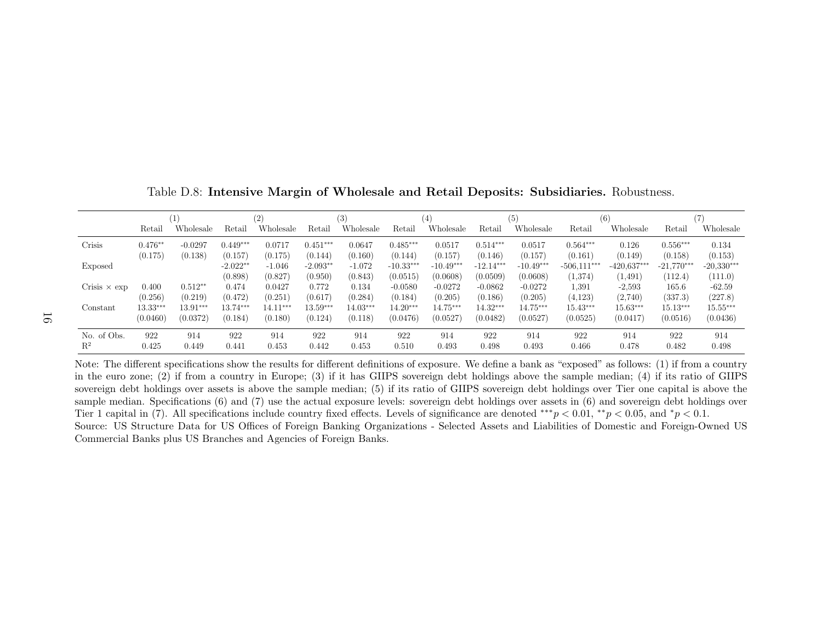|                     |            |            |                       | (2)                 |                       | $\left( 3\right)$   |                         | $\left( 4\right)$       |                         | (5)                     |                          | $^{(6)}$                  |                         |                         |
|---------------------|------------|------------|-----------------------|---------------------|-----------------------|---------------------|-------------------------|-------------------------|-------------------------|-------------------------|--------------------------|---------------------------|-------------------------|-------------------------|
|                     | Retail     | Wholesale  | Retail                | Wholesale           | Retail                | Wholesale           | Retail                  | Wholesale               | Retail                  | Wholesale               | Retail                   | Wholesale                 | Retail                  | Wholesale               |
| Crisis              | $0.476**$  | $-0.0297$  | $0.449***$            | 0.0717              | $0.451***$            | 0.0647              | $0.485***$              | 0.0517                  | $0.514***$              | 0.0517                  | $0.564***$               | 0.126                     | $0.556***$              | 0.134                   |
|                     | (0.175)    | (0.138)    | (0.157)               | (0.175)             | (0.144)               | (0.160)             | (0.144)                 | (0.157)                 | (0.146)                 | (0.157)                 | (0.161)                  | (0.149)                   | (0.158)                 | (0.153)                 |
| Exposed             |            |            | $-2.022**$<br>(0.898) | $-1.046$<br>(0.827) | $-2.093**$<br>(0.950) | $-1.072$<br>(0.843) | $-10.33***$<br>(0.0515) | $-10.49***$<br>(0.0608) | $-12.14***$<br>(0.0509) | $-10.49***$<br>(0.0608) | $-506.111***$<br>(1,374) | $-420.637***$<br>(1, 491) | $-21,770***$<br>(112.4) | $-20,330***$<br>(111.0) |
| Crisis $\times$ exp | 0.400      | $0.512**$  | 0.474                 | 0.0427              | 0.772                 | 0.134               | $-0.0580$               | $-0.0272$               | $-0.0862$               | $-0.0272$               | 1.391                    | $-2,593$                  | 165.6                   | $-62.59$                |
|                     | (0.256)    | (0.219)    | (0.472)               | (0.251)             | (0.617)               | (0.284)             | (0.184)                 | (0.205)                 | (0.186)                 | (0.205)                 | (4.123)                  | (2.740)                   | (337.3)                 | (227.8)                 |
| Constant            | $13.33***$ | $13.91***$ | $13.74***$            | $14.11***$          | $13.59***$            | $14.03***$          | $14.20***$              | $14.75***$              | $14.32***$              | 14.75***                | $15.43***$               | $15.63***$                | $15.13***$              | $15.55***$              |
|                     | (0.0460)   | (0.0372)   | (0.184)               | (0.180)             | (0.124)               | (0.118)             | (0.0476)                | (0.0527)                | (0.0482)                | (0.0527)                | (0.0525)                 | (0.0417)                  | (0.0516)                | (0.0436)                |
| No. of Obs.         | 922        | 914        | 922                   | 914                 | 922                   | 914                 | 922                     | 914                     | 922                     | 914                     | 922                      | 914                       | 922                     | 914                     |
| $\mathbf{R}^2$      | 0.425      | 0.449      | 0.441                 | 0.453               | 0.442                 | 0.453               | 0.510                   | 0.493                   | 0.498                   | 0.493                   | 0.466                    | 0.478                     | 0.482                   | 0.498                   |

<span id="page-54-0"></span>Table D.8: Intensive Margin of Wholesale and Retail Deposits: Subsidiaries. Robustness.

Note: The different specifications show the results for different definitions of exposure. We define <sup>a</sup> bank as "exposed" as follows: (1) if from <sup>a</sup> country in the euro zone; (2) if from <sup>a</sup> country in Europe; (3) if it has GIIPS sovereign debt holdings above the sample median; (4) if its ratio of GIIPS sovereign debt holdings over assets is above the sample median; (5) if its ratio of GIIPS sovereign debt holdings over Tier one capital is above the sample median. Specifications (6) and (7) use the actual exposure levels: sovereign debt holdings over assets in (6) and sovereign debt holdings over Tier 1 capital in (7). All specifications include country fixed effects. Levels of significance are denoted \*\*\*p < 0.01, \*\*p < 0.05, and \*p < 0.1.<br> $\Gamma_{\text{tot}}$  and  $\Gamma_{\text{tot}}$  and  $\Gamma_{\text{tot}}$  and  $\Gamma_{\text{tot}}$  and  $\Gamma_{\text{tot}}$  and Source: US Structure Data for US Offices of Foreign Banking Organizations - Selected Assets and Liabilities of Domestic and Foreign-Owned USCommercial Banks <sup>p</sup>lus US Branches and Agencies of Foreign Banks.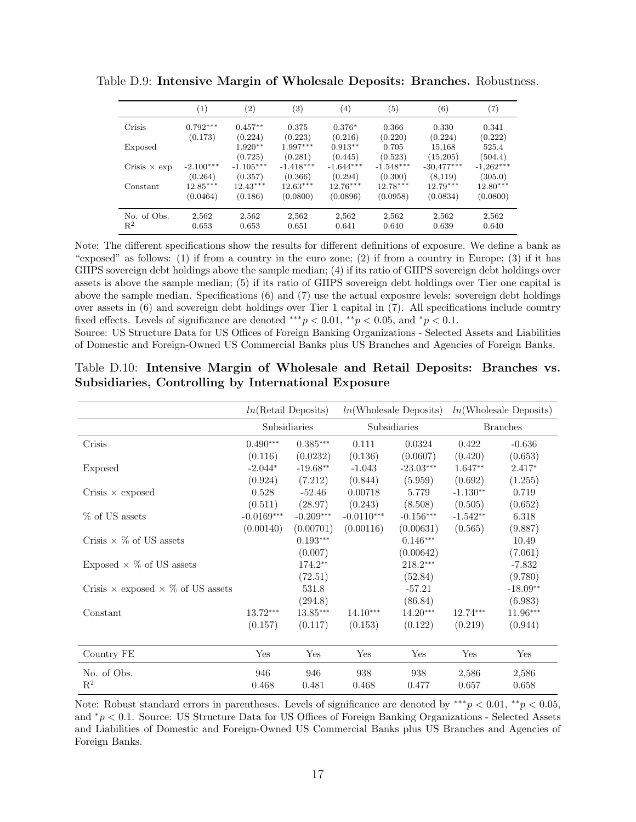|                     | $\left(1\right)$ | $\left( 2\right)$ | $^{(3)}$    | $\left( 4\right)$ | (5)         | $^{\rm (6)}$ | (7)         |
|---------------------|------------------|-------------------|-------------|-------------------|-------------|--------------|-------------|
| Crisis              | $0.792***$       | $0.457**$         | 0.375       | $0.376*$          | 0.366       | 0.330        | 0.341       |
|                     | (0.173)          | (0.224)           | (0.223)     | (0.216)           | (0.220)     | (0.224)      | (0.222)     |
| Exposed             |                  | $1.920**$         | $1.997***$  | $0.913**$         | 0.705       | 15,168       | 525.4       |
|                     |                  | (0.725)           | (0.281)     | (0.445)           | (0.523)     | (15,205)     | (504.4)     |
| Crisis $\times$ exp | $-2.100***$      | $-1.105***$       | $-1.418***$ | $-1.644***$       | $-1.548***$ | $-30.477***$ | $-1,262***$ |
|                     | (0.264)          | (0.357)           | (0.366)     | (0.294)           | (0.300)     | (8,119)      | (305.0)     |
| Constant            | $12.85***$       | $12.43***$        | $12.63***$  | $12.76***$        | $12.78***$  | $12.79***$   | $12.80***$  |
|                     | (0.0464)         | (0.186)           | (0.0800)    | (0.0896)          | (0.0958)    | (0.0834)     | (0.0800)    |
| No. of Obs.         | 2,562            | 2,562             | 2,562       | 2,562             | 2,562       | 2,562        | 2,562       |
| $R^2$               | 0.653            | 0.653             | 0.651       | 0.641             | 0.640       | 0.639        | 0.640       |
|                     |                  |                   |             |                   |             |              |             |

<span id="page-55-0"></span>Table D.9: Intensive Margin of Wholesale Deposits: Branches. Robustness.

Note: The different specifications show the results for different definitions of exposure. We define a bank as "exposed" as follows: (1) if from a country in the euro zone; (2) if from a country in Europe; (3) if it has GIIPS sovereign debt holdings above the sample median; (4) if its ratio of GIIPS sovereign debt holdings over assets is above the sample median; (5) if its ratio of GIIPS sovereign debt holdings over Tier one capital is above the sample median. Specifications (6) and (7) use the actual exposure levels: sovereign debt holdings over assets in (6) and sovereign debt holdings over Tier 1 capital in (7). All specifications include country fixed effects. Levels of significance are denoted \*\*\*  $p < 0.01$ , \*\* $p < 0.05$ , and \* $p < 0.1$ .

<span id="page-55-1"></span>Source: US Structure Data for US Offices of Foreign Banking Organizations - Selected Assets and Liabilities of Domestic and Foreign-Owned US Commercial Banks plus US Branches and Agencies of Foreign Banks.

|                                                 | ln(Retail Deposits) |             |              | ln(Wholesale Deposits) | ln(Wholesale Deposits) |            |
|-------------------------------------------------|---------------------|-------------|--------------|------------------------|------------------------|------------|
|                                                 | Subsidiaries        |             |              | Subsidiaries           | <b>Branches</b>        |            |
| Crisis                                          | $0.490***$          | $0.385***$  | 0.111        | 0.0324                 | 0.422                  | $-0.636$   |
|                                                 | (0.116)             | (0.0232)    | (0.136)      | (0.0607)               | (0.420)                | (0.653)    |
| Exposed                                         | $-2.044*$           | $-19.68**$  | $-1.043$     | $-23.03***$            | $1.647**$              | $2.417*$   |
|                                                 | (0.924)             | (7.212)     | (0.844)      | (5.959)                | (0.692)                | (1.255)    |
| Crisis $\times$ exposed                         | 0.528               | $-52.46$    | 0.00718      | 5.779                  | $-1.130**$             | 0.719      |
|                                                 | (0.511)             | (28.97)     | (0.243)      | (8.508)                | (0.505)                | (0.652)    |
| % of US assets                                  | $-0.0169***$        | $-0.209***$ | $-0.0110***$ | $-0.156***$            | $-1.542**$             | 6.318      |
|                                                 | (0.00140)           | (0.00701)   | (0.00116)    | (0.00631)              | (0.565)                | (9.887)    |
| Crisis $\times$ % of US assets                  |                     | $0.193***$  |              | $0.146***$             |                        | 10.49      |
|                                                 |                     | (0.007)     |              | (0.00642)              |                        | (7.061)    |
| Exposed $\times$ % of US assets                 |                     | $174.2**$   |              | $218.2***$             |                        | $-7.832$   |
|                                                 |                     | (72.51)     |              | (52.84)                |                        | (9.780)    |
| Crisis $\times$ exposed $\times$ % of US assets |                     | 531.8       |              | $-57.21$               |                        | $-18.09**$ |
|                                                 |                     | (294.8)     |              | (86.84)                |                        | (6.983)    |
| Constant                                        | $13.72***$          | $13.85***$  | $14.10***$   | $14.20***$             | $12.74***$             | 11.96***   |
|                                                 | (0.157)             | (0.117)     | (0.153)      | (0.122)                | (0.219)                | (0.944)    |
| Country FE                                      | Yes                 | Yes         | Yes          | Yes                    | Yes                    | Yes        |
| No. of Obs.                                     | 946                 | 946         | 938          | 938                    | 2,586                  | 2,586      |
| $R^2$                                           | 0.468               | 0.481       | 0.468        | 0.477                  | 0.657                  | 0.658      |

Table D.10: Intensive Margin of Wholesale and Retail Deposits: Branches vs. Subsidiaries, Controlling by International Exposure

Note: Robust standard errors in parentheses. Levels of significance are denoted by \*\*\* $p < 0.01$ , \*\* $p < 0.05$ , and <sup>∗</sup>p < 0.1. Source: US Structure Data for US Offices of Foreign Banking Organizations - Selected Assets and Liabilities of Domestic and Foreign-Owned US Commercial Banks plus US Branches and Agencies of Foreign Banks.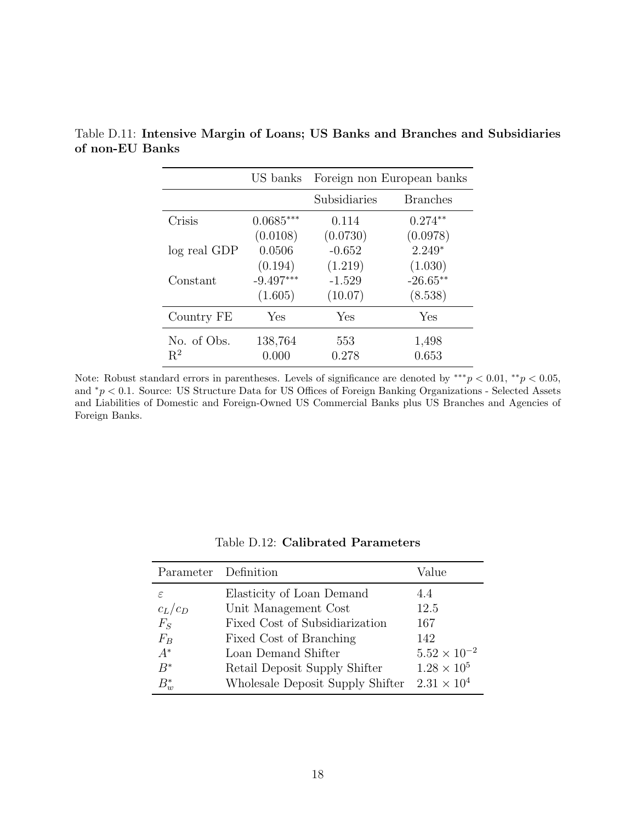|              | US banks    |              | Foreign non European banks |
|--------------|-------------|--------------|----------------------------|
|              |             | Subsidiaries | <b>Branches</b>            |
| Crisis       | $0.0685***$ | 0.114        | $0.274**$                  |
|              | (0.0108)    | (0.0730)     | (0.0978)                   |
| log real GDP | 0.0506      | $-0.652$     | $2.249*$                   |
|              | (0.194)     | (1.219)      | (1.030)                    |
| Constant     | $-9.497***$ | $-1.529$     | $-26.65**$                 |
|              | (1.605)     | (10.07)      | (8.538)                    |
| Country FE   | Yes         | Yes          | Yes                        |
| No. of Obs.  | 138,764     | 553          | 1,498                      |
| $R^2$        | 0.000       | 0.278        | 0.653                      |

<span id="page-56-1"></span>Table D.11: Intensive Margin of Loans; US Banks and Branches and Subsidiaries of non-EU Banks

Note: Robust standard errors in parentheses. Levels of significance are denoted by \*\*\* $p < 0.01$ , \*\* $p < 0.05$ , and <sup>∗</sup>p < 0.1. Source: US Structure Data for US Offices of Foreign Banking Organizations - Selected Assets and Liabilities of Domestic and Foreign-Owned US Commercial Banks plus US Branches and Agencies of Foreign Banks.

<span id="page-56-0"></span>

| Parameter Definition |                                                        | Value                 |
|----------------------|--------------------------------------------------------|-----------------------|
| ε                    | Elasticity of Loan Demand                              | 4.4                   |
| $c_L/c_D$<br>$F_S$   | Unit Management Cost<br>Fixed Cost of Subsidiarization | 12.5<br>167           |
| $F_B$                | Fixed Cost of Branching                                | 142                   |
| $A^*$                | Loan Demand Shifter                                    | $5.52 \times 10^{-2}$ |
| $B^*$                | Retail Deposit Supply Shifter                          | $1.28 \times 10^5$    |
| $B_{w}^{\ast}$       | Wholesale Deposit Supply Shifter                       | $2.31 \times 10^{4}$  |

Table D.12: Calibrated Parameters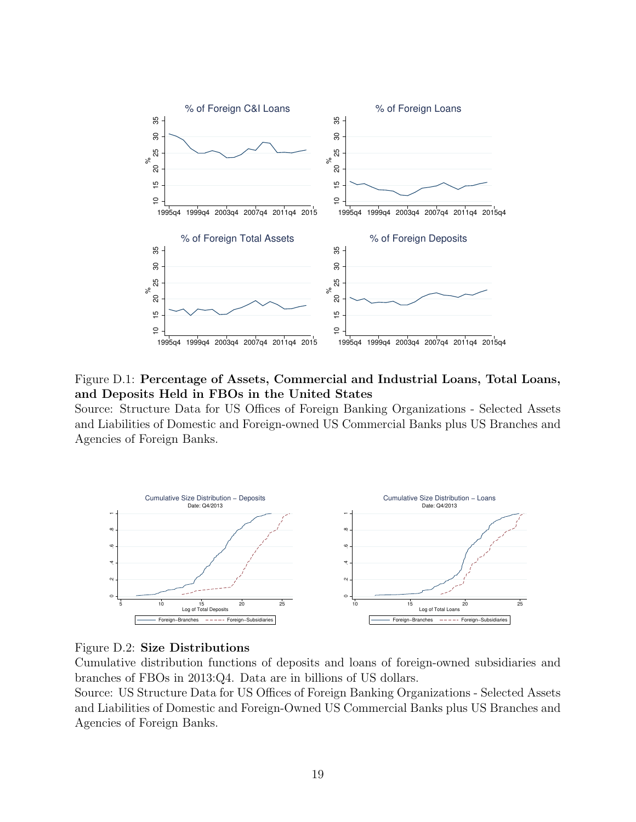<span id="page-57-0"></span>![](_page_57_Figure_0.jpeg)

Figure D.1: Percentage of Assets, Commercial and Industrial Loans, Total Loans, and Deposits Held in FBOs in the United States

Source: Structure Data for US Offices of Foreign Banking Organizations - Selected Assets and Liabilities of Domestic and Foreign-owned US Commercial Banks plus US Branches and Agencies of Foreign Banks.

<span id="page-57-1"></span>![](_page_57_Figure_3.jpeg)

![](_page_57_Figure_4.jpeg)

Cumulative distribution functions of deposits and loans of foreign-owned subsidiaries and branches of FBOs in 2013:Q4. Data are in billions of US dollars.

Source: US Structure Data for US Offices of Foreign Banking Organizations - Selected Assets and Liabilities of Domestic and Foreign-Owned US Commercial Banks plus US Branches and Agencies of Foreign Banks.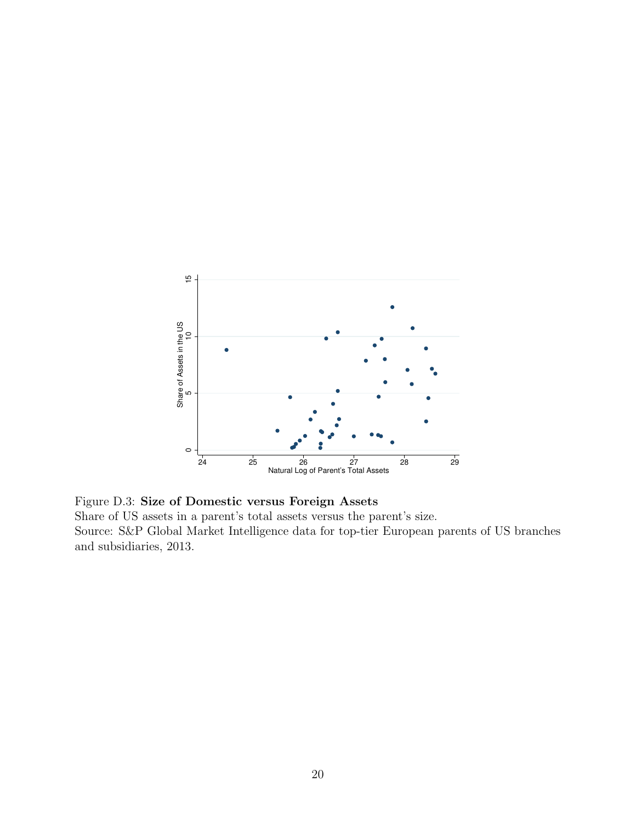<span id="page-58-0"></span>![](_page_58_Figure_0.jpeg)

Figure D.3: Size of Domestic versus Foreign Assets Share of US assets in a parent's total assets versus the parent's size. Source: S&P Global Market Intelligence data for top-tier European parents of US branches and subsidiaries, 2013.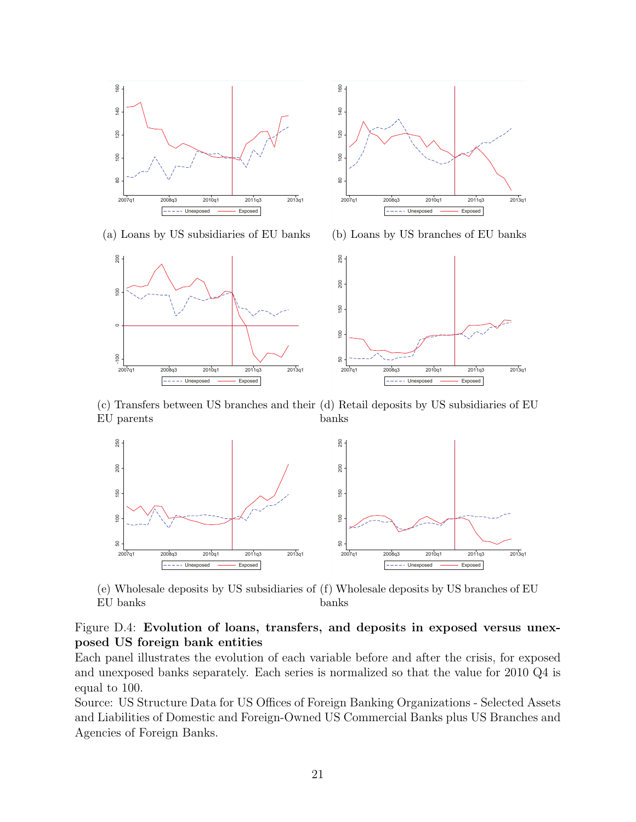<span id="page-59-0"></span>![](_page_59_Figure_0.jpeg)

80 100 120 140 160 140 120  $\overline{100}$  $\tt 8$ 2007q1 2008q3 2010q1 2011q3 2013q1 **Exposed** Exposed

(a) Loans by US subsidiaries of EU banks

(b) Loans by US branches of EU banks

![](_page_59_Figure_4.jpeg)

 $\frac{60}{2}$ 

(c) Transfers between US branches and their (d) Retail deposits by US subsidiaries of EU EU parents banks

![](_page_59_Figure_6.jpeg)

(e) Wholesale deposits by US subsidiaries of (f) Wholesale deposits by US branches of EU EU banks banks

### Figure D.4: Evolution of loans, transfers, and deposits in exposed versus unexposed US foreign bank entities

Each panel illustrates the evolution of each variable before and after the crisis, for exposed and unexposed banks separately. Each series is normalized so that the value for 2010 Q4 is equal to 100.

Source: US Structure Data for US Offices of Foreign Banking Organizations - Selected Assets and Liabilities of Domestic and Foreign-Owned US Commercial Banks plus US Branches and Agencies of Foreign Banks.